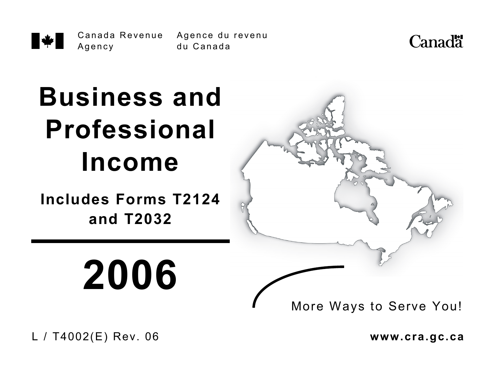Canada Revenue Agence du revenu \* Agency

du Canada



# **Business and Professional Income**

**Includes Forms T2124 and T2032** 

**2006**



L / T4002(E) Rev. 06 **www.cra.gc.ca**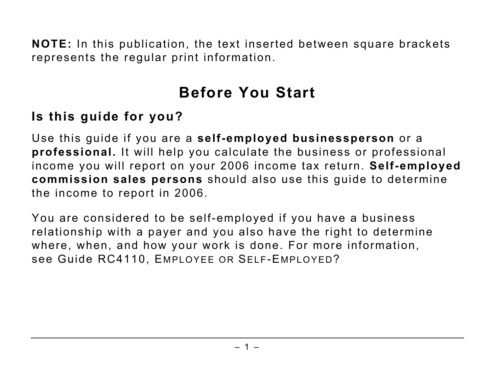**NOTE:** In this publication, the text inserted between square brackets represents the regular print information.

# **Before You Start**

#### **Is this guide for you?**

Use this guide if you are a **self-employed businessperson** or a **professional.** It will help you calculate the business or professional income you will report on your 2006 income tax return. **Self-employed commission sales persons** should also use this guide to determine the income to report in 2006.

You are considered to be self-employed if you have a business relationship with a payer and you also have the right to determine where, when, and how your work is done. For more information, see Guide RC4110, EMPLOYEE OR SELF-EMPLOYED?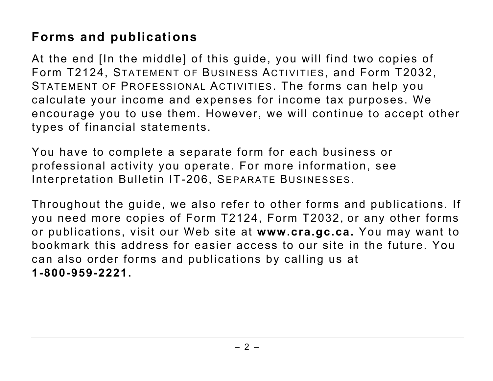# **Forms and publications**

At the end [In the middle] of this guide, you will find two copies of Form T2124, STATEMENT OF BUSINESS ACTIVITIES, and Form T2032, STATEMENT OF PROFESSIONAL ACTIVITIES. The forms can help you calculate your income and expenses for income tax purposes. We encourage you to use them. However, we will continue to accept other types of financial statements.

You have to complete a separate form for each business or professional activity you operate. For more information, see Interpretation Bulletin IT-206, SEPARATE BUSINESSES.

Throughout the guide, we also refer to other forms and publications. If you need more copies of Form T2124, Form T2032, or any other forms or publications, visit our Web site at **www.cra.gc.ca.** You may want to bookmark this address for easier access to our site in the future. You can also order forms and publications by calling us at **1-800-959-2221.**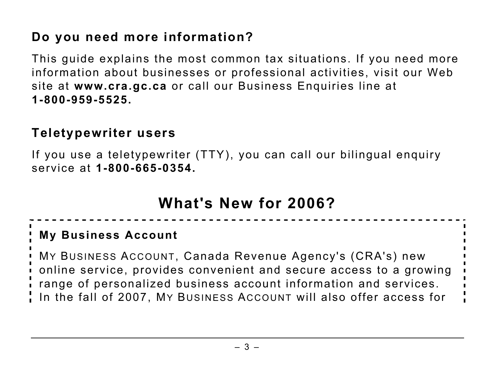# **Do you need more information?**

This guide explains the most common tax situations. If you need more information about businesses or professional activities, visit our Web site at **www.cra.gc.ca** or call our Business Enquiries line at **1-800-959-5525.**

#### **Teletypewriter users**

If you use a teletypewriter (TTY), you can call our bilingual enquiry service at **1-800-665-0354.**

# **What's New for 2006?**

#### **My Business Account**

MY BUSINESS ACCOUNT, Canada Revenue Agency's (CRA's) new online service, provides convenient and secure access to a growing range of personalized business account information and services. In the fall of 2007, MY BUSINESS ACCOUNT will also offer access for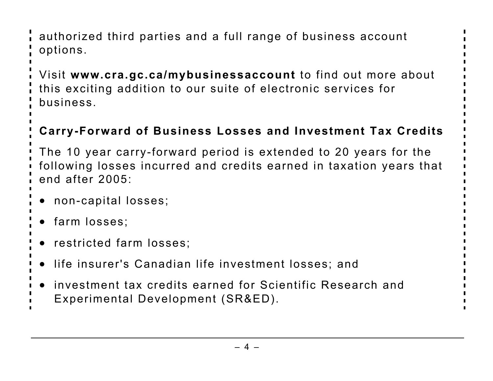authorized third parties and a full range of business account options.

Visit **www.cra.gc.ca/mybusinessaccount** to find out more about this exciting addition to our suite of electronic services for business.

# **Carry-Forward of Business Losses and Investment Tax Credits**

The 10 year carry-forward period is extended to 20 years for the following losses incurred and credits earned in taxation years that end after 2005:

- non-capital losses;
- farm losses;
- restricted farm losses;
- life insurer's Canadian life investment losses; and
- investment tax credits earned for Scientific Research and
- Experimental Development (SR&ED).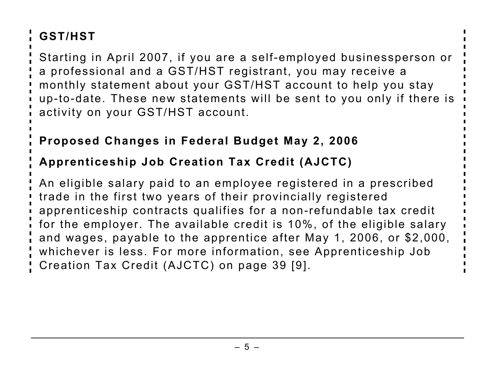# **GST/HST**

Starting in April 2007, if you are a self-employed businessperson or a professional and a GST/HST registrant, you may receive a monthly statement about your GST/HST account to help you stay up-to-date. These new statements will be sent to you only if there is activity on your GST/HST account.

#### **Proposed Changes in Federal Budget May 2, 2006**

# **Apprenticeship Job Creation Tax Credit (AJCTC)**

An eligible salary paid to an employee registered in a prescribed trade in the first two years of their provincially registered apprenticeship contracts qualifies for a non-refundable tax credit for the employer. The available credit is 10%, of the eligible salary and wages, payable to the apprentice after May 1, 2006, or \$2,000, whichever is less. For more information, see Apprenticeship Job Creation Tax Credit (AJCTC) on page 39 [9].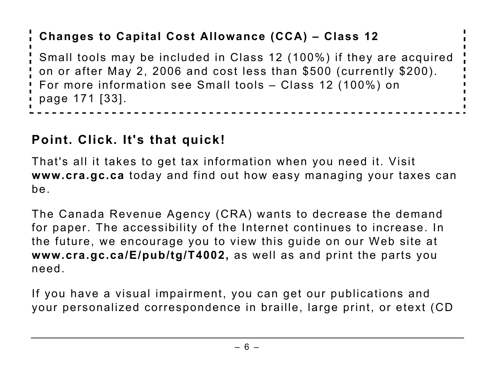# **Changes to Capital Cost Allowance (CCA) – Class 12**

Small tools may be included in Class 12 (100%) if they are acquired on or after May 2, 2006 and cost less than \$500 (currently \$200). For more information see Small tools – Class 12 (100%) on page 171 [33].

#### **Point. Click. It's that quick!**

That's all it takes to get tax information when you need it. Visit **www.cra.gc.ca** today and find out how easy managing your taxes can be.

The Canada Revenue Agency (CRA) wants to decrease the demand for paper. The accessibility of the Internet continues to increase. In the future, we encourage you to view this guide on our Web site at **www.cra.gc.ca/E/pub/tg/T4002,** as well as and print the parts you need.

If you have a visual impairment, you can get our publications and your personalized correspondence in braille, large print, or etext (CD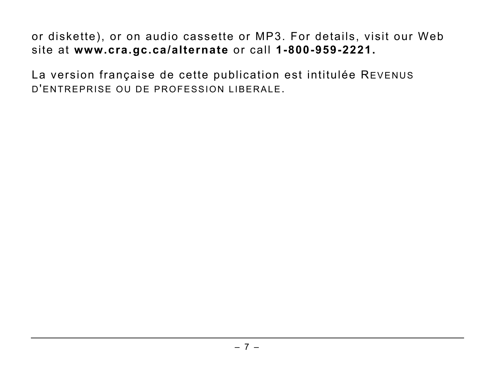or diskette), or on audio cassette or MP3. For details, visit our Web site at **www.cra.gc.ca/alternate** or call **1-800-959-2221.** 

La version française de cette publication est intitulée REVENUS D'ENTREPRISE OU DE PROFESSION LIBERALE.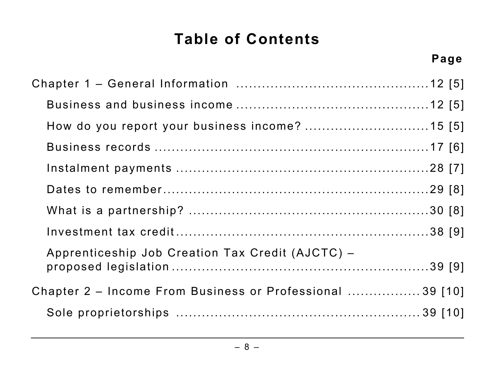# **Table of Contents**

| How do you report your business income?  15 [5]           |
|-----------------------------------------------------------|
|                                                           |
|                                                           |
|                                                           |
|                                                           |
|                                                           |
| Apprenticeship Job Creation Tax Credit (AJCTC) -          |
| Chapter 2 - Income From Business or Professional  39 [10] |
|                                                           |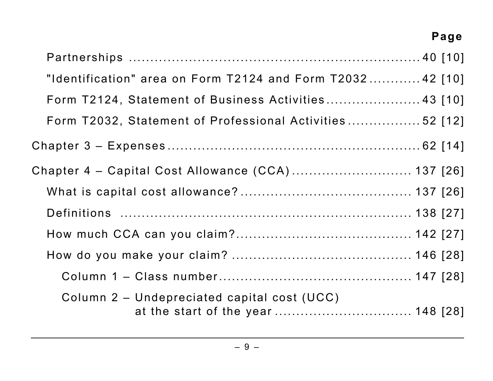# **Page**

| "Identification" area on Form T2124 and Form $T2032$ 42 [10]                      |
|-----------------------------------------------------------------------------------|
| Form T2124, Statement of Business Activities 43 [10]                              |
| Form T2032, Statement of Professional Activities 52 [12]                          |
|                                                                                   |
| Chapter 4 - Capital Cost Allowance (CCA) 137 [26]                                 |
|                                                                                   |
|                                                                                   |
|                                                                                   |
|                                                                                   |
|                                                                                   |
| Column 2 – Undepreciated capital cost (UCC)<br>at the start of the year  148 [28] |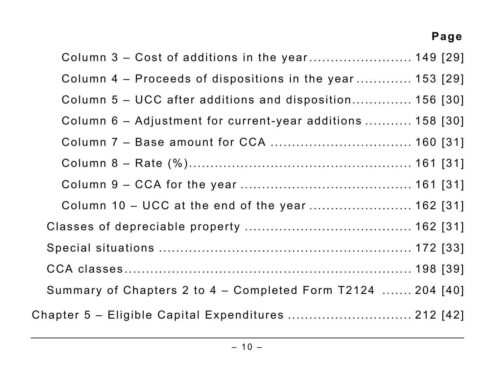# **Page**

| Column 4 - Proceeds of dispositions in the year 153 [29]      |  |
|---------------------------------------------------------------|--|
| Column 5 – UCC after additions and disposition 156 [30]       |  |
| Column 6 - Adjustment for current-year additions  158 [30]    |  |
| Column 7 - Base amount for CCA  160 [31]                      |  |
|                                                               |  |
|                                                               |  |
| Column 10 - UCC at the end of the year  162 [31]              |  |
|                                                               |  |
|                                                               |  |
|                                                               |  |
| Summary of Chapters 2 to $4$ – Completed Form T2124  204 [40] |  |
| Chapter 5 - Eligible Capital Expenditures  212 [42]           |  |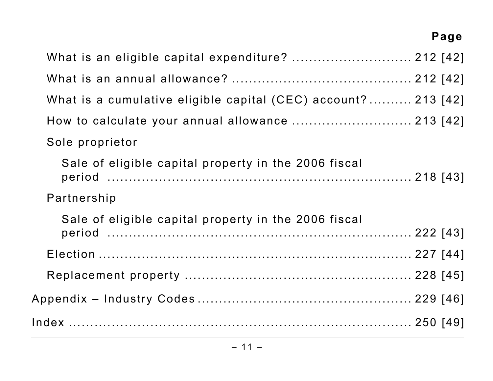# **Page**

| What is an eligible capital expenditure?  212 [42]            |  |
|---------------------------------------------------------------|--|
|                                                               |  |
| What is a cumulative eligible capital (CEC) account? 213 [42] |  |
| How to calculate your annual allowance  213 [42]              |  |
| Sole proprietor                                               |  |
| Sale of eligible capital property in the 2006 fiscal          |  |
| Partnership                                                   |  |
| Sale of eligible capital property in the 2006 fiscal          |  |
|                                                               |  |
|                                                               |  |
|                                                               |  |
|                                                               |  |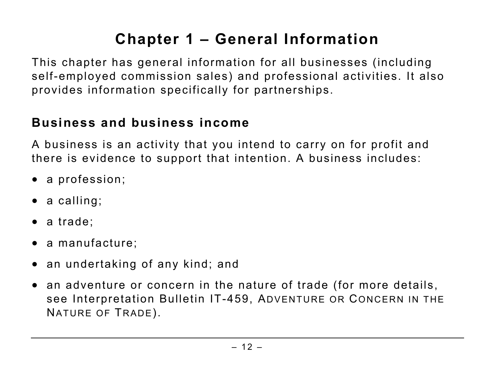# **Chapter 1 – General Information**

This chapter has general information for all businesses (including self-employed commission sales) and professional activities. It also provides information specifically for partnerships.

## **Business and business income**

A business is an activity that you intend to carry on for profit and there is evidence to support that intention. A business includes:

- a profession;
- a calling;
- a trade:
- a manufacture;
- an undertaking of any kind; and
- an adventure or concern in the nature of trade (for more details, see Interpretation Bulletin IT-459, ADVENTURE OR CONCERN IN THE NATURE OF TRADE).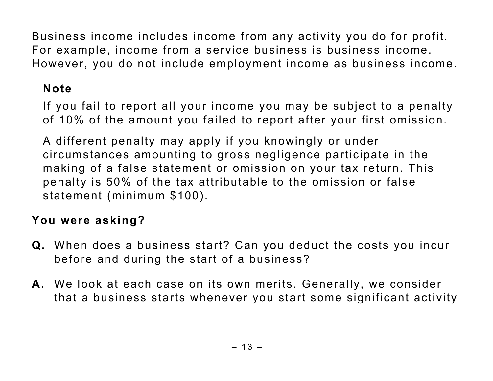Business income includes income from any activity you do for profit. For example, income from a service business is business income. However, you do not include employment income as business income.

#### **Note**

If you fail to report all your income you may be subject to a penalty of 10% of the amount you failed to report after your first omission.

A different penalty may apply if you knowingly or under circumstances amounting to gross negligence participate in the making of a false statement or omission on your tax return. This penalty is 50% of the tax attributable to the omission or false statement (minimum \$100).

#### **You were asking?**

- **Q.** When does a business start? Can you deduct the costs you incur before and during the start of a business?
- **A.** We look at each case on its own merits. Generally, we consider that a business starts whenever you start some significant activity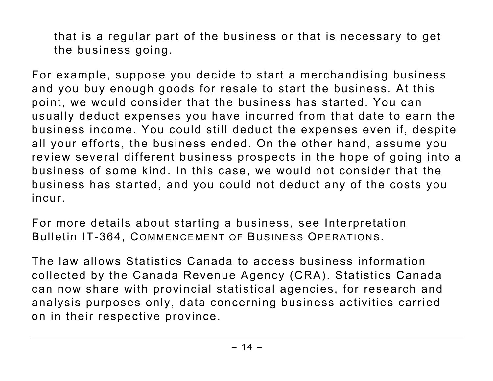that is a regular part of the business or that is necessary to get the business going.

For example, suppose you decide to start a merchandising business and you buy enough goods for resale to start the business. At this point, we would consider that the business has started. You can usually deduct expenses you have incurred from that date to earn the business income. You could still deduct the expenses even if, despite all your efforts, the business ended. On the other hand, assume you review several different business prospects in the hope of going into a business of some kind. In this case, we would not consider that the business has started, and you could not deduct any of the costs you incur.

For more details about starting a business, see Interpretation Bulletin IT-364, COMMENCEMENT OF BUSINESS OPERATIONS.

The law allows Statistics Canada to access business information collected by the Canada Revenue Agency (CRA). Statistics Canada can now share with provincial statistical agencies, for research and analysis purposes only, data concerning business activities carried on in their respective province.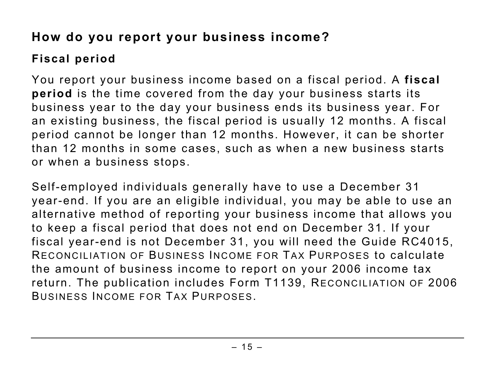# **How do you report your business income?**

# **Fiscal period**

You report your business income based on a fiscal period. A **fiscal period** is the time covered from the day your business starts its business year to the day your business ends its business year. For an existing business, the fiscal period is usually 12 months. A fiscal period cannot be longer than 12 months. However, it can be shorter than 12 months in some cases, such as when a new business starts or when a business stops.

Self-employed individuals generally have to use a December 31 year-end. If you are an eligible individual, you may be able to use an alternative method of reporting your business income that allows you to keep a fiscal period that does not end on December 31. If your fiscal year-end is not December 31, you will need the Guide RC4015, RECONCILIATION OF BUSINESS INCOME FOR TAX PURPOSES to calculate the amount of business income to report on your 2006 income tax return. The publication includes Form T1139, RECONCILIATION OF 2006 BUSINESS INCOME FOR TAX PURPOSES.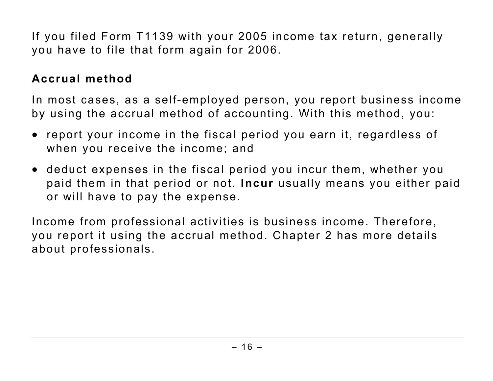If you filed Form T1139 with your 2005 income tax return, generally you have to file that form again for 2006.

#### **Accrual method**

In most cases, as a self-employed person, you report business income by using the accrual method of accounting. With this method, you:

- report your income in the fiscal period you earn it, regardless of when you receive the income; and
- deduct expenses in the fiscal period you incur them, whether you paid them in that period or not. **Incur** usually means you either paid or will have to pay the expense.

Income from professional activities is business income. Therefore, you report it using the accrual method. Chapter 2 has more details about professionals.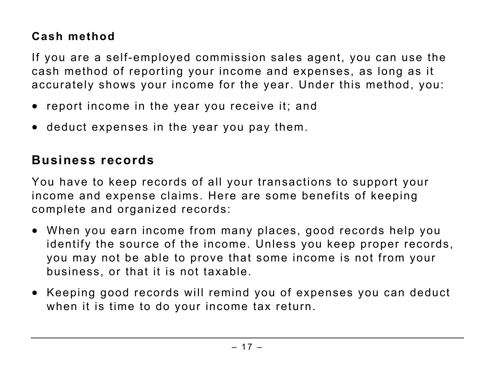#### **Cash method**

If you are a self-employed commission sales agent, you can use the cash method of reporting your income and expenses, as long as it accurately shows your income for the year. Under this method, you:

- report income in the year you receive it; and
- deduct expenses in the year you pay them.

# **Business records**

You have to keep records of all your transactions to support your income and expense claims. Here are some benefits of keeping complete and organized records:

- When you earn income from many places, good records help you identify the source of the income. Unless you keep proper records, you may not be able to prove that some income is not from your business, or that it is not taxable.
- Keeping good records will remind you of expenses you can deduct when it is time to do your income tax return.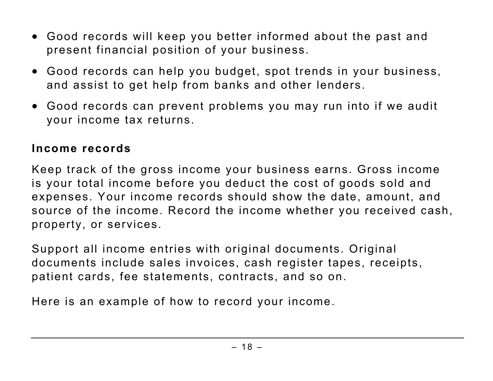- Good records will keep you better informed about the past and present financial position of your business.
- Good records can help you budget, spot trends in your business, and assist to get help from banks and other lenders.
- Good records can prevent problems you may run into if we audit your income tax returns.

#### **Income records**

Keep track of the gross income your business earns. Gross income is your total income before you deduct the cost of goods sold and expenses. Your income records should show the date, amount, and source of the income. Record the income whether you received cash, property, or services.

Support all income entries with original documents. Original documents include sales invoices, cash register tapes, receipts, patient cards, fee statements, contracts, and so on.

Here is an example of how to record your income.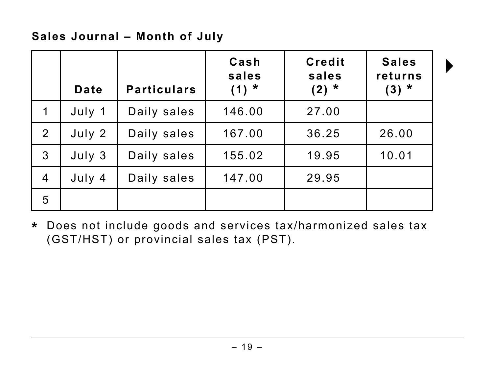#### **Sales Journal – Month of July**

|              | <b>Date</b> | <b>Particulars</b> | Cash<br>sales<br>$(1) *$ | <b>Credit</b><br>sales<br>$(2) *$ | <b>Sales</b><br>returns<br>$(3) *$ |
|--------------|-------------|--------------------|--------------------------|-----------------------------------|------------------------------------|
| 1            | July 1      | Daily sales        | 146.00                   | 27.00                             |                                    |
| 2            | July 2      | Daily sales        | 167.00                   | 36.25                             | 26.00                              |
| $\mathbf{3}$ | July 3      | Daily sales        | 155.02                   | 19.95                             | 10.01                              |
| 4            | July 4      | Daily sales        | 147.00                   | 29.95                             |                                    |
| 5            |             |                    |                          |                                   |                                    |

 $\blacktriangleright$ 

**\*** Does not include goods and services tax/harmonized sales tax (GST/HST) or provincial sales tax (PST).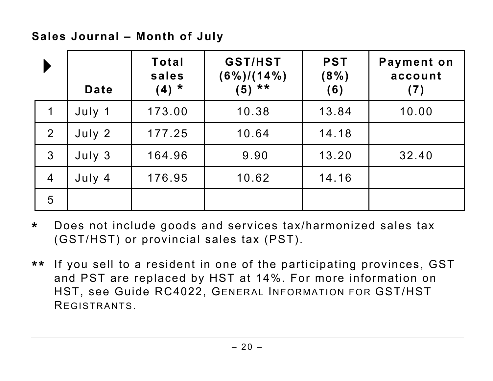**Sales Journal – Month of July** 

|                | <b>Date</b> | Total<br>sales<br>$(4) *$ | <b>GST/HST</b><br>$(6\%)/(14\%)$<br>$(5)$ ** | <b>PST</b><br>$(8\%)$<br>(6) | Payment on<br>account<br>(7) |
|----------------|-------------|---------------------------|----------------------------------------------|------------------------------|------------------------------|
| $\overline{1}$ | July 1      | 173.00                    | 10.38                                        | 13.84                        | 10.00                        |
| 2              | July 2      | 177.25                    | 10.64                                        | 14.18                        |                              |
| $\mathbf{3}$   | July 3      | 164.96                    | 9.90                                         | 13.20                        | 32.40                        |
| $\overline{4}$ | July 4      | 176.95                    | 10.62                                        | 14.16                        |                              |
| 5              |             |                           |                                              |                              |                              |

- **\*** Does not include goods and services tax/harmonized sales tax (GST/HST) or provincial sales tax (PST).
- **\*\*** If you sell to a resident in one of the participating provinces, GST and PST are replaced by HST at 14%. For more information on HST, see Guide RC4022, GENERAL INFORMATION FOR GST/HST REGISTRANTS.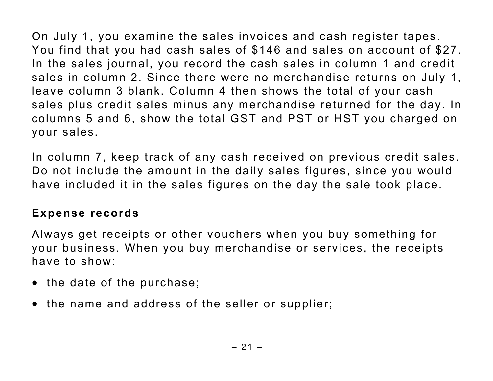On July 1, you examine the sales invoices and cash register tapes. You find that you had cash sales of \$146 and sales on account of \$27. In the sales journal, you record the cash sales in column 1 and credit sales in column 2. Since there were no merchandise returns on July 1, leave column 3 blank. Column 4 then shows the total of your cash sales plus credit sales minus any merchandise returned for the day. In columns 5 and 6, show the total GST and PST or HST you charged on your sales.

In column 7, keep track of any cash received on previous credit sales. Do not include the amount in the daily sales figures, since you would have included it in the sales figures on the day the sale took place.

#### **Expense records**

Always get receipts or other vouchers when you buy something for your business. When you buy merchandise or services, the receipts have to show:

- the date of the purchase;
- the name and address of the seller or supplier;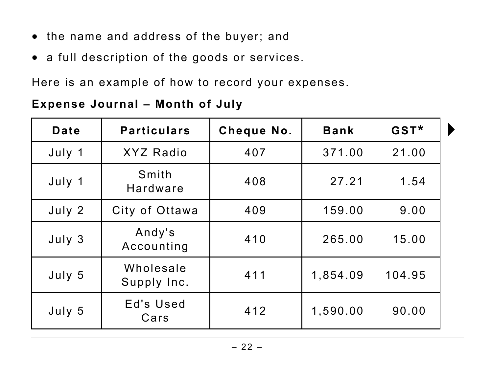- the name and address of the buyer; and
- a full description of the goods or services.

Here is an example of how to record your expenses.

#### **Expense Journal – Month of July**

| <b>Date</b> | <b>Particulars</b>       | Cheque No. | <b>Bank</b> | GST*   |  |
|-------------|--------------------------|------------|-------------|--------|--|
| July 1      | <b>XYZ Radio</b>         | 407        | 371.00      | 21.00  |  |
| July 1      | Smith<br><b>Hardware</b> | 408        | 27.21       | 1.54   |  |
| July 2      | City of Ottawa           | 409        | 159.00      | 9.00   |  |
| July 3      | Andy's<br>Accounting     | 410        | 265.00      | 15.00  |  |
| July 5      | Wholesale<br>Supply Inc. | 411        | 1,854.09    | 104.95 |  |
| July 5      | Ed's Used<br>Cars        | 412        | 1,590.00    | 90.00  |  |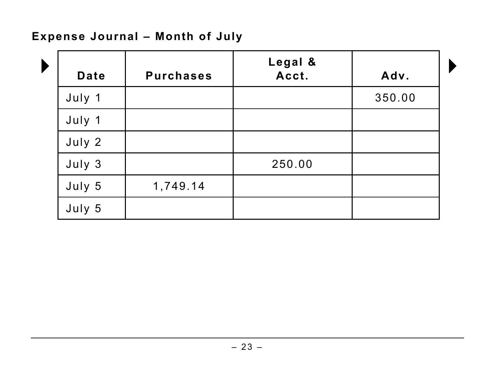#### **Expense Journal – Month of July**

| Date   | <b>Purchases</b> | Legal &<br>Acct. | Adv.   |
|--------|------------------|------------------|--------|
| July 1 |                  |                  | 350.00 |
| July 1 |                  |                  |        |
| July 2 |                  |                  |        |
| July 3 |                  | 250.00           |        |
| July 5 | 1,749.14         |                  |        |
| July 5 |                  |                  |        |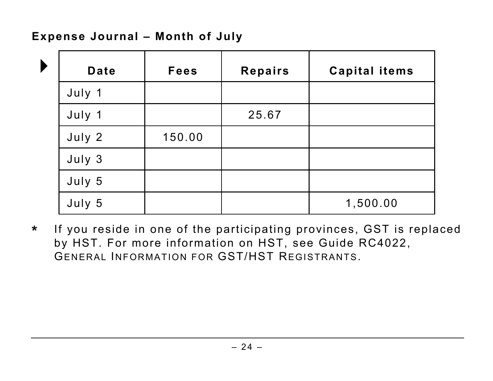#### **Expense Journal – Month of July**

| Date   | <b>Fees</b> | <b>Repairs</b> | <b>Capital items</b> |
|--------|-------------|----------------|----------------------|
| July 1 |             |                |                      |
| July 1 |             | 25.67          |                      |
| July 2 | 150.00      |                |                      |
| July 3 |             |                |                      |
| July 5 |             |                |                      |
| July 5 |             |                | 1,500.00             |

**\*** If you reside in one of the participating provinces, GST is replaced by HST. For more information on HST, see Guide RC4022, GENERAL INFORMATION FOR GST/HST REGISTRANTS.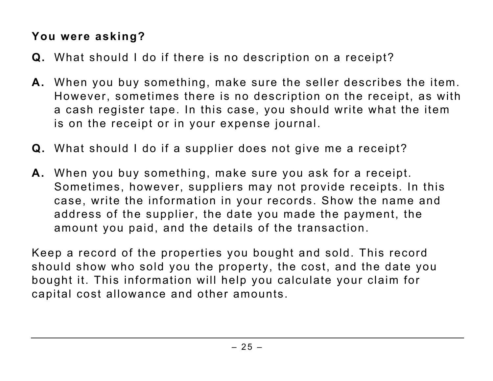#### **You were asking?**

- **Q.** What should I do if there is no description on a receipt?
- **A.** When you buy something, make sure the seller describes the item. However, sometimes there is no description on the receipt, as with a cash register tape. In this case, you should write what the item is on the receipt or in your expense journal.
- **Q.** What should I do if a supplier does not give me a receipt?
- **A.** When you buy something, make sure you ask for a receipt. Sometimes, however, suppliers may not provide receipts. In this case, write the information in your records. Show the name and address of the supplier, the date you made the payment, the amount you paid, and the details of the transaction.

Keep a record of the properties you bought and sold. This record should show who sold you the property, the cost, and the date you bought it. This information will help you calculate your claim for capital cost allowance and other amounts.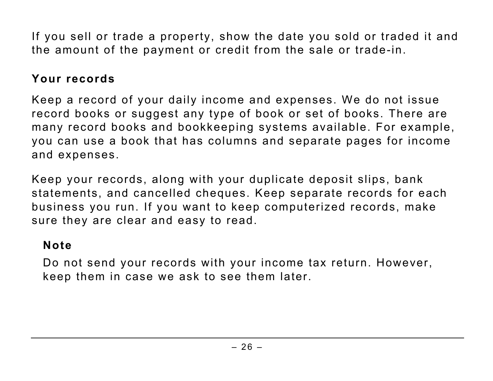If you sell or trade a property, show the date you sold or traded it and the amount of the payment or credit from the sale or trade-in.

#### **Your records**

Keep a record of your daily income and expenses. We do not issue record books or suggest any type of book or set of books. There are many record books and bookkeeping systems available. For example, you can use a book that has columns and separate pages for income and expenses.

Keep your records, along with your duplicate deposit slips, bank statements, and cancelled cheques. Keep separate records for each business you run. If you want to keep computerized records, make sure they are clear and easy to read.

#### **Note**

Do not send your records with your income tax return. However, keep them in case we ask to see them later.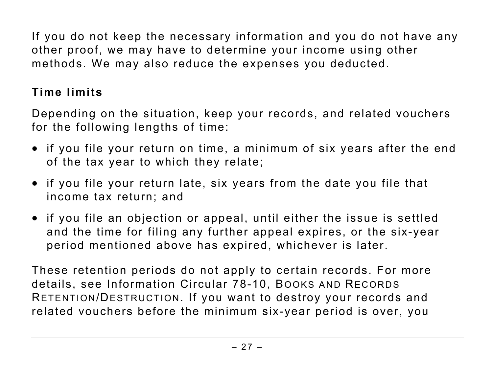If you do not keep the necessary information and you do not have any other proof, we may have to determine your income using other methods. We may also reduce the expenses you deducted.

## **Time limits**

Depending on the situation, keep your records, and related vouchers for the following lengths of time:

- if you file your return on time, a minimum of six years after the end of the tax year to which they relate;
- if you file your return late, six years from the date you file that income tax return; and
- if you file an objection or appeal, until either the issue is settled and the time for filing any further appeal expires, or the six-year period mentioned above has expired, whichever is later.

These retention periods do not apply to certain records. For more details, see Information Circular 78-10, BOOKS AND RECORDS RETENTION/DESTRUCTION. If you want to destroy your records and related vouchers before the minimum six-year period is over, you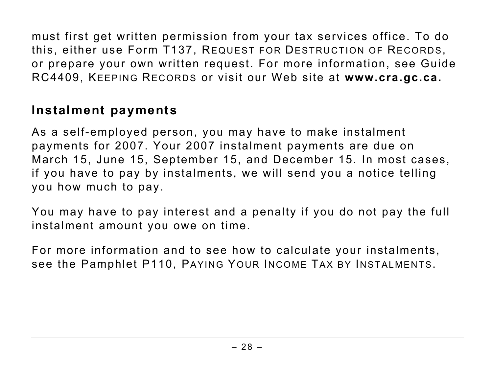must first get written permission from your tax services office. To do this, either use Form T137, REQUEST FOR DESTRUCTION OF RECORDS, or prepare your own written request. For more information, see Guide RC4409, KEEPING RECORDS or visit our Web site at **www.cra.gc.ca.**

# **Instalment payments**

As a self-employed person, you may have to make instalment payments for 2007. Your 2007 instalment payments are due on March 15, June 15, September 15, and December 15. In most cases, if you have to pay by instalments, we will send you a notice telling you how much to pay.

You may have to pay interest and a penalty if you do not pay the full instalment amount you owe on time.

For more information and to see how to calculate your instalments, see the Pamphlet P110, PAYING YOUR INCOME TAX BY INSTALMENTS.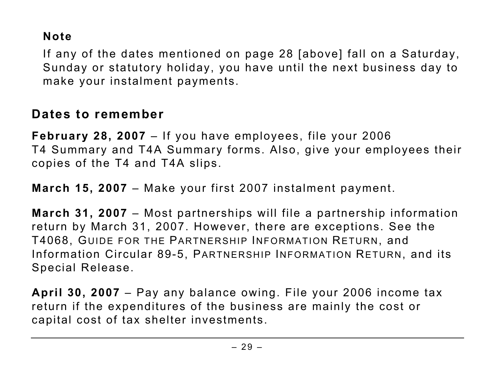#### **Note**

If any of the dates mentioned on page 28 [above] fall on a Saturday, Sunday or statutory holiday, you have until the next business day to make your instalment payments.

#### **Dates to remember**

**February 28, 2007** – If you have employees, file your 2006 T4 Summary and T4A Summary forms. Also, give your employees their copies of the T4 and T4A slips.

**March 15, 2007** – Make your first 2007 instalment payment.

**March 31, 2007** – Most partnerships will file a partnership information return by March 31, 2007. However, there are exceptions. See the T4068, GUIDE FOR THE PARTNERSHIP INFORMATION RETURN, and Information Circular 89-5, PARTNERSHIP INFORMATION RETURN, and its Special Release.

**April 30, 2007** – Pay any balance owing. File your 2006 income tax return if the expenditures of the business are mainly the cost or capital cost of tax shelter investments.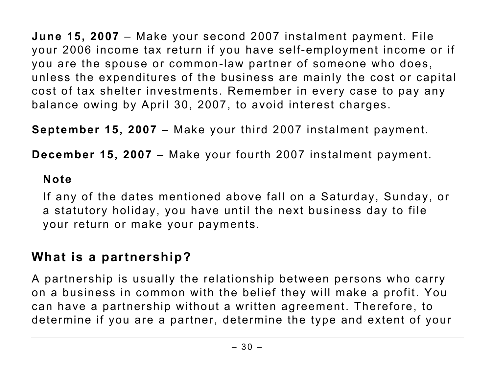**June 15, 2007** – Make your second 2007 instalment payment. File your 2006 income tax return if you have self-employment income or if you are the spouse or common-law partner of someone who does, unless the expenditures of the business are mainly the cost or capital cost of tax shelter investments. Remember in every case to pay any balance owing by April 30, 2007, to avoid interest charges.

**September 15, 2007** – Make your third 2007 instalment payment.

**December 15, 2007** – Make your fourth 2007 instalment payment.

#### **Note**

If any of the dates mentioned above fall on a Saturday, Sunday, or a statutory holiday, you have until the next business day to file your return or make your payments.

## **What is a partnership?**

A partnership is usually the relationship between persons who carry on a business in common with the belief they will make a profit. You can have a partnership without a written agreement. Therefore, to determine if you are a partner, determine the type and extent of your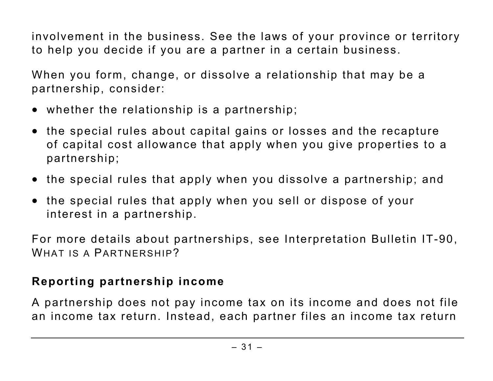involvement in the business. See the laws of your province or territory to help you decide if you are a partner in a certain business.

When you form, change, or dissolve a relationship that may be a partnership, consider:

- whether the relationship is a partnership;
- the special rules about capital gains or losses and the recapture of capital cost allowance that apply when you give properties to a partnership;
- the special rules that apply when you dissolve a partnership; and
- the special rules that apply when you sell or dispose of your interest in a partnership.

For more details about partnerships, see Interpretation Bulletin IT-90, WHAT IS A PARTNERSHIP?

#### **Reporting partnership income**

A partnership does not pay income tax on its income and does not file an income tax return. Instead, each partner files an income tax return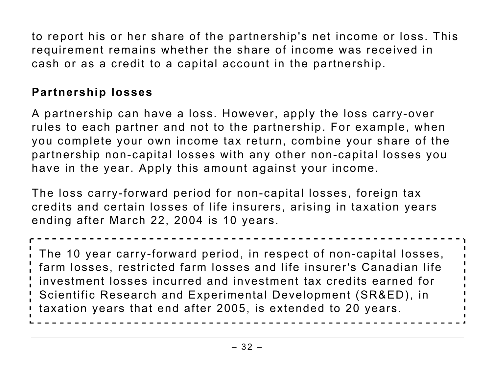to report his or her share of the partnership's net income or loss. This requirement remains whether the share of income was received in cash or as a credit to a capital account in the partnership.

#### **Partnership losses**

A partnership can have a loss. However, apply the loss carry-over rules to each partner and not to the partnership. For example, when you complete your own income tax return, combine your share of the partnership non-capital losses with any other non-capital losses you have in the year. Apply this amount against your income.

The loss carry-forward period for non-capital losses, foreign tax credits and certain losses of life insurers, arising in taxation years ending after March 22, 2004 is 10 years.

The 10 year carry-forward period, in respect of non-capital losses, farm losses, restricted farm losses and life insurer's Canadian life investment losses incurred and investment tax credits earned for Scientific Research and Experimental Development (SR&ED), in taxation years that end after 2005, is extended to 20 years.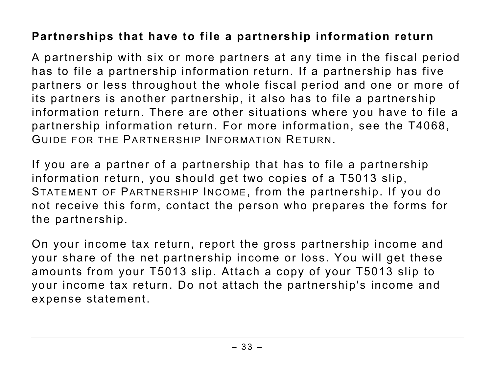#### **Partnerships that have to file a partnership information return**

A partnership with six or more partners at any time in the fiscal period has to file a partnership information return. If a partnership has five partners or less throughout the whole fiscal period and one or more of its partners is another partnership, it also has to file a partnership information return. There are other situations where you have to file a partnership information return. For more information, see the T4068, GUIDE FOR THE PARTNERSHIP INFORMATION RETURN.

If you are a partner of a partnership that has to file a partnership information return, you should get two copies of a T5013 slip, STATEMENT OF PARTNERSHIP INCOME, from the partnership. If you do not receive this form, contact the person who prepares the forms for the partnership.

On your income tax return, report the gross partnership income and your share of the net partnership income or loss. You will get these amounts from your T5013 slip. Attach a copy of your T5013 slip to your income tax return. Do not attach the partnership's income and expense statement.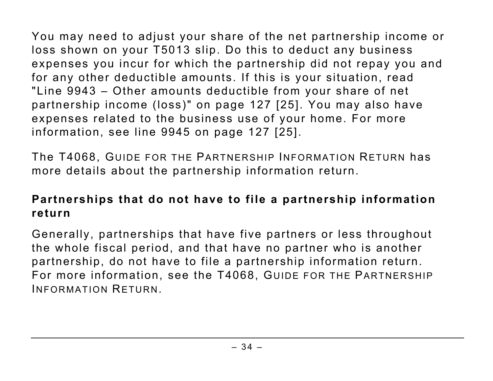You may need to adjust your share of the net partnership income or loss shown on your T5013 slip. Do this to deduct any business expenses you incur for which the partnership did not repay you and for any other deductible amounts. If this is your situation, read "Line 9943 – Other amounts deductible from your share of net partnership income (loss)" on page 127 [25]. You may also have expenses related to the business use of your home. For more information, see line 9945 on page 127 [25].

The T4068, GUIDE FOR THE PARTNERSHIP INFORMATION RETURN has more details about the partnership information return.

#### **Partnerships that do not have to file a partnership information return**

Generally, partnerships that have five partners or less throughout the whole fiscal period, and that have no partner who is another partnership, do not have to file a partnership information return. For more information, see the T4068, GUIDE FOR THE PARTNERSHIP INFORMATION RETURN.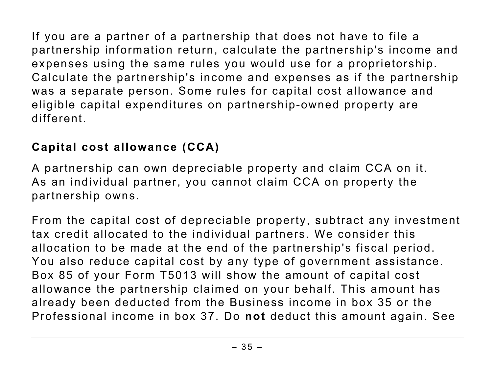If you are a partner of a partnership that does not have to file a partnership information return, calculate the partnership's income and expenses using the same rules you would use for a proprietorship. Calculate the partnership's income and expenses as if the partnership was a separate person. Some rules for capital cost allowance and eligible capital expenditures on partnership-owned property are different.

# **Capital cost allowance (CCA)**

A partnership can own depreciable property and claim CCA on it. As an individual partner, you cannot claim CCA on property the partnership owns.

From the capital cost of depreciable property, subtract any investment tax credit allocated to the individual partners. We consider this allocation to be made at the end of the partnership's fiscal period. You also reduce capital cost by any type of government assistance. Box 85 of your Form T5013 will show the amount of capital cost allowance the partnership claimed on your behalf. This amount has already been deducted from the Business income in box 35 or the Professional income in box 37. Do **not** deduct this amount again. See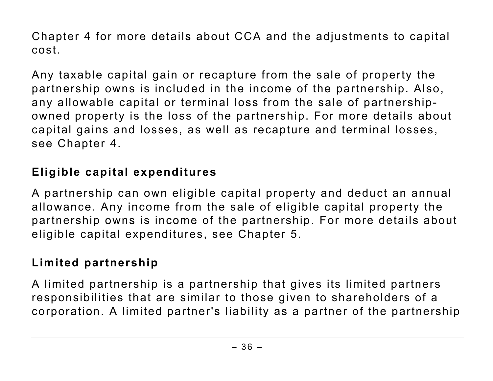Chapter 4 for more details about CCA and the adjustments to capital cost.

Any taxable capital gain or recapture from the sale of property the partnership owns is included in the income of the partnership. Also, any allowable capital or terminal loss from the sale of partnershipowned property is the loss of the partnership. For more details about capital gains and losses, as well as recapture and terminal losses, see Chapter 4.

# **Eligible capital expenditures**

A partnership can own eligible capital property and deduct an annual allowance. Any income from the sale of eligible capital property the partnership owns is income of the partnership. For more details about eligible capital expenditures, see Chapter 5.

# **Limited partnership**

A limited partnership is a partnership that gives its limited partners responsibilities that are similar to those given to shareholders of a corporation. A limited partner's liability as a partner of the partnership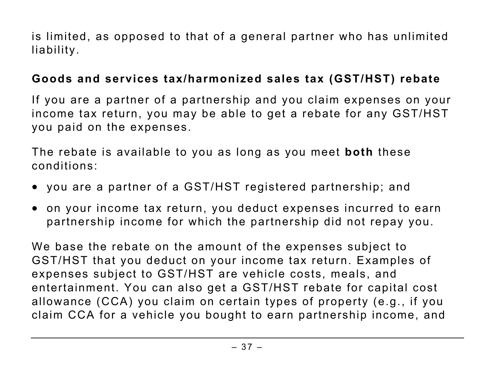is limited, as opposed to that of a general partner who has unlimited liability.

### **Goods and services tax/harmonized sales tax (GST/HST) rebate**

If you are a partner of a partnership and you claim expenses on your income tax return, you may be able to get a rebate for any GST/HST you paid on the expenses.

The rebate is available to you as long as you meet **both** these conditions:

- you are a partner of a GST/HST registered partnership; and
- on your income tax return, you deduct expenses incurred to earn partnership income for which the partnership did not repay you.

We base the rebate on the amount of the expenses subject to GST/HST that you deduct on your income tax return. Examples of expenses subject to GST/HST are vehicle costs, meals, and entertainment. You can also get a GST/HST rebate for capital cost allowance (CCA) you claim on certain types of property (e.g., if you claim CCA for a vehicle you bought to earn partnership income, and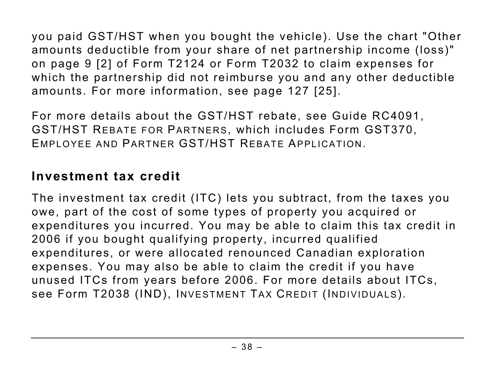you paid GST/HST when you bought the vehicle). Use the chart "Other amounts deductible from your share of net partnership income (loss)" on page 9 [2] of Form T2124 or Form T2032 to claim expenses for which the partnership did not reimburse you and any other deductible amounts. For more information, see page 127 [25].

For more details about the GST/HST rebate, see Guide RC4091, GST/HST REBATE FOR PARTNERS, which includes Form GST370, EMPLOYEE AND PARTNER GST/HST REBATE APPLICATION.

# **Investment tax credit**

The investment tax credit (ITC) lets you subtract, from the taxes you owe, part of the cost of some types of property you acquired or expenditures you incurred. You may be able to claim this tax credit in 2006 if you bought qualifying property, incurred qualified expenditures, or were allocated renounced Canadian exploration expenses. You may also be able to claim the credit if you have unused ITCs from years before 2006. For more details about ITCs, see Form T2038 (IND), INVESTMENT TAX CREDIT (INDIVIDUALS).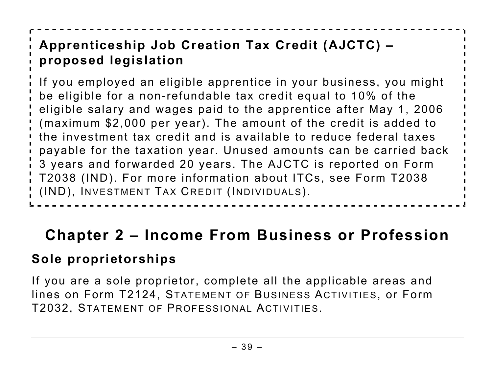# **Apprenticeship Job Creation Tax Credit (AJCTC) – proposed legislation**

If you employed an eligible apprentice in your business, you might be eligible for a non-refundable tax credit equal to 10% of the eligible salary and wages paid to the apprentice after May 1, 2006 (maximum \$2,000 per year). The amount of the credit is added to the investment tax credit and is available to reduce federal taxes payable for the taxation year. Unused amounts can be carried back 3 years and forwarded 20 years. The AJCTC is reported on Form T2038 (IND). For more information about ITCs, see Form T2038 (IND), INVESTMENT TAX CREDIT (INDIVIDUALS).

# **Chapter 2 – Income From Business or Profession**

# **Sole proprietorships**

If you are a sole proprietor, complete all the applicable areas and lines on Form T2124, STATEMENT OF BUSINESS ACTIVITIES, or Form T2032, STATEMENT OF PROFESSIONAL ACTIVITIES.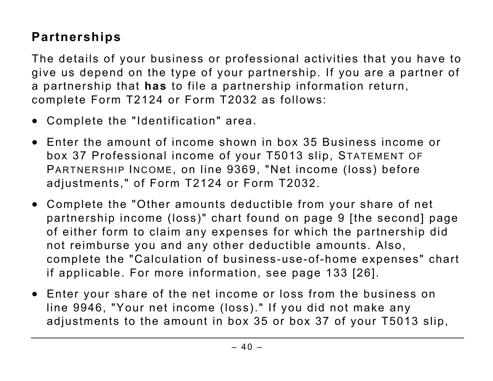# **Partnerships**

The details of your business or professional activities that you have to give us depend on the type of your partnership. If you are a partner of a partnership that **has** to file a partnership information return, complete Form T2124 or Form T2032 as follows:

- Complete the "Identification" area.
- Enter the amount of income shown in box 35 Business income or box 37 Professional income of your T5013 slip, STATEMENT OF PARTNERSHIP INCOME, on line 9369, "Net income (loss) before adjustments," of Form T2124 or Form T2032.
- Complete the "Other amounts deductible from your share of net partnership income (loss)" chart found on page 9 [the second] page of either form to claim any expenses for which the partnership did not reimburse you and any other deductible amounts. Also, complete the "Calculation of business-use-of-home expenses" chart if applicable. For more information, see page 133 [26].
- Enter your share of the net income or loss from the business on line 9946, "Your net income (loss)." If you did not make any adjustments to the amount in box 35 or box 37 of your T5013 slip,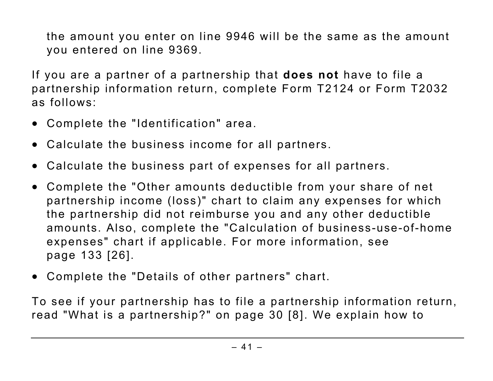the amount you enter on line 9946 will be the same as the amount you entered on line 9369.

If you are a partner of a partnership that **does not** have to file a partnership information return, complete Form T2124 or Form T2032 as follows:

- Complete the "Identification" area.
- Calculate the business income for all partners.
- Calculate the business part of expenses for all partners.
- Complete the "Other amounts deductible from your share of net partnership income (loss)" chart to claim any expenses for which the partnership did not reimburse you and any other deductible amounts. Also, complete the "Calculation of business-use-of-home expenses" chart if applicable. For more information, see page 133 [26].
- Complete the "Details of other partners" chart.

To see if your partnership has to file a partnership information return, read "What is a partnership?" on page 30 [8]. We explain how to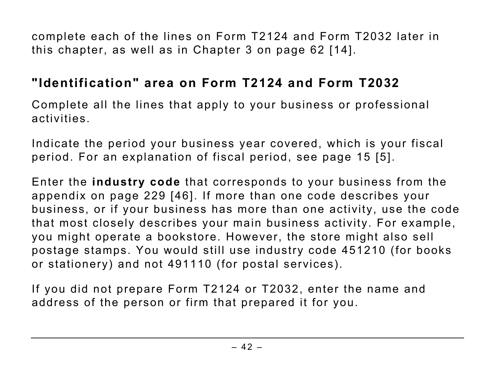complete each of the lines on Form T2124 and Form T2032 later in this chapter, as well as in Chapter 3 on page 62 [14].

# **"Identification" area on Form T2124 and Form T2032**

Complete all the lines that apply to your business or professional activities.

Indicate the period your business year covered, which is your fiscal period. For an explanation of fiscal period, see page 15 [5].

Enter the **industry code** that corresponds to your business from the appendix on page 229 [46]. If more than one code describes your business, or if your business has more than one activity, use the code that most closely describes your main business activity. For example, you might operate a bookstore. However, the store might also sell postage stamps. You would still use industry code 451210 (for books or stationery) and not 491110 (for postal services).

If you did not prepare Form T2124 or T2032, enter the name and address of the person or firm that prepared it for you.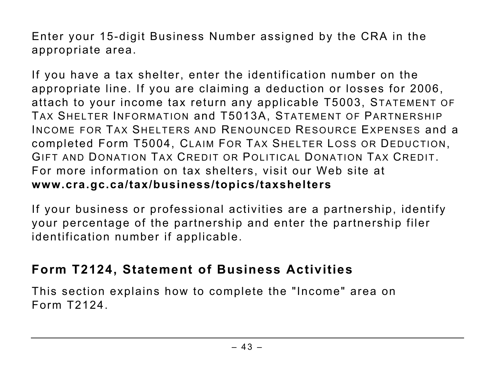Enter your 15-digit Business Number assigned by the CRA in the appropriate area.

If you have a tax shelter, enter the identification number on the appropriate line. If you are claiming a deduction or losses for 2006, attach to your income tax return any applicable T5003, STATEMENT OF TAX SHELTER INFORMATION and T5013A, STATEMENT OF PARTNERSHIP INCOME FOR TAX SHELTERS AND RENOUNCED RESOURCE EXPENSES and a completed Form T5004, CLAIM FOR TAX SHELTER LOSS OR DEDUCTION, GIFT AND DONATION TAX CREDIT OR POLITICAL DONATION TAX CREDIT. For more information on tax shelters, visit our Web site at **www.cra.gc.ca/tax/business/topics/taxshelters**

If your business or professional activities are a partnership, identify your percentage of the partnership and enter the partnership filer identification number if applicable.

# **Form T2124, Statement of Business Activities**

This section explains how to complete the "Income" area on Form T2124.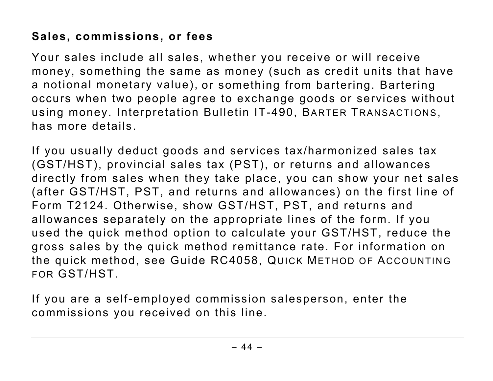# **Sales, commissions, or fees**

Your sales include all sales, whether you receive or will receive money, something the same as money (such as credit units that have a notional monetary value), or something from bartering. Bartering occurs when two people agree to exchange goods or services without using money. Interpretation Bulletin IT-490, BARTER TRANSACTIONS, has more details.

If you usually deduct goods and services tax/harmonized sales tax (GST/HST), provincial sales tax (PST), or returns and allowances directly from sales when they take place, you can show your net sales (after GST/HST, PST, and returns and allowances) on the first line of Form T2124. Otherwise, show GST/HST, PST, and returns and allowances separately on the appropriate lines of the form. If you used the quick method option to calculate your GST/HST, reduce the gross sales by the quick method remittance rate. For information on the quick method, see Guide RC4058, QUICK METHOD OF ACCOUNTING FOR GST/HST.

If you are a self-employed commission salesperson, enter the commissions you received on this line.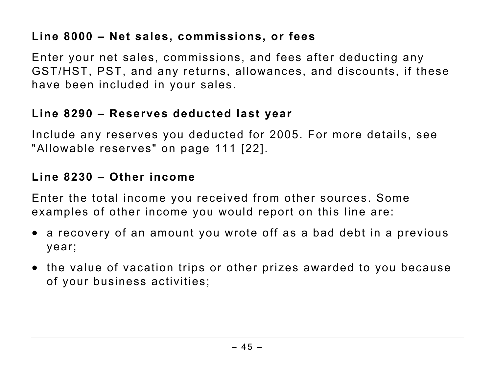# **Line 8000 – Net sales, commissions, or fees**

Enter your net sales, commissions, and fees after deducting any GST/HST, PST, and any returns, allowances, and discounts, if these have been included in your sales.

### **Line 8290 – Reserves deducted last year**

Include any reserves you deducted for 2005. For more details, see "Allowable reserves" on page 111 [22].

### **Line 8230 – Other income**

Enter the total income you received from other sources. Some examples of other income you would report on this line are:

- a recovery of an amount you wrote off as a bad debt in a previous year;
- the value of vacation trips or other prizes awarded to you because of your business activities;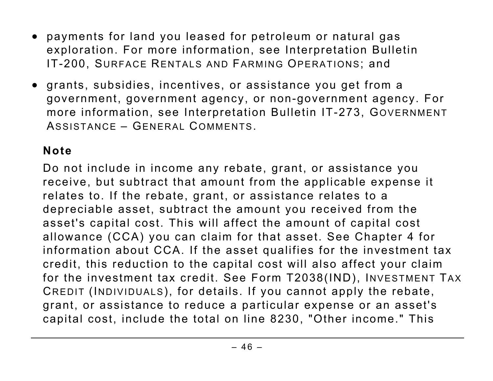- payments for land you leased for petroleum or natural gas exploration. For more information, see Interpretation Bulletin IT-200, SURFACE RENTALS AND FARMING OPERATIONS; and
- grants, subsidies, incentives, or assistance you get from a government, government agency, or non-government agency. For more information, see Interpretation Bulletin IT-273, GOVERNMENT ASSISTANCE – GENERAL COMMENTS.

# **Note**

Do not include in income any rebate, grant, or assistance you receive, but subtract that amount from the applicable expense it relates to. If the rebate, grant, or assistance relates to a depreciable asset, subtract the amount you received from the asset's capital cost. This will affect the amount of capital cost allowance (CCA) you can claim for that asset. See Chapter 4 for information about CCA. If the asset qualifies for the investment tax credit, this reduction to the capital cost will also affect your claim for the investment tax credit. See Form T2038(IND), INVESTMENT TAX CREDIT (INDIVIDUALS), for details. If you cannot apply the rebate, grant, or assistance to reduce a particular expense or an asset's capital cost, include the total on line 8230, "Other income." This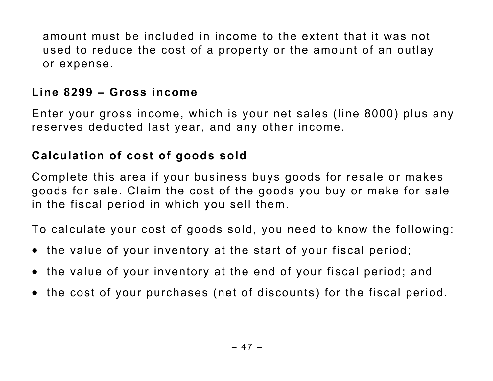amount must be included in income to the extent that it was not used to reduce the cost of a property or the amount of an outlay or expense.

### **Line 8299 – Gross income**

Enter your gross income, which is your net sales (line 8000) plus any reserves deducted last year, and any other income.

# **Calculation of cost of goods sold**

Complete this area if your business buys goods for resale or makes goods for sale. Claim the cost of the goods you buy or make for sale in the fiscal period in which you sell them.

To calculate your cost of goods sold, you need to know the following:

- the value of your inventory at the start of your fiscal period;
- the value of your inventory at the end of your fiscal period; and
- the cost of your purchases (net of discounts) for the fiscal period.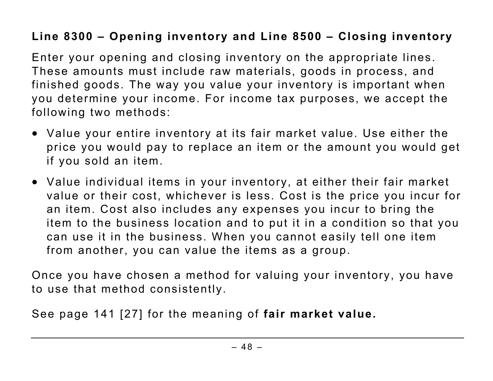# **Line 8300 – Opening inventory and Line 8500 – Closing inventory**

Enter your opening and closing inventory on the appropriate lines. These amounts must include raw materials, goods in process, and finished goods. The way you value your inventory is important when you determine your income. For income tax purposes, we accept the following two methods:

- Value your entire inventory at its fair market value. Use either the price you would pay to replace an item or the amount you would get if you sold an item.
- Value individual items in your inventory, at either their fair market value or their cost, whichever is less. Cost is the price you incur for an item. Cost also includes any expenses you incur to bring the item to the business location and to put it in a condition so that you can use it in the business. When you cannot easily tell one item from another, you can value the items as a group.

Once you have chosen a method for valuing your inventory, you have to use that method consistently.

See page 141 [27] for the meaning of **fair market value.**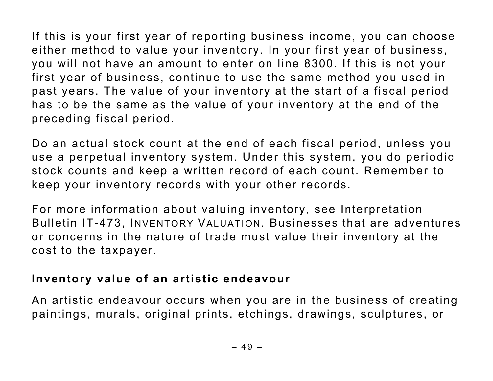If this is your first year of reporting business income, you can choose either method to value your inventory. In your first year of business, you will not have an amount to enter on line 8300. If this is not your first year of business, continue to use the same method you used in past years. The value of your inventory at the start of a fiscal period has to be the same as the value of your inventory at the end of the preceding fiscal period.

Do an actual stock count at the end of each fiscal period, unless you use a perpetual inventory system. Under this system, you do periodic stock counts and keep a written record of each count. Remember to keep your inventory records with your other records.

For more information about valuing inventory, see Interpretation Bulletin IT-473, INVENTORY VALUATION. Businesses that are adventures or concerns in the nature of trade must value their inventory at the cost to the taxpayer.

#### **Inventory value of an artistic endeavour**

An artistic endeavour occurs when you are in the business of creating paintings, murals, original prints, etchings, drawings, sculptures, or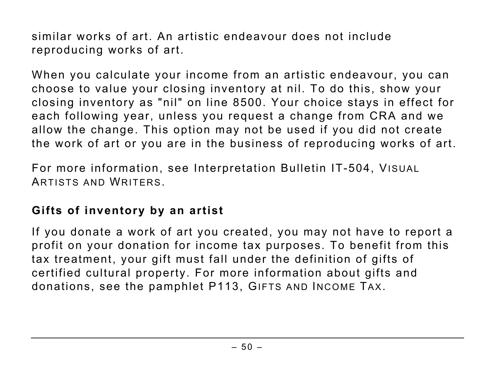similar works of art. An artistic endeavour does not include reproducing works of art.

When you calculate your income from an artistic endeavour, you can choose to value your closing inventory at nil. To do this, show your closing inventory as "nil" on line 8500. Your choice stays in effect for each following year, unless you request a change from CRA and we allow the change. This option may not be used if you did not create the work of art or you are in the business of reproducing works of art.

For more information, see Interpretation Bulletin IT-504, VISUAL ARTISTS AND WRITERS.

### **Gifts of inventory by an artist**

If you donate a work of art you created, you may not have to report a profit on your donation for income tax purposes. To benefit from this tax treatment, your gift must fall under the definition of gifts of certified cultural property. For more information about gifts and donations, see the pamphlet P113, GIFTS AND INCOME TAX.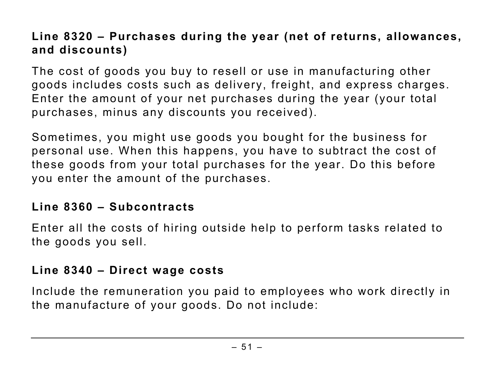# **Line 8320 – Purchases during the year (net of returns, allowances, and discounts)**

The cost of goods you buy to resell or use in manufacturing other goods includes costs such as delivery, freight, and express charges. Enter the amount of your net purchases during the year (your total purchases, minus any discounts you received).

Sometimes, you might use goods you bought for the business for personal use. When this happens, you have to subtract the cost of these goods from your total purchases for the year. Do this before you enter the amount of the purchases.

### **Line 8360 – Subcontracts**

Enter all the costs of hiring outside help to perform tasks related to the goods you sell.

#### **Line 8340 – Direct wage costs**

Include the remuneration you paid to employees who work directly in the manufacture of your goods. Do not include: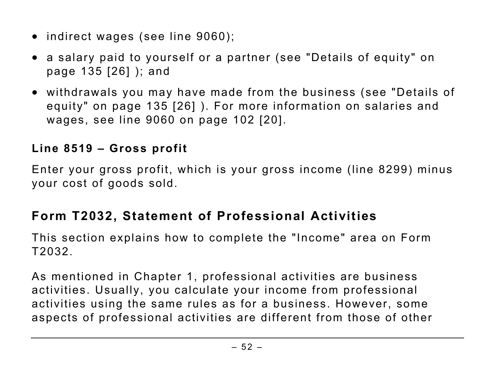- indirect wages (see line 9060);
- a salary paid to yourself or a partner (see "Details of equity" on page 135 [26] ); and
- withdrawals you may have made from the business (see "Details of equity" on page 135 [26] ). For more information on salaries and wages, see line 9060 on page 102 [20].

# **Line 8519 – Gross profit**

Enter your gross profit, which is your gross income (line 8299) minus your cost of goods sold.

# **Form T2032, Statement of Professional Activities**

This section explains how to complete the "Income" area on Form T2032.

As mentioned in Chapter 1, professional activities are business activities. Usually, you calculate your income from professional activities using the same rules as for a business. However, some aspects of professional activities are different from those of other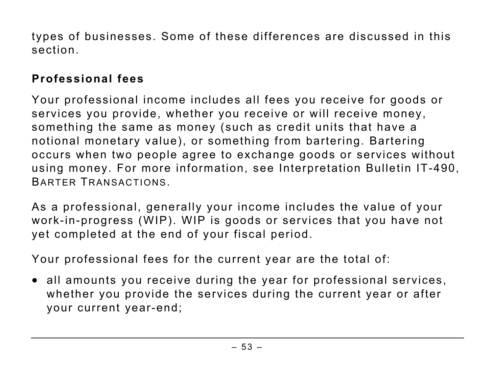types of businesses. Some of these differences are discussed in this section.

# **Professional fees**

Your professional income includes all fees you receive for goods or services you provide, whether you receive or will receive money, something the same as money (such as credit units that have a notional monetary value), or something from bartering. Bartering occurs when two people agree to exchange goods or services without using money. For more information, see Interpretation Bulletin IT-490, BARTER TRANSACTIONS.

As a professional, generally your income includes the value of your work-in-progress (WIP). WIP is goods or services that you have not yet completed at the end of your fiscal period.

Your professional fees for the current year are the total of:

• all amounts you receive during the year for professional services, whether you provide the services during the current year or after your current year-end;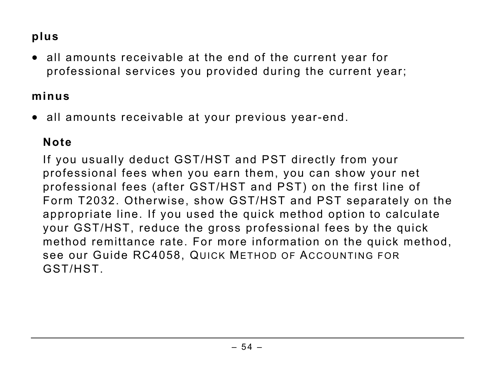# **plus**

• all amounts receivable at the end of the current year for professional services you provided during the current year;

## **minus**

• all amounts receivable at your previous year-end.

# **Note**

If you usually deduct GST/HST and PST directly from your professional fees when you earn them, you can show your net professional fees (after GST/HST and PST) on the first line of Form T2032. Otherwise, show GST/HST and PST separately on the appropriate line. If you used the quick method option to calculate your GST/HST, reduce the gross professional fees by the quick method remittance rate. For more information on the quick method, see our Guide RC4058, QUICK METHOD OF ACCOUNTING FOR GST/HST.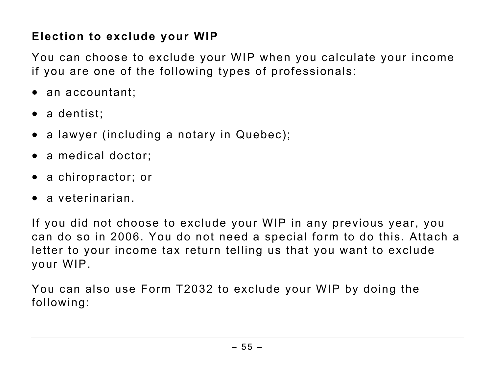# **Election to exclude your WIP**

You can choose to exclude your WIP when you calculate your income if you are one of the following types of professionals:

- an accountant;
- a dentist:
- a lawyer (including a notary in Quebec);
- a medical doctor:
- a chiropractor; or
- a veterinarian.

If you did not choose to exclude your WIP in any previous year, you can do so in 2006. You do not need a special form to do this. Attach a letter to your income tax return telling us that you want to exclude your WIP.

You can also use Form T2032 to exclude your WIP by doing the following: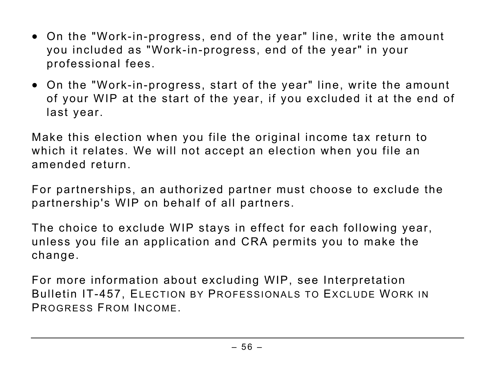- On the "Work-in-progress, end of the year" line, write the amount you included as "Work-in-progress, end of the year" in your professional fees.
- On the "Work-in-progress, start of the year" line, write the amount of your WIP at the start of the year, if you excluded it at the end of last year.

Make this election when you file the original income tax return to which it relates. We will not accept an election when you file an amended return.

For partnerships, an authorized partner must choose to exclude the partnership's WIP on behalf of all partners.

The choice to exclude WIP stays in effect for each following year, unless you file an application and CRA permits you to make the change.

For more information about excluding WIP, see Interpretation Bulletin IT-457, ELECTION BY PROFESSIONALS TO EXCLUDE WORK IN PROGRESS FROM INCOME.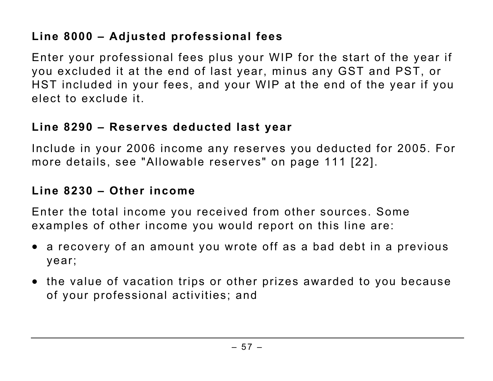# **Line 8000 – Adjusted professional fees**

Enter your professional fees plus your WIP for the start of the year if you excluded it at the end of last year, minus any GST and PST, or HST included in your fees, and your WIP at the end of the year if you elect to exclude it.

# **Line 8290 – Reserves deducted last year**

Include in your 2006 income any reserves you deducted for 2005. For more details, see "Allowable reserves" on page 111 [22].

# **Line 8230 – Other income**

Enter the total income you received from other sources. Some examples of other income you would report on this line are:

- a recovery of an amount you wrote off as a bad debt in a previous year;
- the value of vacation trips or other prizes awarded to you because of your professional activities; and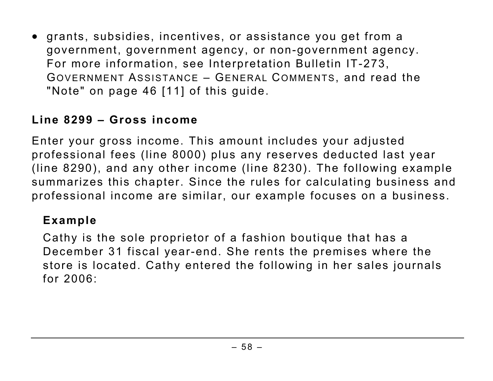• grants, subsidies, incentives, or assistance you get from a government, government agency, or non-government agency. For more information, see Interpretation Bulletin IT-273, GOVERNMENT ASSISTANCE – GENERAL COMMENTS, and read the "Note" on page 46 [11] of this guide.

### **Line 8299 – Gross income**

Enter your gross income. This amount includes your adjusted professional fees (line 8000) plus any reserves deducted last year (line 8290), and any other income (line 8230). The following example summarizes this chapter. Since the rules for calculating business and professional income are similar, our example focuses on a business.

#### **Example**

Cathy is the sole proprietor of a fashion boutique that has a December 31 fiscal year-end. She rents the premises where the store is located. Cathy entered the following in her sales journals for 2006: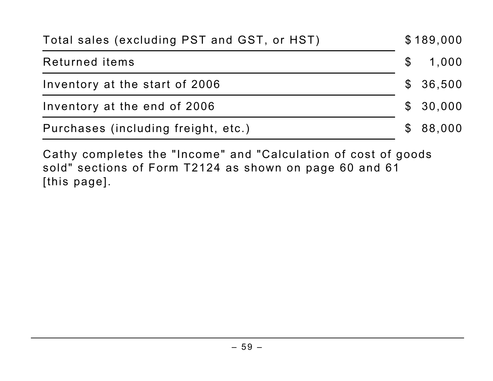| Total sales (excluding PST and GST, or HST) |  | \$189,000 |  |
|---------------------------------------------|--|-----------|--|
| Returned items                              |  | \$ 1,000  |  |
| Inventory at the start of 2006              |  | \$36,500  |  |
| Inventory at the end of 2006                |  | \$30,000  |  |
| Purchases (including freight, etc.)         |  | \$88,000  |  |

Cathy completes the "Income" and "Calculation of cost of goods sold" sections of Form T2124 as shown on page 60 and 61 [this page].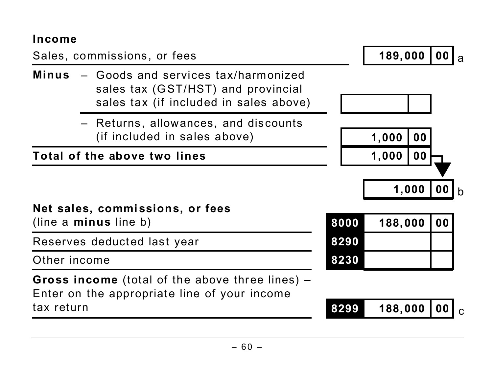#### **Income**

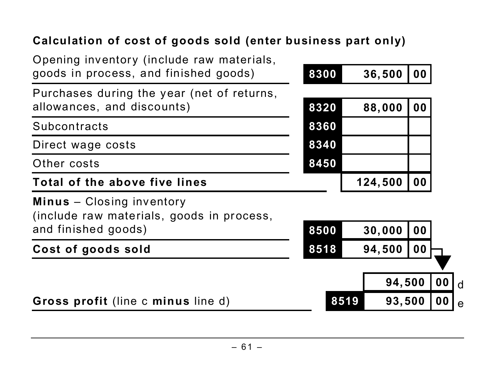# **Calculation of cost of goods sold (enter business part only)**

| Gross profit (line c minus line d)                                                                   | 8519 |         | 93,500         | 0 <sub>0</sub> | $\mathbf e$  |
|------------------------------------------------------------------------------------------------------|------|---------|----------------|----------------|--------------|
|                                                                                                      |      |         | 94,500         | 0 <sub>0</sub> | $\mathsf{d}$ |
| Cost of goods sold                                                                                   | 8518 | 94,500  | 0 <sub>0</sub> |                |              |
| <b>Minus</b> – Closing inventory<br>(include raw materials, goods in process,<br>and finished goods) | 8500 | 30,000  | 00             |                |              |
| Total of the above five lines                                                                        |      | 124,500 | 00             |                |              |
| Other costs                                                                                          | 8450 |         |                |                |              |
| Direct wage costs                                                                                    | 8340 |         |                |                |              |
| Subcontracts                                                                                         | 8360 |         |                |                |              |
| Purchases during the year (net of returns,<br>allowances, and discounts)                             | 8320 | 88,000  | 00             |                |              |
| Opening inventory (include raw materials,<br>goods in process, and finished goods)                   | 8300 | 36,500  | 00             |                |              |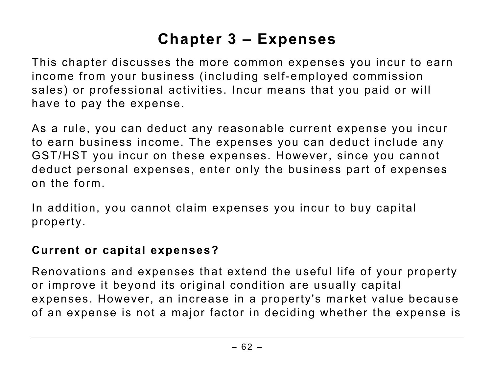# **Chapter 3 – Expenses**

This chapter discusses the more common expenses you incur to earn income from your business (including self-employed commission sales) or professional activities. Incur means that you paid or will have to pay the expense.

As a rule, you can deduct any reasonable current expense you incur to earn business income. The expenses you can deduct include any GST/HST you incur on these expenses. However, since you cannot deduct personal expenses, enter only the business part of expenses on the form.

In addition, you cannot claim expenses you incur to buy capital property.

### **Current or capital expenses?**

Renovations and expenses that extend the useful life of your property or improve it beyond its original condition are usually capital expenses. However, an increase in a property's market value because of an expense is not a major factor in deciding whether the expense is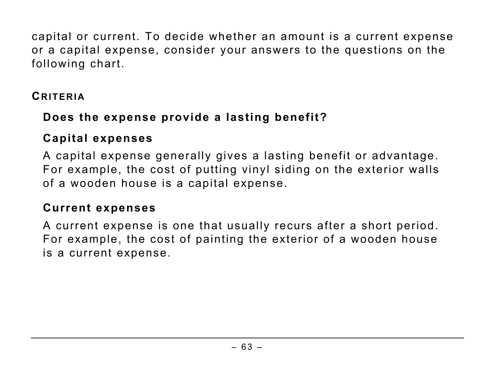capital or current. To decide whether an amount is a current expense or a capital expense, consider your answers to the questions on the following chart.

### **CRITERIA**

### **Does the expense provide a lasting benefit?**

#### **Capital expenses**

A capital expense generally gives a lasting benefit or advantage. For example, the cost of putting vinyl siding on the exterior walls of a wooden house is a capital expense.

#### **Current expenses**

A current expense is one that usually recurs after a short period. For example, the cost of painting the exterior of a wooden house is a current expense.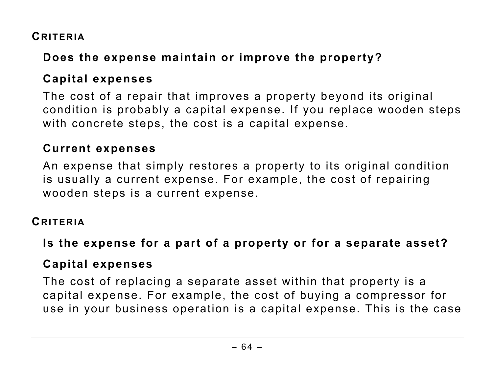### **CRITERIA**

# **Does the expense maintain or improve the property?**

# **Capital expenses**

The cost of a repair that improves a property beyond its original condition is probably a capital expense. If you replace wooden steps with concrete steps, the cost is a capital expense.

### **Current expenses**

An expense that simply restores a property to its original condition is usually a current expense. For example, the cost of repairing wooden steps is a current expense.

#### **CRITERIA**

### **Is the expense for a part of a property or for a separate asset?**

### **Capital expenses**

The cost of replacing a separate asset within that property is a capital expense. For example, the cost of buying a compressor for use in your business operation is a capital expense. This is the case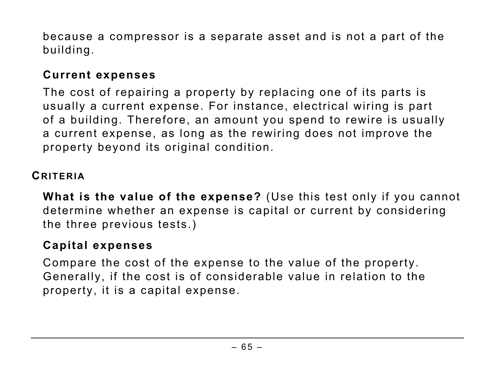because a compressor is a separate asset and is not a part of the building.

### **Current expenses**

The cost of repairing a property by replacing one of its parts is usually a current expense. For instance, electrical wiring is part of a building. Therefore, an amount you spend to rewire is usually a current expense, as long as the rewiring does not improve the property beyond its original condition.

## **CRITERIA**

**What is the value of the expense?** (Use this test only if you cannot determine whether an expense is capital or current by considering the three previous tests.)

### **Capital expenses**

Compare the cost of the expense to the value of the property. Generally, if the cost is of considerable value in relation to the property, it is a capital expense.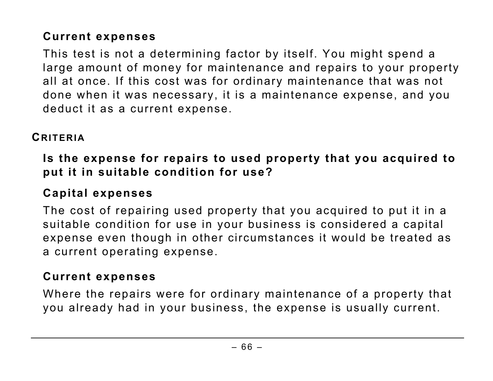# **Current expenses**

This test is not a determining factor by itself. You might spend a large amount of money for maintenance and repairs to your property all at once. If this cost was for ordinary maintenance that was not done when it was necessary, it is a maintenance expense, and you deduct it as a current expense.

## **CRITERIA**

**Is the expense for repairs to used property that you acquired to put it in suitable condition for use?** 

# **Capital expenses**

The cost of repairing used property that you acquired to put it in a suitable condition for use in your business is considered a capital expense even though in other circumstances it would be treated as a current operating expense.

### **Current expenses**

Where the repairs were for ordinary maintenance of a property that you already had in your business, the expense is usually current.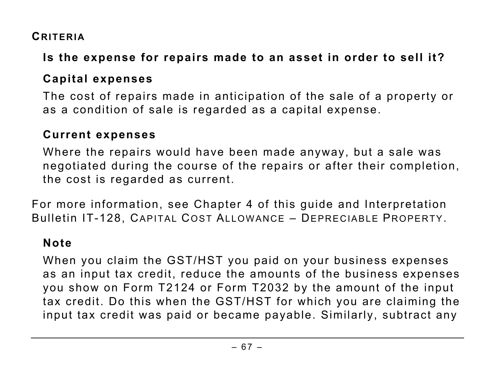### **CRITERIA**

# **Is the expense for repairs made to an asset in order to sell it?**

# **Capital expenses**

The cost of repairs made in anticipation of the sale of a property or as a condition of sale is regarded as a capital expense.

### **Current expenses**

Where the repairs would have been made anyway, but a sale was negotiated during the course of the repairs or after their completion, the cost is regarded as current.

For more information, see Chapter 4 of this guide and Interpretation Bulletin IT-128, CAPITAL COST ALLOWANCE – DEPRECIABLE PROPERTY.

# **Note**

When you claim the GST/HST you paid on your business expenses as an input tax credit, reduce the amounts of the business expenses you show on Form T2124 or Form T2032 by the amount of the input tax credit. Do this when the GST/HST for which you are claiming the input tax credit was paid or became payable. Similarly, subtract any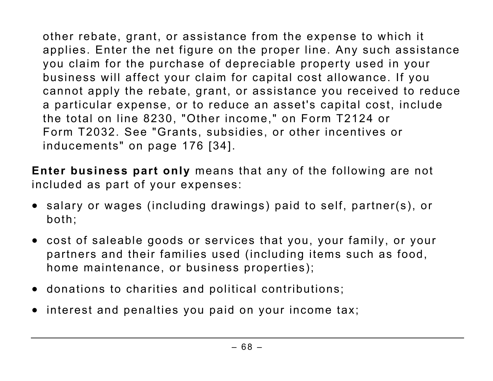other rebate, grant, or assistance from the expense to which it applies. Enter the net figure on the proper line. Any such assistance you claim for the purchase of depreciable property used in your business will affect your claim for capital cost allowance. If you cannot apply the rebate, grant, or assistance you received to reduce a particular expense, or to reduce an asset's capital cost, include the total on line 8230, "Other income," on Form T2124 or Form T2032. See "Grants, subsidies, or other incentives or inducements" on page 176 [34].

**Enter business part only** means that any of the following are not included as part of your expenses:

- salary or wages (including drawings) paid to self, partner(s), or both;
- cost of saleable goods or services that you, your family, or your partners and their families used (including items such as food, home maintenance, or business properties);
- donations to charities and political contributions;
- interest and penalties you paid on your income tax;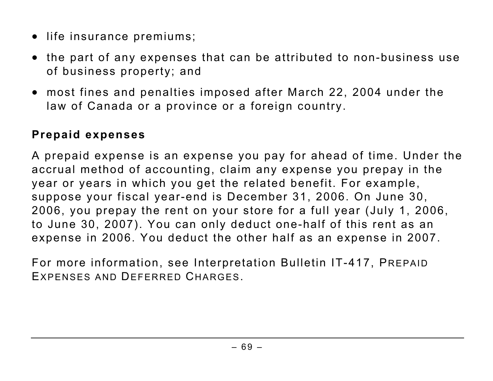- life insurance premiums;
- the part of any expenses that can be attributed to non-business use of business property; and
- most fines and penalties imposed after March 22, 2004 under the law of Canada or a province or a foreign country.

## **Prepaid expenses**

A prepaid expense is an expense you pay for ahead of time. Under the accrual method of accounting, claim any expense you prepay in the year or years in which you get the related benefit. For example, suppose your fiscal year-end is December 31, 2006. On June 30, 2006, you prepay the rent on your store for a full year (July 1, 2006, to June 30, 2007). You can only deduct one-half of this rent as an expense in 2006. You deduct the other half as an expense in 2007.

For more information, see Interpretation Bulletin IT-417, PREPAID EXPENSES AND DEFERRED CHARGES.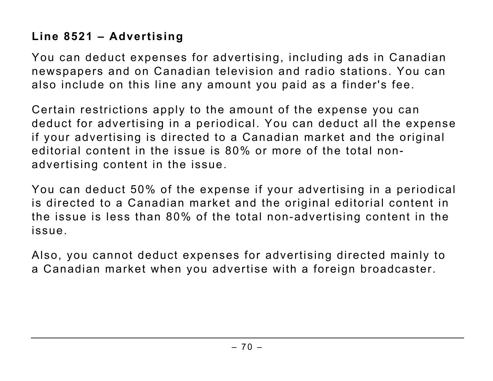# **Line 8521 – Advertising**

You can deduct expenses for advertising, including ads in Canadian newspapers and on Canadian television and radio stations. You can also include on this line any amount you paid as a finder's fee.

Certain restrictions apply to the amount of the expense you can deduct for advertising in a periodical. You can deduct all the expense if your advertising is directed to a Canadian market and the original editorial content in the issue is 80% or more of the total nonadvertising content in the issue.

You can deduct 50% of the expense if your advertising in a periodical is directed to a Canadian market and the original editorial content in the issue is less than 80% of the total non-advertising content in the issue.

Also, you cannot deduct expenses for advertising directed mainly to a Canadian market when you advertise with a foreign broadcaster.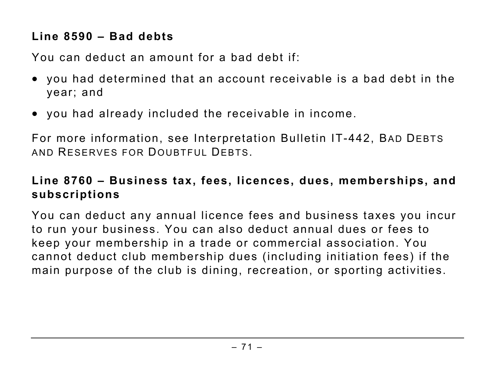### **Line 8590 – Bad debts**

You can deduct an amount for a bad debt if:

- you had determined that an account receivable is a bad debt in the year; and
- you had already included the receivable in income.

For more information, see Interpretation Bulletin IT-442, BAD DEBTS AND RESERVES FOR DOUBTFUL DEBTS.

## **Line 8760 – Business tax, fees, licences, dues, memberships, and subscriptions**

You can deduct any annual licence fees and business taxes you incur to run your business. You can also deduct annual dues or fees to keep your membership in a trade or commercial association. You cannot deduct club membership dues (including initiation fees) if the main purpose of the club is dining, recreation, or sporting activities.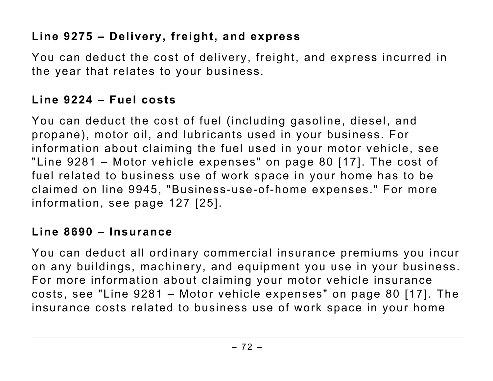## **Line 9275 – Delivery, freight, and express**

You can deduct the cost of delivery, freight, and express incurred in the year that relates to your business.

## **Line 9224 – Fuel costs**

You can deduct the cost of fuel (including gasoline, diesel, and propane), motor oil, and lubricants used in your business. For information about claiming the fuel used in your motor vehicle, see "Line 9281 – Motor vehicle expenses" on page 80 [17]. The cost of fuel related to business use of work space in your home has to be claimed on line 9945, "Business-use-of-home expenses." For more information, see page 127 [25].

#### **Line 8690 – Insurance**

You can deduct all ordinary commercial insurance premiums you incur on any buildings, machinery, and equipment you use in your business. For more information about claiming your motor vehicle insurance costs, see "Line 9281 – Motor vehicle expenses" on page 80 [17]. The insurance costs related to business use of work space in your home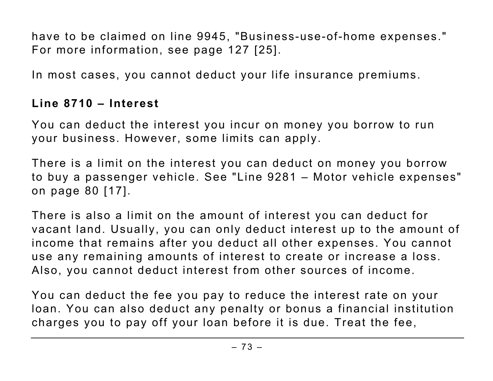have to be claimed on line 9945, "Business-use-of-home expenses." For more information, see page 127 [25].

In most cases, you cannot deduct your life insurance premiums.

# **Line 8710 – Interest**

You can deduct the interest you incur on money you borrow to run your business. However, some limits can apply.

There is a limit on the interest you can deduct on money you borrow to buy a passenger vehicle. See "Line 9281 – Motor vehicle expenses" on page 80 [17].

There is also a limit on the amount of interest you can deduct for vacant land. Usually, you can only deduct interest up to the amount of income that remains after you deduct all other expenses. You cannot use any remaining amounts of interest to create or increase a loss. Also, you cannot deduct interest from other sources of income.

You can deduct the fee you pay to reduce the interest rate on your loan. You can also deduct any penalty or bonus a financial institution charges you to pay off your loan before it is due. Treat the fee,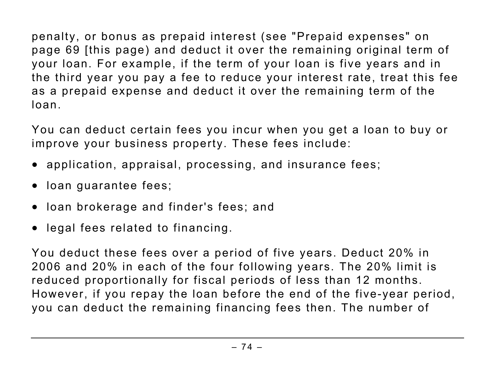penalty, or bonus as prepaid interest (see "Prepaid expenses" on page 69 [this page) and deduct it over the remaining original term of your loan. For example, if the term of your loan is five years and in the third year you pay a fee to reduce your interest rate, treat this fee as a prepaid expense and deduct it over the remaining term of the loan.

You can deduct certain fees you incur when you get a loan to buy or improve your business property. These fees include:

- application, appraisal, processing, and insurance fees;
- loan guarantee fees;
- loan brokerage and finder's fees; and
- legal fees related to financing.

You deduct these fees over a period of five years. Deduct 20% in 2006 and 20% in each of the four following years. The 20% limit is reduced proportionally for fiscal periods of less than 12 months. However, if you repay the loan before the end of the five-year period, you can deduct the remaining financing fees then. The number of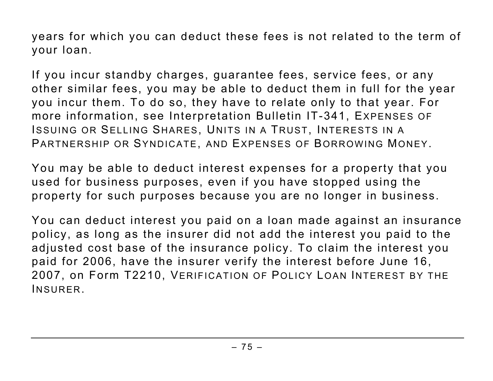years for which you can deduct these fees is not related to the term of your loan.

If you incur standby charges, guarantee fees, service fees, or any other similar fees, you may be able to deduct them in full for the year you incur them. To do so, they have to relate only to that year. For more information, see Interpretation Bulletin IT-341, EXPENSES OF ISSUING OR SELLING SHARES, UNITS IN A TRUST, INTERESTS IN A PARTNERSHIP OR SYNDICATE, AND EXPENSES OF BORROWING MONEY.

You may be able to deduct interest expenses for a property that you used for business purposes, even if you have stopped using the property for such purposes because you are no longer in business.

You can deduct interest you paid on a loan made against an insurance policy, as long as the insurer did not add the interest you paid to the adjusted cost base of the insurance policy. To claim the interest you paid for 2006, have the insurer verify the interest before June 16, 2007, on Form T2210, VERIFICATION OF POLICY LOAN INTEREST BY THE INSURER.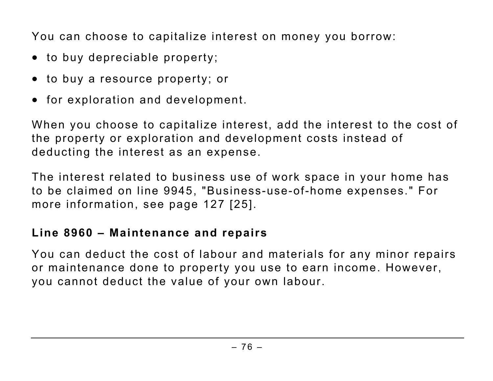You can choose to capitalize interest on money you borrow:

- to buy depreciable property;
- to buy a resource property; or
- for exploration and development.

When you choose to capitalize interest, add the interest to the cost of the property or exploration and development costs instead of deducting the interest as an expense.

The interest related to business use of work space in your home has to be claimed on line 9945, "Business-use-of-home expenses." For more information, see page 127 [25].

#### **Line 8960 – Maintenance and repairs**

You can deduct the cost of labour and materials for any minor repairs or maintenance done to property you use to earn income. However, you cannot deduct the value of your own labour.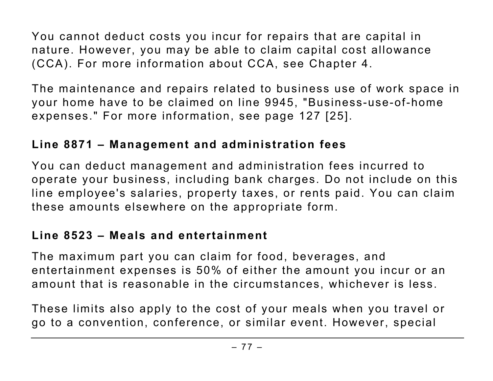You cannot deduct costs you incur for repairs that are capital in nature. However, you may be able to claim capital cost allowance (CCA). For more information about CCA, see Chapter 4.

The maintenance and repairs related to business use of work space in your home have to be claimed on line 9945, "Business-use-of-home expenses." For more information, see page 127 [25].

#### **Line 8871 – Management and administration fees**

You can deduct management and administration fees incurred to operate your business, including bank charges. Do not include on this line employee's salaries, property taxes, or rents paid. You can claim these amounts elsewhere on the appropriate form.

### **Line 8523 – Meals and entertainment**

The maximum part you can claim for food, beverages, and entertainment expenses is 50% of either the amount you incur or an amount that is reasonable in the circumstances, whichever is less.

These limits also apply to the cost of your meals when you travel or go to a convention, conference, or similar event. However, special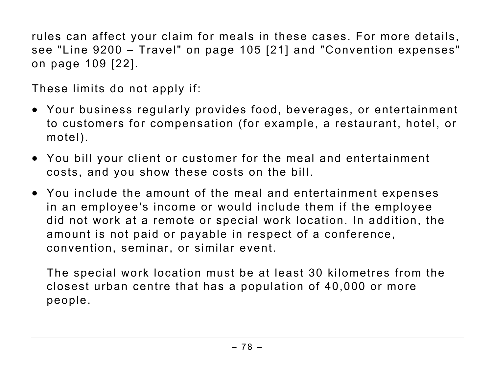rules can affect your claim for meals in these cases. For more details, see "Line 9200 – Travel" on page 105 [21] and "Convention expenses" on page 109 [22].

These limits do not apply if:

- Your business regularly provides food, beverages, or entertainment to customers for compensation (for example, a restaurant, hotel, or motel).
- You bill your client or customer for the meal and entertainment costs, and you show these costs on the bill.
- You include the amount of the meal and entertainment expenses in an employee's income or would include them if the employee did not work at a remote or special work location. In addition, the amount is not paid or payable in respect of a conference, convention, seminar, or similar event.

The special work location must be at least 30 kilometres from the closest urban centre that has a population of 40,000 or more people.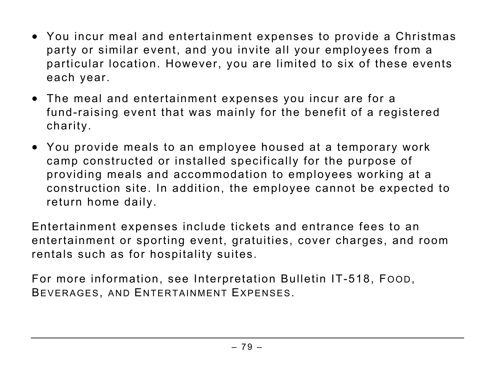- You incur meal and entertainment expenses to provide a Christmas party or similar event, and you invite all your employees from a particular location. However, you are limited to six of these events each year.
- The meal and entertainment expenses you incur are for a fund-raising event that was mainly for the benefit of a registered charity.
- You provide meals to an employee housed at a temporary work camp constructed or installed specifically for the purpose of providing meals and accommodation to employees working at a construction site. In addition, the employee cannot be expected to return home daily.

Entertainment expenses include tickets and entrance fees to an entertainment or sporting event, gratuities, cover charges, and room rentals such as for hospitality suites.

For more information, see Interpretation Bulletin IT-518, FOOD, BEVERAGES, AND ENTERTAINMENT EXPENSES.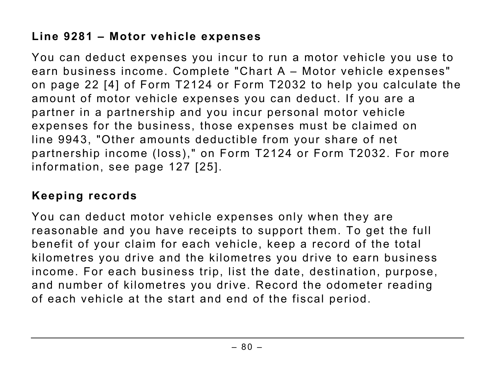## **Line 9281 – Motor vehicle expenses**

You can deduct expenses you incur to run a motor vehicle you use to earn business income. Complete "Chart A – Motor vehicle expenses" on page 22 [4] of Form T2124 or Form T2032 to help you calculate the amount of motor vehicle expenses you can deduct. If you are a partner in a partnership and you incur personal motor vehicle expenses for the business, those expenses must be claimed on line 9943, "Other amounts deductible from your share of net partnership income (loss)," on Form T2124 or Form T2032. For more information, see page 127 [25].

### **Keeping records**

You can deduct motor vehicle expenses only when they are reasonable and you have receipts to support them. To get the full benefit of your claim for each vehicle, keep a record of the total kilometres you drive and the kilometres you drive to earn business income. For each business trip, list the date, destination, purpose, and number of kilometres you drive. Record the odometer reading of each vehicle at the start and end of the fiscal period.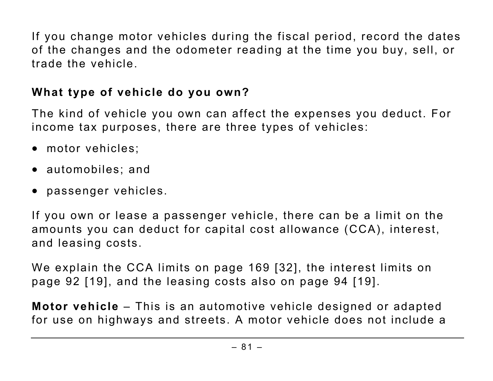If you change motor vehicles during the fiscal period, record the dates of the changes and the odometer reading at the time you buy, sell, or trade the vehicle.

### **What type of vehicle do you own?**

The kind of vehicle you own can affect the expenses you deduct. For income tax purposes, there are three types of vehicles:

- motor vehicles;
- automobiles; and
- passenger vehicles.

If you own or lease a passenger vehicle, there can be a limit on the amounts you can deduct for capital cost allowance (CCA), interest, and leasing costs.

We explain the CCA limits on page 169 [32], the interest limits on page 92 [19], and the leasing costs also on page 94 [19].

**Motor vehicle** – This is an automotive vehicle designed or adapted for use on highways and streets. A motor vehicle does not include a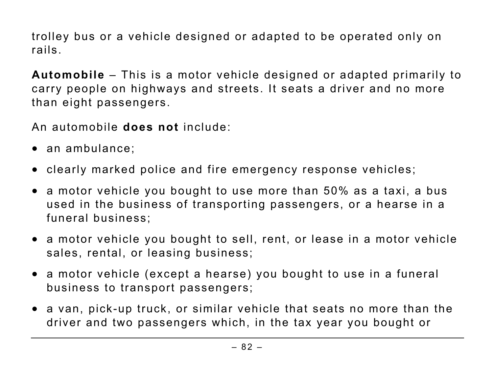trolley bus or a vehicle designed or adapted to be operated only on rails.

**Automobile** – This is a motor vehicle designed or adapted primarily to carry people on highways and streets. It seats a driver and no more than eight passengers.

An automobile **does not** include:

- an ambulance;
- clearly marked police and fire emergency response vehicles;
- a motor vehicle you bought to use more than 50% as a taxi, a bus used in the business of transporting passengers, or a hearse in a funeral business;
- a motor vehicle you bought to sell, rent, or lease in a motor vehicle sales, rental, or leasing business;
- a motor vehicle (except a hearse) you bought to use in a funeral business to transport passengers;
- a van, pick-up truck, or similar vehicle that seats no more than the driver and two passengers which, in the tax year you bought or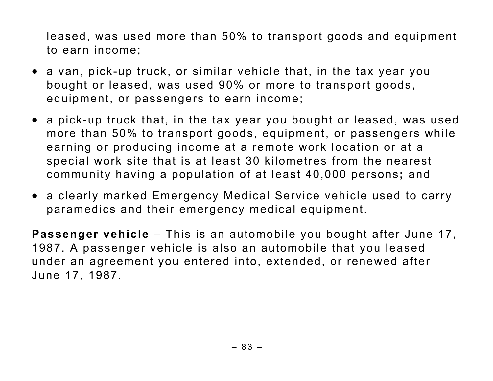leased, was used more than 50% to transport goods and equipment to earn income;

- a van, pick-up truck, or similar vehicle that, in the tax year you bought or leased, was used 90% or more to transport goods, equipment, or passengers to earn income;
- a pick-up truck that, in the tax year you bought or leased, was used more than 50% to transport goods, equipment, or passengers while earning or producing income at a remote work location or at a special work site that is at least 30 kilometres from the nearest community having a population of at least 40,000 persons**;** and
- a clearly marked Emergency Medical Service vehicle used to carry paramedics and their emergency medical equipment.

**Passenger vehicle** – This is an automobile you bought after June 17, 1987. A passenger vehicle is also an automobile that you leased under an agreement you entered into, extended, or renewed after June 17, 1987.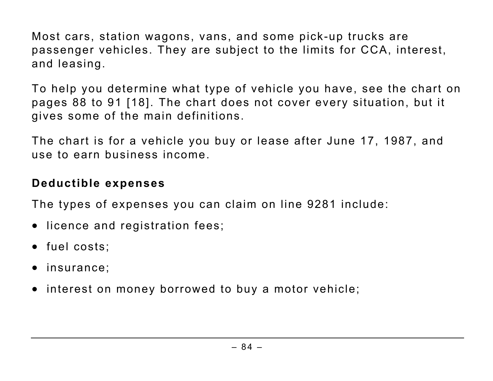Most cars, station wagons, vans, and some pick-up trucks are passenger vehicles. They are subject to the limits for CCA, interest, and leasing.

To help you determine what type of vehicle you have, see the chart on pages 88 to 91 [18]. The chart does not cover every situation, but it gives some of the main definitions.

The chart is for a vehicle you buy or lease after June 17, 1987, and use to earn business income.

#### **Deductible expenses**

The types of expenses you can claim on line 9281 include:

- licence and registration fees;
- fuel costs;
- insurance;
- interest on money borrowed to buy a motor vehicle;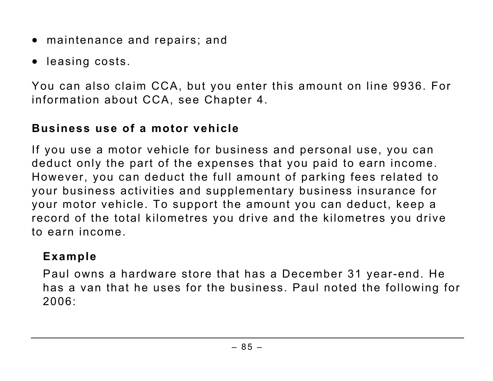- maintenance and repairs; and
- leasing costs.

You can also claim CCA, but you enter this amount on line 9936. For information about CCA, see Chapter 4.

# **Business use of a motor vehicle**

If you use a motor vehicle for business and personal use, you can deduct only the part of the expenses that you paid to earn income. However, you can deduct the full amount of parking fees related to your business activities and supplementary business insurance for your motor vehicle. To support the amount you can deduct, keep a record of the total kilometres you drive and the kilometres you drive to earn income.

### **Example**

Paul owns a hardware store that has a December 31 year-end. He has a van that he uses for the business. Paul noted the following for 2006: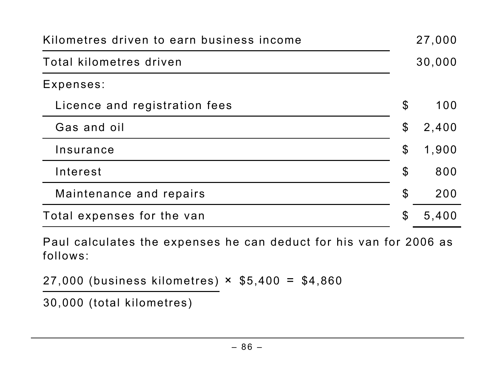| Kilometres driven to earn business income |                            | 27,000 |
|-------------------------------------------|----------------------------|--------|
| Total kilometres driven                   |                            | 30,000 |
| Expenses:                                 |                            |        |
| Licence and registration fees             | $\mathcal{S}$              | 100    |
| Gas and oil                               | $\boldsymbol{\mathcal{S}}$ | 2,400  |
| Insurance                                 | $\boldsymbol{\mathcal{S}}$ | 1,900  |
| Interest                                  | $\boldsymbol{\mathcal{S}}$ | 800    |
| Maintenance and repairs                   | $\boldsymbol{\mathcal{S}}$ | 200    |
| Total expenses for the van                | $\mathcal{E}$              | 5,400  |

Paul calculates the expenses he can deduct for his van for 2006 as follows:

27,000 (business kilometres)  $\times$  \$5,400 = \$4,860

30,000 (total kilometres)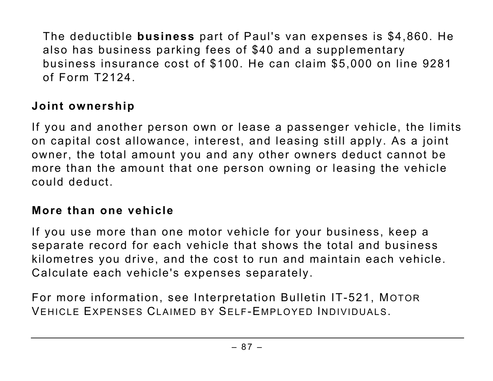The deductible **business** part of Paul's van expenses is \$4,860. He also has business parking fees of \$40 and a supplementary business insurance cost of \$100. He can claim \$5,000 on line 9281 of Form T2124.

# **Joint ownership**

If you and another person own or lease a passenger vehicle, the limits on capital cost allowance, interest, and leasing still apply. As a joint owner, the total amount you and any other owners deduct cannot be more than the amount that one person owning or leasing the vehicle could deduct.

#### **More than one vehicle**

If you use more than one motor vehicle for your business, keep a separate record for each vehicle that shows the total and business kilometres you drive, and the cost to run and maintain each vehicle. Calculate each vehicle's expenses separately.

For more information, see Interpretation Bulletin IT-521, MOTOR VEHICLE EXPENSES CLAIMED BY SELF-EMPLOYED INDIVIDUALS.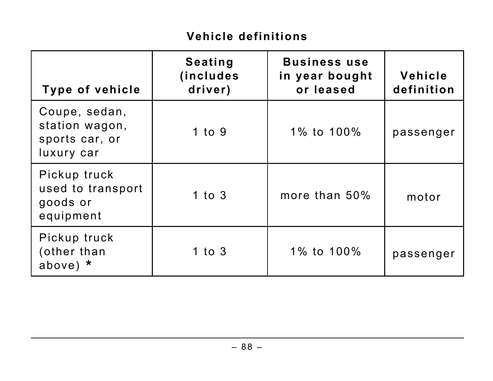# **Vehicle definitions**

| <b>Type of vehicle</b>                                          | <b>Seating</b><br><i>(includes)</i><br>driver) | <b>Business use</b><br>in year bought<br>or leased | Vehicle<br>definition |
|-----------------------------------------------------------------|------------------------------------------------|----------------------------------------------------|-----------------------|
| Coupe, sedan,<br>station wagon,<br>sports car, or<br>luxury car | $1$ to $9$                                     | 1% to 100%                                         | passenger             |
| Pickup truck<br>used to transport<br>goods or<br>equipment      | $1$ to $3$                                     | more than 50%                                      | motor                 |
| Pickup truck<br>(other than<br>above) $*$                       | 1 to $3$                                       | 1% to 100%                                         | passenger             |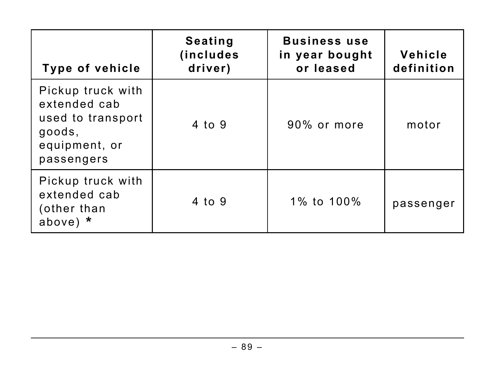| Type of vehicle                                                                                 | <b>Seating</b><br><i>(includes)</i><br>driver) | <b>Business use</b><br>in year bought<br>or leased | Vehicle<br>definition |
|-------------------------------------------------------------------------------------------------|------------------------------------------------|----------------------------------------------------|-----------------------|
| Pickup truck with<br>extended cab<br>used to transport<br>goods,<br>equipment, or<br>passengers | 4 to 9                                         | 90% or more                                        | motor                 |
| Pickup truck with<br>extended cab<br>(other than<br>above) $*$                                  | 4 to 9                                         | 1% to 100%                                         | passenger             |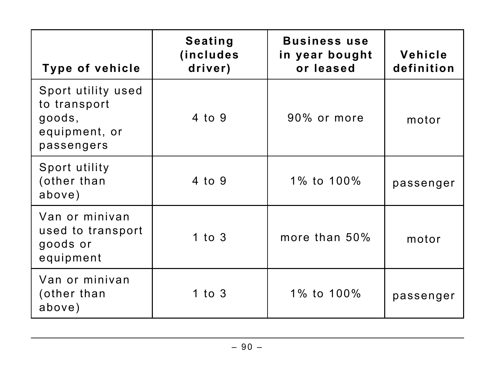| <b>Type of vehicle</b>                                                      | <b>Seating</b><br><i>(includes)</i><br>driver) | <b>Business use</b><br>in year bought<br>or leased | Vehicle<br>definition |
|-----------------------------------------------------------------------------|------------------------------------------------|----------------------------------------------------|-----------------------|
| Sport utility used<br>to transport<br>goods,<br>equipment, or<br>passengers | 4 to 9                                         | 90% or more                                        | motor                 |
| Sport utility<br>(other than<br>above)                                      | 4 to 9                                         | 1% to 100%                                         | passenger             |
| Van or minivan<br>used to transport<br>goods or<br>equipment                | 1 to $3$                                       | more than 50%                                      | motor                 |
| Van or minivan<br>(other than<br>above)                                     | 1 to $3$                                       | 1% to 100%                                         | passenger             |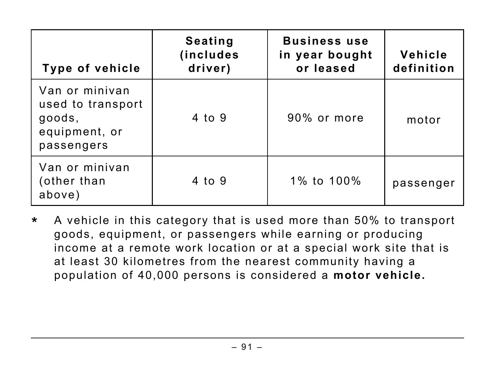| Type of vehicle                                                              | <b>Seating</b><br><i>(includes)</i><br>driver) | <b>Business use</b><br>in year bought<br>or leased | Vehicle<br>definition |
|------------------------------------------------------------------------------|------------------------------------------------|----------------------------------------------------|-----------------------|
| Van or minivan<br>used to transport<br>goods,<br>equipment, or<br>passengers | 4 to 9                                         | 90% or more                                        | motor                 |
| Van or minivan<br>(other than<br>above)                                      | 4 to 9                                         | 1% to 100%                                         | passenger             |

**\*** A vehicle in this category that is used more than 50% to transport goods, equipment, or passengers while earning or producing income at a remote work location or at a special work site that is at least 30 kilometres from the nearest community having a population of 40,000 persons is considered a **motor vehicle.**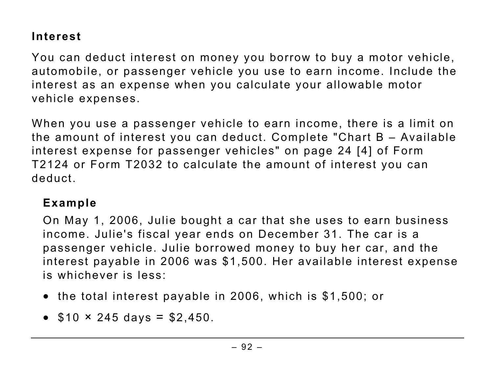## **Interest**

You can deduct interest on money you borrow to buy a motor vehicle, automobile, or passenger vehicle you use to earn income. Include the interest as an expense when you calculate your allowable motor vehicle expenses.

When you use a passenger vehicle to earn income, there is a limit on the amount of interest you can deduct. Complete "Chart B – Available interest expense for passenger vehicles" on page 24 [4] of Form T2124 or Form T2032 to calculate the amount of interest you can deduct.

#### **Example**

On May 1, 2006, Julie bought a car that she uses to earn business income. Julie's fiscal year ends on December 31. The car is a passenger vehicle. Julie borrowed money to buy her car, and the interest payable in 2006 was \$1,500. Her available interest expense is whichever is less:

- the total interest payable in 2006, which is \$1,500; or
- $$10 \times 245 \text{ days} = $2,450$ .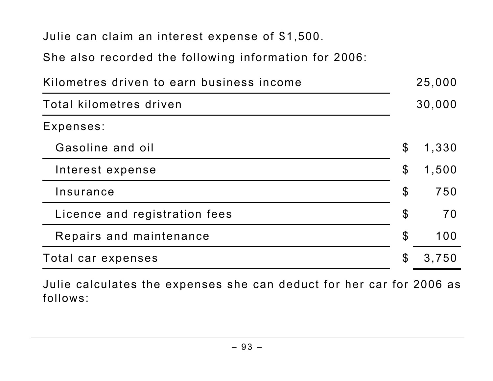Julie can claim an interest expense of \$1,500.

She also recorded the following information for 2006:

| Kilometres driven to earn business income |                            | 25,000 |
|-------------------------------------------|----------------------------|--------|
| Total kilometres driven                   |                            | 30,000 |
| Expenses:                                 |                            |        |
| Gasoline and oil                          | $\mathcal{S}$              | 1,330  |
| Interest expense                          | $\boldsymbol{\mathsf{S}}$  | 1,500  |
| Insurance                                 | $\boldsymbol{\mathcal{S}}$ | 750    |
| Licence and registration fees             | $\boldsymbol{\mathcal{S}}$ | 70     |
| Repairs and maintenance                   | $\boldsymbol{\mathcal{S}}$ | 100    |
| Total car expenses                        | $\boldsymbol{\mathcal{S}}$ | 3,750  |

Julie calculates the expenses she can deduct for her car for 2006 as follows: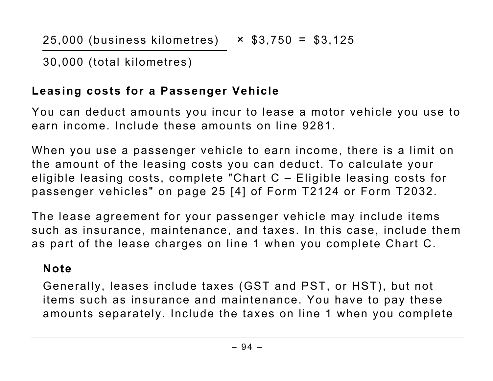30,000 (total kilometres)

# **Leasing costs for a Passenger Vehicle**

You can deduct amounts you incur to lease a motor vehicle you use to earn income. Include these amounts on line 9281.

When you use a passenger vehicle to earn income, there is a limit on the amount of the leasing costs you can deduct. To calculate your eligible leasing costs, complete "Chart C – Eligible leasing costs for passenger vehicles" on page 25 [4] of Form T2124 or Form T2032.

The lease agreement for your passenger vehicle may include items such as insurance, maintenance, and taxes. In this case, include them as part of the lease charges on line 1 when you complete Chart C.

## **Note**

Generally, leases include taxes (GST and PST, or HST), but not items such as insurance and maintenance. You have to pay these amounts separately. Include the taxes on line 1 when you complete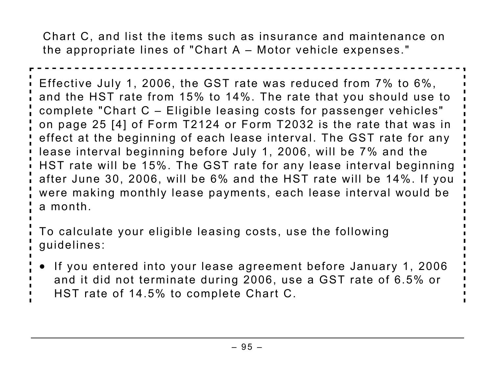Chart C, and list the items such as insurance and maintenance on the appropriate lines of "Chart A – Motor vehicle expenses."

Effective July 1, 2006, the GST rate was reduced from 7% to 6%, and the HST rate from 15% to 14%. The rate that you should use to complete "Chart C – Eligible leasing costs for passenger vehicles" on page 25 [4] of Form T2124 or Form T2032 is the rate that was in effect at the beginning of each lease interval. The GST rate for any lease interval beginning before July 1, 2006, will be 7% and the HST rate will be 15%. The GST rate for any lease interval beginning after June 30, 2006, will be 6% and the HST rate will be 14%. If you were making monthly lease payments, each lease interval would be a month.

To calculate your eligible leasing costs, use the following guidelines:

- If you entered into your lease agreement before January 1, 2006 and it did not terminate during 2006, use a GST rate of 6.5% or
- HST rate of 14.5% to complete Chart C.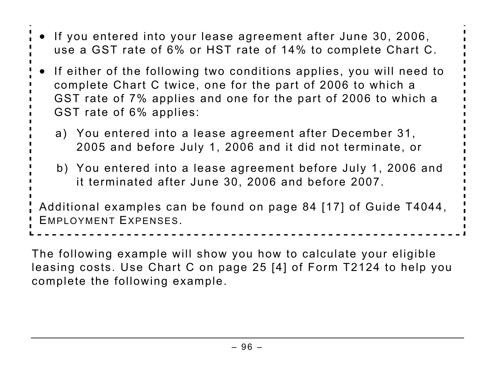| • If you entered into your lease agreement after June 30, 2006,<br>use a GST rate of 6% or HST rate of 14% to complete Chart C.                                                                                                   |
|-----------------------------------------------------------------------------------------------------------------------------------------------------------------------------------------------------------------------------------|
| • If either of the following two conditions applies, you will need to<br>complete Chart C twice, one for the part of 2006 to which a<br>GST rate of 7% applies and one for the part of 2006 to which a<br>GST rate of 6% applies: |
| a) You entered into a lease agreement after December 31,<br>2005 and before July 1, 2006 and it did not terminate, or                                                                                                             |
| b) You entered into a lease agreement before July 1, 2006 and<br>it terminated after June 30, 2006 and before 2007.                                                                                                               |
| ' Additional examples can be found on page 84 [17] of Guide T4044,<br><b>EMPLOYMENT EXPENSES.</b>                                                                                                                                 |

The following example will show you how to calculate your eligible leasing costs. Use Chart C on page 25 [4] of Form T2124 to help you complete the following example.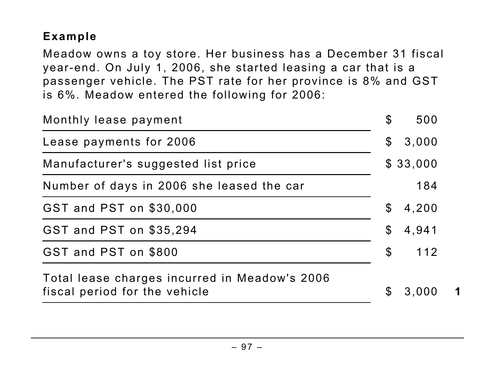## **Example**

Meadow owns a toy store. Her business has a December 31 fiscal year-end. On July 1, 2006, she started leasing a car that is a passenger vehicle. The PST rate for her province is 8% and GST is 6%. Meadow entered the following for 2006:

| Monthly lease payment                                                          | $\boldsymbol{\mathcal{S}}$ | 500      |  |
|--------------------------------------------------------------------------------|----------------------------|----------|--|
| Lease payments for 2006                                                        | $\mathfrak{F}$             | 3,000    |  |
| Manufacturer's suggested list price                                            |                            | \$33,000 |  |
| Number of days in 2006 she leased the car                                      |                            | 184      |  |
| GST and PST on \$30,000                                                        | $\mathcal{E}$              | 4,200    |  |
| GST and PST on \$35,294                                                        | $\boldsymbol{\mathsf{\$}}$ | 4,941    |  |
| GST and PST on \$800                                                           | $\boldsymbol{\mathcal{S}}$ | 112      |  |
| Total lease charges incurred in Meadow's 2006<br>fiscal period for the vehicle | $\mathbb{S}$               | 3,000    |  |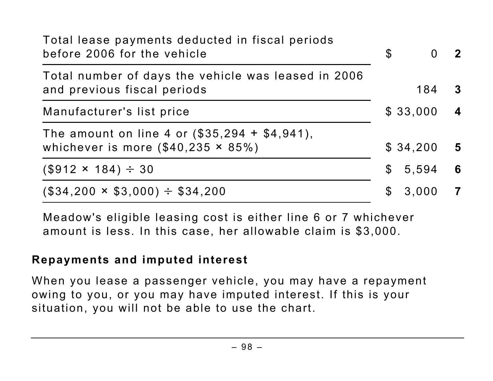| Total lease payments deducted in fiscal periods<br>before 2006 for the vehicle                 | $\mathfrak{L}$ | $\Omega$ | $\mathbf{2}$            |
|------------------------------------------------------------------------------------------------|----------------|----------|-------------------------|
| Total number of days the vehicle was leased in 2006<br>and previous fiscal periods             |                | 184      | $\bf{3}$                |
| Manufacturer's list price                                                                      |                | \$33,000 | $\overline{\mathbf{4}}$ |
| The amount on line 4 or $(\$35,294 + \$4,941)$ ,<br>whichever is more $(\$40,235 \times 85\%)$ |                | \$34,200 | $\overline{\mathbf{5}}$ |
| $(\$912 \times 184) \div 30$                                                                   | $\mathbb S$    | 5,594    | 6                       |
| $(\$34,200 \times \$3,000) \div \$34,200$                                                      | S              | 3,000    | 7                       |

Meadow's eligible leasing cost is either line 6 or 7 whichever amount is less. In this case, her allowable claim is \$3,000.

### **Repayments and imputed interest**

When you lease a passenger vehicle, you may have a repayment owing to you, or you may have imputed interest. If this is your situation, you will not be able to use the chart.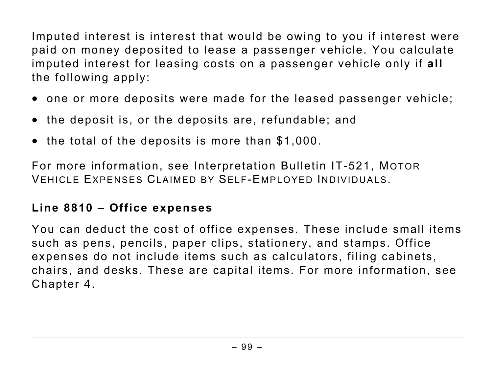Imputed interest is interest that would be owing to you if interest were paid on money deposited to lease a passenger vehicle. You calculate imputed interest for leasing costs on a passenger vehicle only if **all** the following apply:

- one or more deposits were made for the leased passenger vehicle;
- the deposit is, or the deposits are, refundable; and
- the total of the deposits is more than \$1,000.

For more information, see Interpretation Bulletin IT-521, MOTOR VEHICLE EXPENSES CLAIMED BY SELF-EMPLOYED INDIVIDUALS.

### **Line 8810 – Office expenses**

You can deduct the cost of office expenses. These include small items such as pens, pencils, paper clips, stationery, and stamps. Office expenses do not include items such as calculators, filing cabinets, chairs, and desks. These are capital items. For more information, see Chapter 4.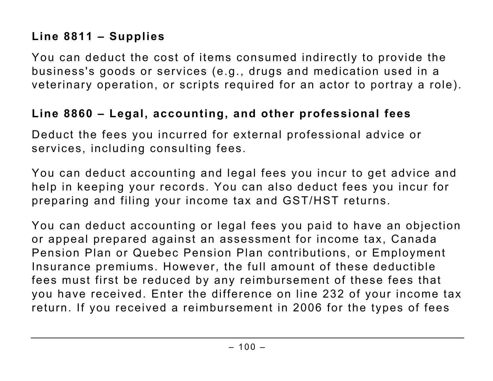## **Line 8811 – Supplies**

You can deduct the cost of items consumed indirectly to provide the business's goods or services (e.g., drugs and medication used in a veterinary operation, or scripts required for an actor to portray a role).

#### **Line 8860 – Legal, accounting, and other professional fees**

Deduct the fees you incurred for external professional advice or services, including consulting fees.

You can deduct accounting and legal fees you incur to get advice and help in keeping your records. You can also deduct fees you incur for preparing and filing your income tax and GST/HST returns.

You can deduct accounting or legal fees you paid to have an objection or appeal prepared against an assessment for income tax, Canada Pension Plan or Quebec Pension Plan contributions, or Employment Insurance premiums. However, the full amount of these deductible fees must first be reduced by any reimbursement of these fees that you have received. Enter the difference on line 232 of your income tax return. If you received a reimbursement in 2006 for the types of fees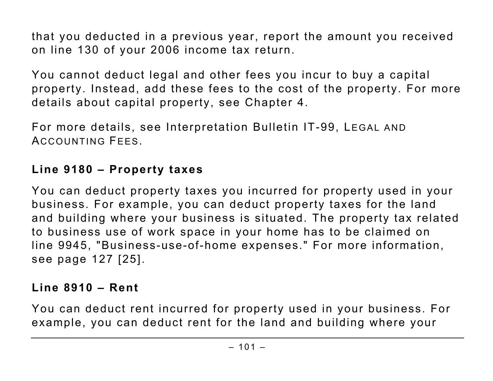that you deducted in a previous year, report the amount you received on line 130 of your 2006 income tax return.

You cannot deduct legal and other fees you incur to buy a capital property. Instead, add these fees to the cost of the property. For more details about capital property, see Chapter 4.

For more details, see Interpretation Bulletin IT-99, LEGAL AND ACCOUNTING FEES.

## **Line 9180 – Property taxes**

You can deduct property taxes you incurred for property used in your business. For example, you can deduct property taxes for the land and building where your business is situated. The property tax related to business use of work space in your home has to be claimed on line 9945, "Business-use-of-home expenses." For more information, see page 127 [25].

# **Line 8910 – Rent**

You can deduct rent incurred for property used in your business. For example, you can deduct rent for the land and building where your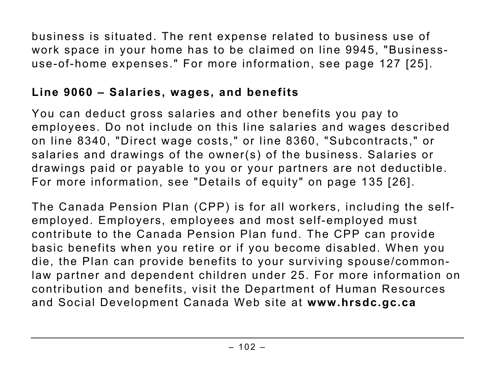business is situated. The rent expense related to business use of work space in your home has to be claimed on line 9945, "Businessuse-of-home expenses." For more information, see page 127 [25].

### **Line 9060 – Salaries, wages, and benefits**

You can deduct gross salaries and other benefits you pay to employees. Do not include on this line salaries and wages described on line 8340, "Direct wage costs," or line 8360, "Subcontracts," or salaries and drawings of the owner(s) of the business. Salaries or drawings paid or payable to you or your partners are not deductible. For more information, see "Details of equity" on page 135 [26].

The Canada Pension Plan (CPP) is for all workers, including the selfemployed. Employers, employees and most self-employed must contribute to the Canada Pension Plan fund. The CPP can provide basic benefits when you retire or if you become disabled. When you die, the Plan can provide benefits to your surviving spouse/commonlaw partner and dependent children under 25. For more information on contribution and benefits, visit the Department of Human Resources and Social Development Canada Web site at **www.hrsdc.gc.ca**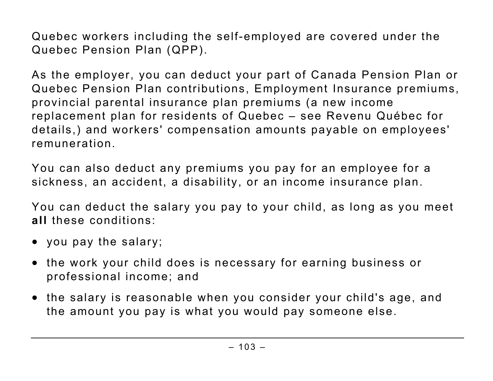Quebec workers including the self-employed are covered under the Quebec Pension Plan (QPP).

As the employer, you can deduct your part of Canada Pension Plan or Quebec Pension Plan contributions, Employment Insurance premiums, provincial parental insurance plan premiums (a new income replacement plan for residents of Quebec – see Revenu Québec for details,) and workers' compensation amounts payable on employees' remuneration.

You can also deduct any premiums you pay for an employee for a sickness, an accident, a disability, or an income insurance plan.

You can deduct the salary you pay to your child, as long as you meet **all** these conditions:

- you pay the salary;
- the work your child does is necessary for earning business or professional income; and
- the salary is reasonable when you consider your child's age, and the amount you pay is what you would pay someone else.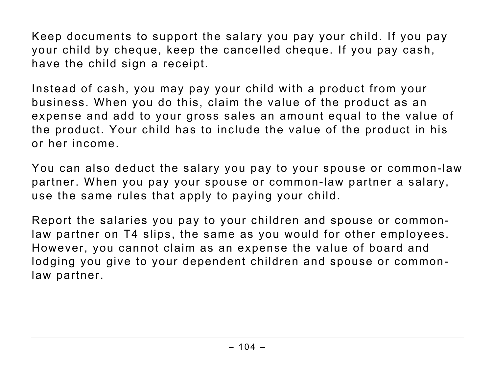Keep documents to support the salary you pay your child. If you pay your child by cheque, keep the cancelled cheque. If you pay cash, have the child sign a receipt.

Instead of cash, you may pay your child with a product from your business. When you do this, claim the value of the product as an expense and add to your gross sales an amount equal to the value of the product. Your child has to include the value of the product in his or her income.

You can also deduct the salary you pay to your spouse or common-law partner. When you pay your spouse or common-law partner a salary, use the same rules that apply to paying your child.

Report the salaries you pay to your children and spouse or commonlaw partner on T4 slips, the same as you would for other employees. However, you cannot claim as an expense the value of board and lodging you give to your dependent children and spouse or commonlaw partner.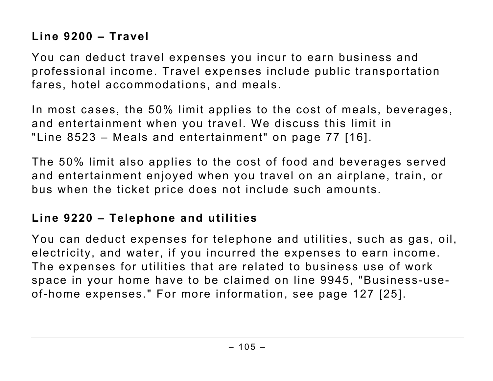## **Line 9200 – Travel**

You can deduct travel expenses you incur to earn business and professional income. Travel expenses include public transportation fares, hotel accommodations, and meals.

In most cases, the 50% limit applies to the cost of meals, beverages, and entertainment when you travel. We discuss this limit in "Line 8523 – Meals and entertainment" on page 77 [16].

The 50% limit also applies to the cost of food and beverages served and entertainment enjoyed when you travel on an airplane, train, or bus when the ticket price does not include such amounts.

### **Line 9220 – Telephone and utilities**

You can deduct expenses for telephone and utilities, such as gas, oil, electricity, and water, if you incurred the expenses to earn income. The expenses for utilities that are related to business use of work space in your home have to be claimed on line 9945, "Business-useof-home expenses." For more information, see page 127 [25].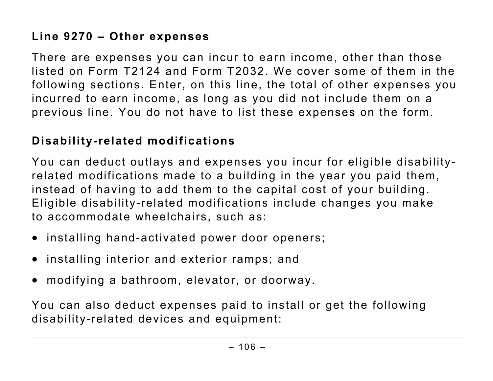# **Line 9270 – Other expenses**

There are expenses you can incur to earn income, other than those listed on Form T2124 and Form T2032. We cover some of them in the following sections. Enter, on this line, the total of other expenses you incurred to earn income, as long as you did not include them on a previous line. You do not have to list these expenses on the form.

#### **Disability-related modifications**

You can deduct outlays and expenses you incur for eligible disabilityrelated modifications made to a building in the year you paid them, instead of having to add them to the capital cost of your building. Eligible disability-related modifications include changes you make to accommodate wheelchairs, such as:

- installing hand-activated power door openers;
- installing interior and exterior ramps; and
- modifying a bathroom, elevator, or doorway.

You can also deduct expenses paid to install or get the following disability-related devices and equipment: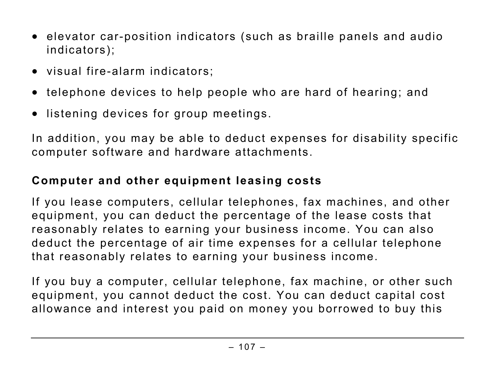- elevator car-position indicators (such as braille panels and audio indicators);
- visual fire-alarm indicators;
- telephone devices to help people who are hard of hearing; and
- listening devices for group meetings.

In addition, you may be able to deduct expenses for disability specific computer software and hardware attachments.

## **Computer and other equipment leasing costs**

If you lease computers, cellular telephones, fax machines, and other equipment, you can deduct the percentage of the lease costs that reasonably relates to earning your business income. You can also deduct the percentage of air time expenses for a cellular telephone that reasonably relates to earning your business income.

If you buy a computer, cellular telephone, fax machine, or other such equipment, you cannot deduct the cost. You can deduct capital cost allowance and interest you paid on money you borrowed to buy this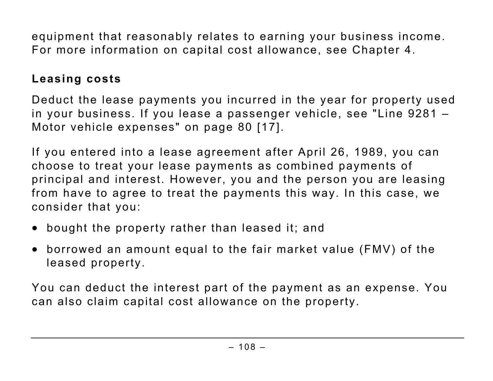equipment that reasonably relates to earning your business income. For more information on capital cost allowance, see Chapter 4.

### **Leasing costs**

Deduct the lease payments you incurred in the year for property used in your business. If you lease a passenger vehicle, see "Line 9281 – Motor vehicle expenses" on page 80 [17].

If you entered into a lease agreement after April 26, 1989, you can choose to treat your lease payments as combined payments of principal and interest. However, you and the person you are leasing from have to agree to treat the payments this way. In this case, we consider that you:

- bought the property rather than leased it; and
- borrowed an amount equal to the fair market value (FMV) of the leased property.

You can deduct the interest part of the payment as an expense. You can also claim capital cost allowance on the property.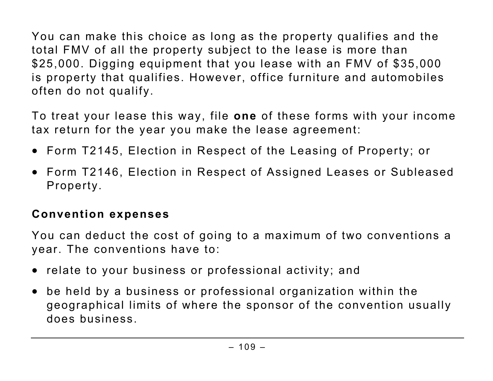You can make this choice as long as the property qualifies and the total FMV of all the property subject to the lease is more than \$25,000. Digging equipment that you lease with an FMV of \$35,000 is property that qualifies. However, office furniture and automobiles often do not qualify.

To treat your lease this way, file **one** of these forms with your income tax return for the year you make the lease agreement:

- Form T2145, Election in Respect of the Leasing of Property; or
- Form T2146, Election in Respect of Assigned Leases or Subleased Property.

## **Convention expenses**

You can deduct the cost of going to a maximum of two conventions a year. The conventions have to:

- relate to your business or professional activity; and
- be held by a business or professional organization within the geographical limits of where the sponsor of the convention usually does business.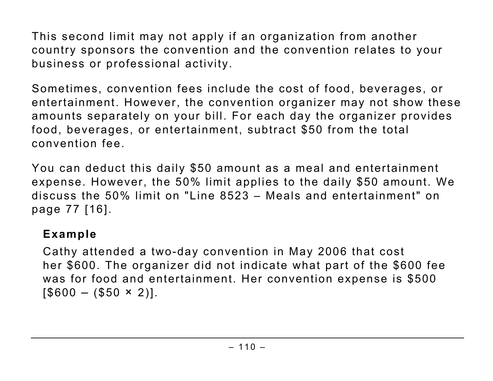This second limit may not apply if an organization from another country sponsors the convention and the convention relates to your business or professional activity.

Sometimes, convention fees include the cost of food, beverages, or entertainment. However, the convention organizer may not show these amounts separately on your bill. For each day the organizer provides food, beverages, or entertainment, subtract \$50 from the total convention fee.

You can deduct this daily \$50 amount as a meal and entertainment expense. However, the 50% limit applies to the daily \$50 amount. We discuss the 50% limit on "Line 8523 – Meals and entertainment" on page 77 [16].

#### **Example**

Cathy attended a two-day convention in May 2006 that cost her \$600. The organizer did not indicate what part of the \$600 fee was for food and entertainment. Her convention expense is \$500  $[$600 - ($50 \times 2)].$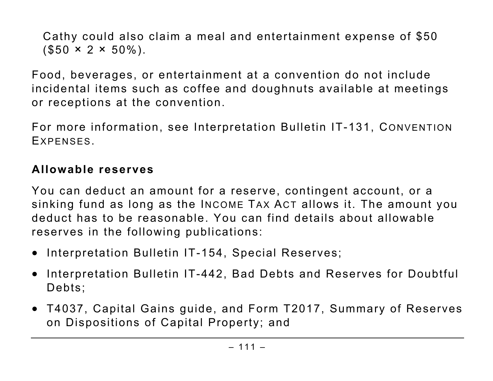Cathy could also claim a meal and entertainment expense of \$50  $($ \$50  $\times$  2  $\times$  50%).

Food, beverages, or entertainment at a convention do not include incidental items such as coffee and doughnuts available at meetings or receptions at the convention.

For more information, see Interpretation Bulletin IT-131, CONVENTION EXPENSES.

#### **Allowable reserves**

You can deduct an amount for a reserve, contingent account, or a sinking fund as long as the INCOME TAX ACT allows it. The amount you deduct has to be reasonable. You can find details about allowable reserves in the following publications:

- Interpretation Bulletin IT-154, Special Reserves;
- Interpretation Bulletin IT-442, Bad Debts and Reserves for Doubtful Debts;
- T4037, Capital Gains guide, and Form T2017, Summary of Reserves on Dispositions of Capital Property; and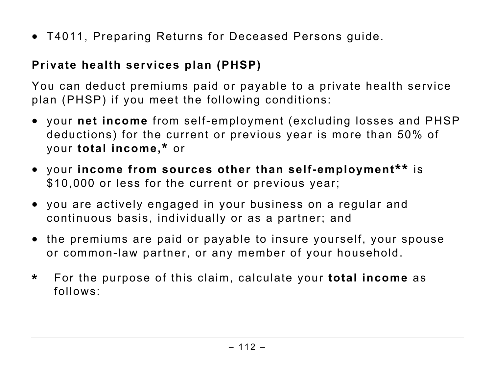• T4011, Preparing Returns for Deceased Persons guide.

## **Private health services plan (PHSP)**

You can deduct premiums paid or payable to a private health service plan (PHSP) if you meet the following conditions:

- your **net income** from self-employment (excluding losses and PHSP deductions) for the current or previous year is more than 50% of your **total income,\*** or
- your **income from sources other than self-employment\*\*** is \$10,000 or less for the current or previous year;
- you are actively engaged in your business on a regular and continuous basis, individually or as a partner; and
- the premiums are paid or payable to insure yourself, your spouse or common-law partner, or any member of your household.
- **\*** For the purpose of this claim, calculate your **total income** as follows: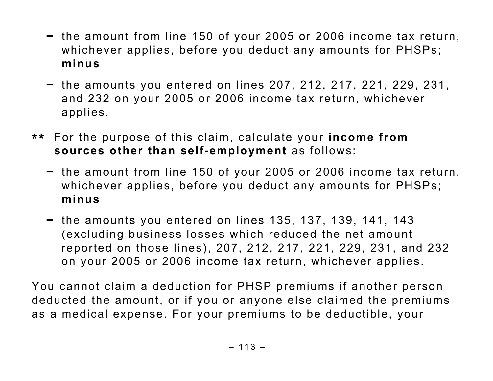- the amount from line 150 of your 2005 or 2006 income tax return, whichever applies, before you deduct any amounts for PHSPs; **minus**
- the amounts you entered on lines 207, 212, 217, 221, 229, 231, and 232 on your 2005 or 2006 income tax return, whichever applies.
- **\*\*** For the purpose of this claim, calculate your **income from sources other than self-employment** as follows:
	- the amount from line 150 of your 2005 or 2006 income tax return, whichever applies, before you deduct any amounts for PHSPs; **minus**
	- the amounts you entered on lines 135, 137, 139, 141, 143 (excluding business losses which reduced the net amount reported on those lines), 207, 212, 217, 221, 229, 231, and 232 on your 2005 or 2006 income tax return, whichever applies.

You cannot claim a deduction for PHSP premiums if another person deducted the amount, or if you or anyone else claimed the premiums as a medical expense. For your premiums to be deductible, your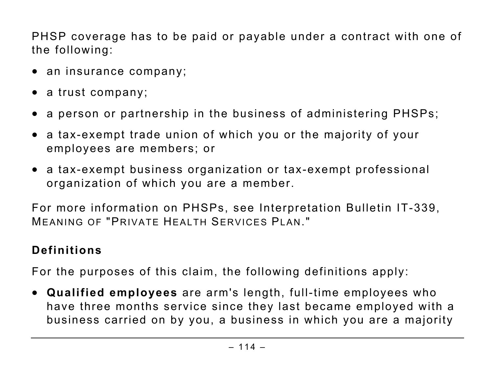PHSP coverage has to be paid or payable under a contract with one of the following:

- an insurance company;
- a trust company;
- a person or partnership in the business of administering PHSPs;
- a tax-exempt trade union of which you or the majority of your employees are members; or
- a tax-exempt business organization or tax-exempt professional organization of which you are a member.

For more information on PHSPs, see Interpretation Bulletin IT-339, MEANING OF "PRIVATE HEALTH SERVICES PLAN."

## **Definitions**

For the purposes of this claim, the following definitions apply:

• **Qualified employees** are arm's length, full-time employees who have three months service since they last became employed with a business carried on by you, a business in which you are a majority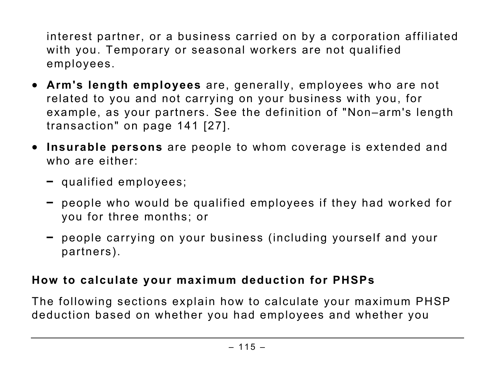interest partner, or a business carried on by a corporation affiliated with you. Temporary or seasonal workers are not qualified employees.

- **Arm's length employees** are, generally, employees who are not related to you and not carrying on your business with you, for example, as your partners. See the definition of "Non–arm's length transaction" on page 141 [27].
- **Insurable persons** are people to whom coverage is extended and who are either:
	- qualified employees;
	- people who would be qualified employees if they had worked for you for three months; or
	- people carrying on your business (including yourself and your partners).

## **How to calculate your maximum deduction for PHSPs**

The following sections explain how to calculate your maximum PHSP deduction based on whether you had employees and whether you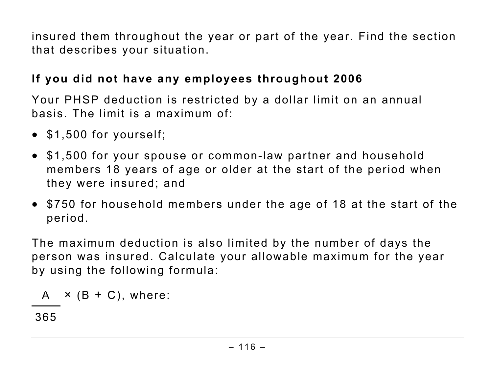insured them throughout the year or part of the year. Find the section that describes your situation.

### **If you did not have any employees throughout 2006**

Your PHSP deduction is restricted by a dollar limit on an annual basis. The limit is a maximum of:

- \$1,500 for yourself;
- \$1,500 for your spouse or common-law partner and household members 18 years of age or older at the start of the period when they were insured; and
- \$750 for household members under the age of 18 at the start of the period.

The maximum deduction is also limited by the number of days the person was insured. Calculate your allowable maximum for the year by using the following formula:

$$
A \times (B + C), where:
$$

365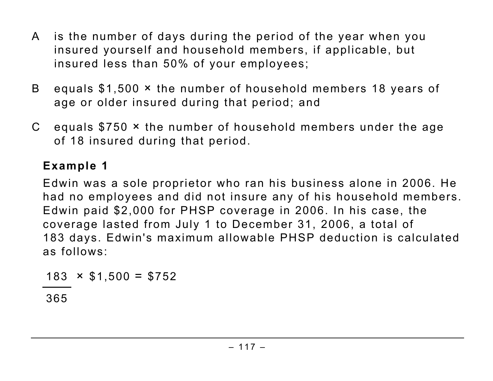- A is the number of days during the period of the year when you insured yourself and household members, if applicable, but insured less than 50% of your employees;
- B equals \$1,500 × the number of household members 18 years of age or older insured during that period; and
- C equals \$750 × the number of household members under the age of 18 insured during that period.

## **Example 1**

Edwin was a sole proprietor who ran his business alone in 2006. He had no employees and did not insure any of his household members. Edwin paid \$2,000 for PHSP coverage in 2006. In his case, the coverage lasted from July 1 to December 31, 2006, a total of 183 days. Edwin's maximum allowable PHSP deduction is calculated as follows:

 $183 \times $1,500 = $752$ 

365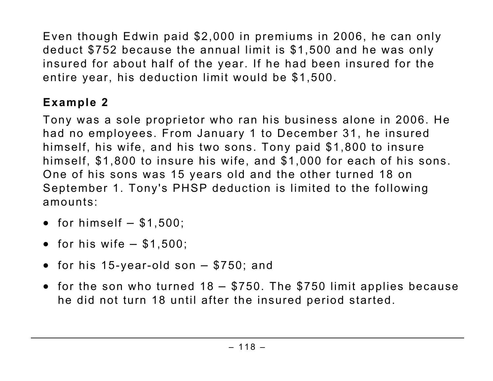Even though Edwin paid \$2,000 in premiums in 2006, he can only deduct \$752 because the annual limit is \$1,500 and he was only insured for about half of the year. If he had been insured for the entire year, his deduction limit would be \$1,500.

## **Example 2**

Tony was a sole proprietor who ran his business alone in 2006. He had no employees. From January 1 to December 31, he insured himself, his wife, and his two sons. Tony paid \$1,800 to insure himself, \$1,800 to insure his wife, and \$1,000 for each of his sons. One of his sons was 15 years old and the other turned 18 on September 1. Tony's PHSP deduction is limited to the following amounts:

- for himself  $-$  \$1,500;
- for his wife  $-$  \$1,500:
- for his 15-year-old son \$750; and
- for the son who turned 18 \$750. The \$750 limit applies because he did not turn 18 until after the insured period started.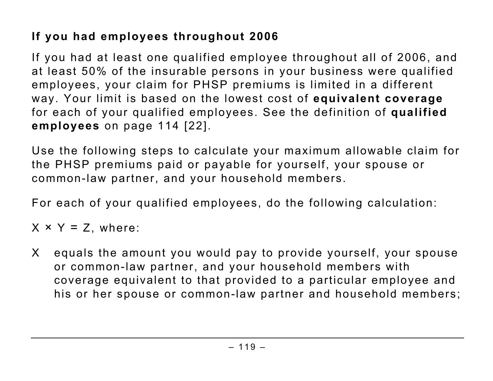## **If you had employees throughout 2006**

If you had at least one qualified employee throughout all of 2006, and at least 50% of the insurable persons in your business were qualified employees, your claim for PHSP premiums is limited in a different way. Your limit is based on the lowest cost of **equivalent coverage** for each of your qualified employees. See the definition of **qualified employees** on page 114 [22].

Use the following steps to calculate your maximum allowable claim for the PHSP premiums paid or payable for yourself, your spouse or common-law partner, and your household members.

For each of your qualified employees, do the following calculation:

 $X \times Y = Z$ , where:

X equals the amount you would pay to provide yourself, your spouse or common-law partner, and your household members with coverage equivalent to that provided to a particular employee and his or her spouse or common-law partner and household members;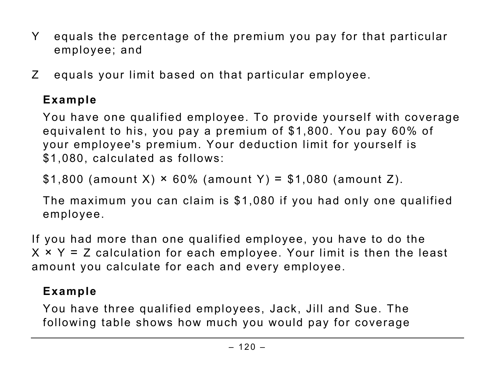- Y equals the percentage of the premium you pay for that particular employee; and
- Z equals your limit based on that particular employee.

## **Example**

You have one qualified employee. To provide yourself with coverage equivalent to his, you pay a premium of \$1,800. You pay 60% of your employee's premium. Your deduction limit for yourself is \$1,080, calculated as follows:

 $$1,800$  (amount X)  $\times$  60% (amount Y) = \$1,080 (amount Z).

The maximum you can claim is \$1,080 if you had only one qualified employee.

If you had more than one qualified employee, you have to do the  $X \times Y = Z$  calculation for each employee. Your limit is then the least amount you calculate for each and every employee.

## **Example**

You have three qualified employees, Jack, Jill and Sue. The following table shows how much you would pay for coverage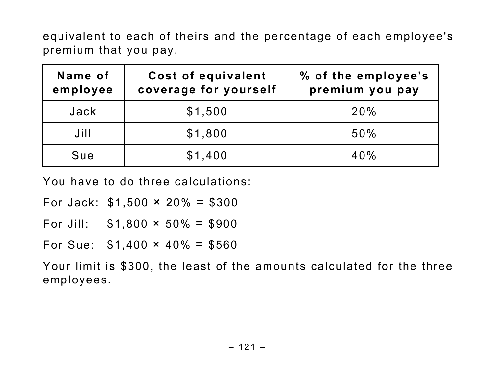equivalent to each of theirs and the percentage of each employee's premium that you pay.

| Name of<br>employee | Cost of equivalent<br>coverage for yourself | % of the employee's<br>premium you pay |
|---------------------|---------------------------------------------|----------------------------------------|
| Jack                | \$1,500                                     | 20%                                    |
| Jill                | \$1,800                                     | 50%                                    |
| Sue                 | \$1,400                                     | 40%                                    |

You have to do three calculations:

For Jack:  $$1,500 \times 20\% = $300$ 

For Jill:  $$1,800 \times 50\% = $900$ 

For Sue:  $$1,400 \times 40\% = $560$ 

Your limit is \$300, the least of the amounts calculated for the three employees.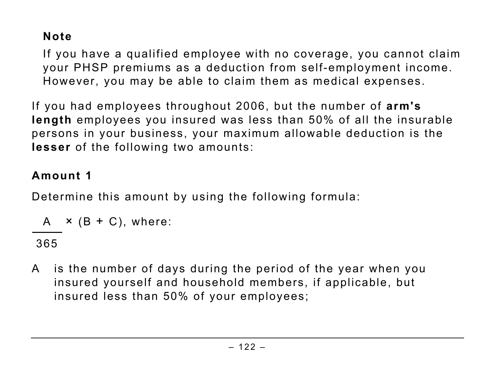## **Note**

If you have a qualified employee with no coverage, you cannot claim your PHSP premiums as a deduction from self-employment income. However, you may be able to claim them as medical expenses.

If you had employees throughout 2006, but the number of **arm's length** employees you insured was less than 50% of all the insurable persons in your business, your maximum allowable deduction is the **lesser** of the following two amounts:

### **Amount 1**

Determine this amount by using the following formula:

$$
A \times (B + C), where:
$$

365

A is the number of days during the period of the year when you insured yourself and household members, if applicable, but insured less than 50% of your employees;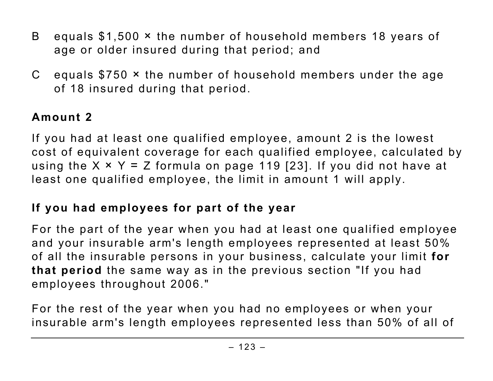- B equals \$1,500 × the number of household members 18 years of age or older insured during that period; and
- C equals \$750 × the number of household members under the age of 18 insured during that period.

## **Amount 2**

If you had at least one qualified employee, amount 2 is the lowest cost of equivalent coverage for each qualified employee, calculated by using the  $X \times Y = Z$  formula on page 119 [23]. If you did not have at least one qualified employee, the limit in amount 1 will apply.

## **If you had employees for part of the year**

For the part of the year when you had at least one qualified employee and your insurable arm's length employees represented at least 50% of all the insurable persons in your business, calculate your limit **for that period** the same way as in the previous section "If you had employees throughout 2006."

For the rest of the year when you had no employees or when your insurable arm's length employees represented less than 50% of all of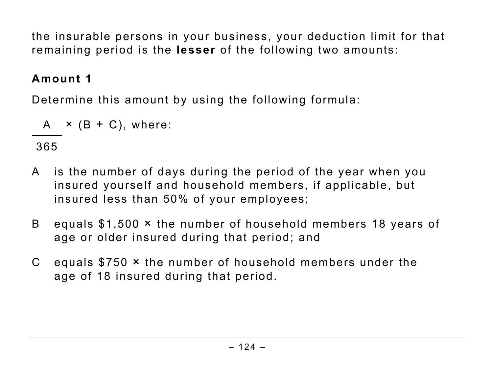the insurable persons in your business, your deduction limit for that remaining period is the **lesser** of the following two amounts:

## **Amount 1**

Determine this amount by using the following formula:

$$
A \times (B + C), where:
$$

365

- A is the number of days during the period of the year when you insured yourself and household members, if applicable, but insured less than 50% of your employees;
- B equals \$1,500 × the number of household members 18 years of age or older insured during that period; and
- C equals \$750 × the number of household members under the age of 18 insured during that period.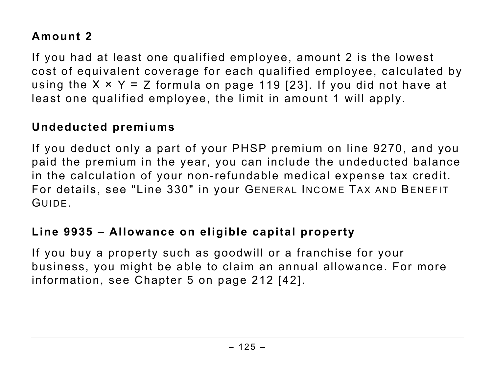## **Amount 2**

If you had at least one qualified employee, amount 2 is the lowest cost of equivalent coverage for each qualified employee, calculated by using the  $X \times Y = Z$  formula on page 119 [23]. If you did not have at least one qualified employee, the limit in amount 1 will apply.

#### **Undeducted premiums**

If you deduct only a part of your PHSP premium on line 9270, and you paid the premium in the year, you can include the undeducted balance in the calculation of your non-refundable medical expense tax credit. For details, see "Line 330" in your GENERAL INCOME TAX AND BENEFIT GUIDE.

### **Line 9935 – Allowance on eligible capital property**

If you buy a property such as goodwill or a franchise for your business, you might be able to claim an annual allowance. For more information, see Chapter 5 on page 212 [42].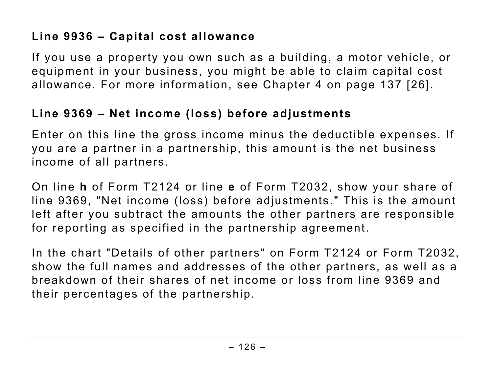If you use a property you own such as a building, a motor vehicle, or equipment in your business, you might be able to claim capital cost allowance. For more information, see Chapter 4 on page 137 [26].

### **Line 9369 – Net income (loss) before adjustments**

Enter on this line the gross income minus the deductible expenses. If you are a partner in a partnership, this amount is the net business income of all partners.

On line **h** of Form T2124 or line **e** of Form T2032, show your share of line 9369, "Net income (loss) before adjustments." This is the amount left after you subtract the amounts the other partners are responsible for reporting as specified in the partnership agreement.

In the chart "Details of other partners" on Form T2124 or Form T2032, show the full names and addresses of the other partners, as well as a breakdown of their shares of net income or loss from line 9369 and their percentages of the partnership.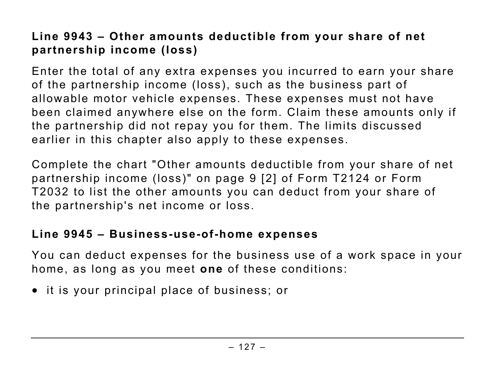## **Line 9943 – Other amounts deductible from your share of net partnership income (loss)**

Enter the total of any extra expenses you incurred to earn your share of the partnership income (loss), such as the business part of allowable motor vehicle expenses. These expenses must not have been claimed anywhere else on the form. Claim these amounts only if the partnership did not repay you for them. The limits discussed earlier in this chapter also apply to these expenses.

Complete the chart "Other amounts deductible from your share of net partnership income (loss)" on page 9 [2] of Form T2124 or Form T2032 to list the other amounts you can deduct from your share of the partnership's net income or loss.

#### **Line 9945 – Business-use-of-home expenses**

You can deduct expenses for the business use of a work space in your home, as long as you meet **one** of these conditions:

• it is your principal place of business; or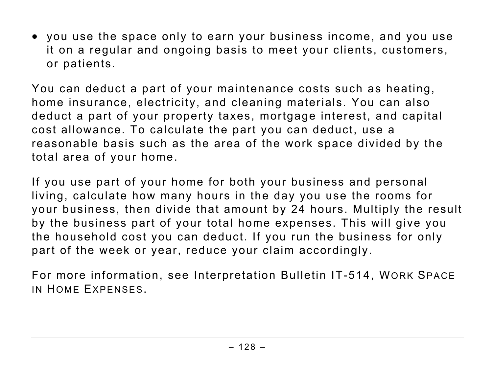• you use the space only to earn your business income, and you use it on a regular and ongoing basis to meet your clients, customers, or patients.

You can deduct a part of your maintenance costs such as heating, home insurance, electricity, and cleaning materials. You can also deduct a part of your property taxes, mortgage interest, and capital cost allowance. To calculate the part you can deduct, use a reasonable basis such as the area of the work space divided by the total area of your home.

If you use part of your home for both your business and personal living, calculate how many hours in the day you use the rooms for your business, then divide that amount by 24 hours. Multiply the result by the business part of your total home expenses. This will give you the household cost you can deduct. If you run the business for only part of the week or year, reduce your claim accordingly.

For more information, see Interpretation Bulletin IT-514, WORK SPACE IN HOME EXPENSES.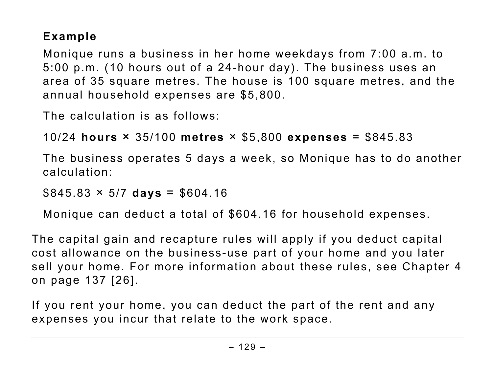## **Example**

Monique runs a business in her home weekdays from 7:00 a.m. to 5:00 p.m. (10 hours out of a 24-hour day). The business uses an area of 35 square metres. The house is 100 square metres, and the annual household expenses are \$5,800.

The calculation is as follows:

```
10/24 hours × 35/100 metres × $5,800 expenses = $845.83
```
The business operates 5 days a week, so Monique has to do another calculation:

 $$845.83 \times 5/7 \text{ days} = $604.16$ 

Monique can deduct a total of \$604.16 for household expenses.

The capital gain and recapture rules will apply if you deduct capital cost allowance on the business-use part of your home and you later sell your home. For more information about these rules, see Chapter 4 on page 137 [26].

If you rent your home, you can deduct the part of the rent and any expenses you incur that relate to the work space.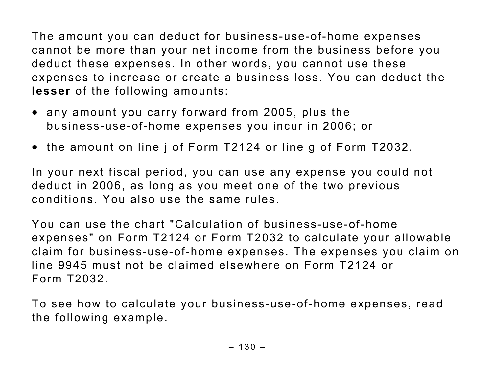The amount you can deduct for business-use-of-home expenses cannot be more than your net income from the business before you deduct these expenses. In other words, you cannot use these expenses to increase or create a business loss. You can deduct the **lesser** of the following amounts:

- any amount you carry forward from 2005, plus the business-use-of-home expenses you incur in 2006; or
- the amount on line j of Form T2124 or line g of Form T2032.

In your next fiscal period, you can use any expense you could not deduct in 2006, as long as you meet one of the two previous conditions. You also use the same rules.

You can use the chart "Calculation of business-use-of-home expenses" on Form T2124 or Form T2032 to calculate your allowable claim for business-use-of-home expenses. The expenses you claim on line 9945 must not be claimed elsewhere on Form T2124 or Form T2032.

To see how to calculate your business-use-of-home expenses, read the following example.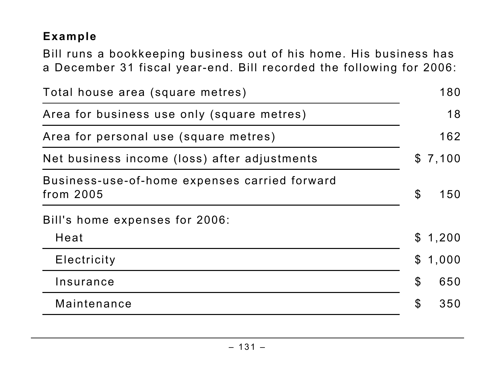## **Example**

Bill runs a bookkeeping business out of his home. His business has a December 31 fiscal year-end. Bill recorded the following for 2006:

| Total house area (square metres)                           |                            | 180     |
|------------------------------------------------------------|----------------------------|---------|
| Area for business use only (square metres)                 |                            | 18      |
| Area for personal use (square metres)                      |                            | 162     |
| Net business income (loss) after adjustments               |                            | \$7,100 |
| Business-use-of-home expenses carried forward<br>from 2005 | $\boldsymbol{\mathcal{S}}$ | 150     |
| Bill's home expenses for 2006:                             |                            |         |
| Heat                                                       | $\mathbb S$                | 1,200   |
| Electricity                                                | $\mathfrak{L}$             | 1,000   |
| Insurance                                                  | $\boldsymbol{\mathcal{S}}$ | 650     |
| Maintenance                                                | $\mathfrak{F}$             | 350     |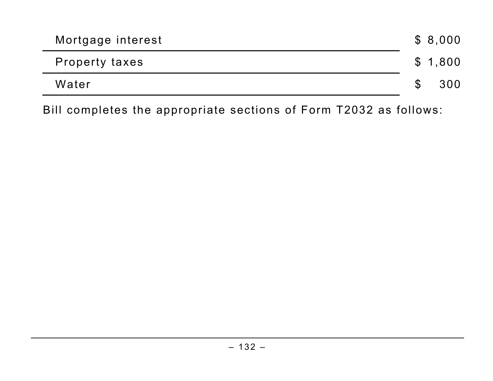| Mortgage interest     |               | \$8,000 |
|-----------------------|---------------|---------|
| <b>Property taxes</b> |               | \$1,800 |
| Water                 | <sup>\$</sup> | 300     |

Bill completes the appropriate sections of Form T2032 as follows: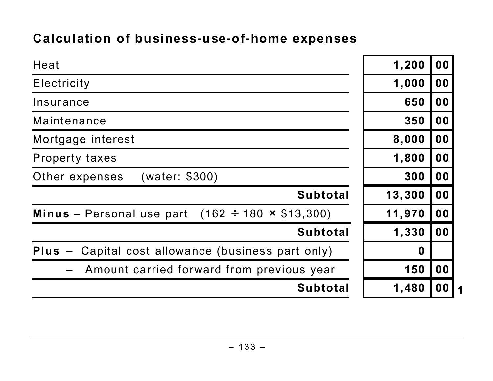## **Calculation of business-use-of-home expenses**

| Heat                                                                | 1,200            | 0 <sub>0</sub> |
|---------------------------------------------------------------------|------------------|----------------|
| Electricity                                                         | 1,000            | 00             |
| Insurance                                                           | 650              | 00             |
| Maintenance                                                         | 350              | 00             |
| Mortgage interest                                                   | 8,000            | 0 <sub>0</sub> |
| <b>Property taxes</b>                                               | 1,800            | 0 <sub>0</sub> |
| (water: \$300)<br>Other expenses                                    | 300              | 0 <sub>0</sub> |
| <b>Subtotal</b>                                                     | 13,300           | 0 <sub>0</sub> |
| <b>Minus</b> – Personal use part (162 $\div$ 180 $\times$ \$13,300) | 11,970           | 0 <sub>0</sub> |
| <b>Subtotal</b>                                                     | 1,330            | 0 <sub>0</sub> |
| $Plus -$<br>Capital cost allowance (business part only)             | $\boldsymbol{0}$ |                |
| Amount carried forward from previous year                           | 150              | 0 <sub>0</sub> |
| <b>Subtotal</b>                                                     | 1,480            | 00             |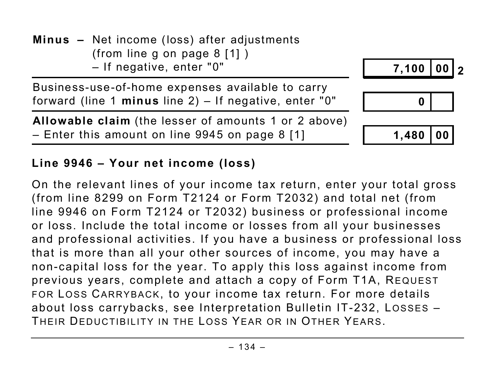

## **Line 9946 – Your net income (loss)**

On the relevant lines of your income tax return, enter your total gross (from line 8299 on Form T2124 or Form T2032) and total net (from line 9946 on Form T2124 or T2032) business or professional income or loss. Include the total income or losses from all your businesses and professional activities. If you have a business or professional loss that is more than all your other sources of income, you may have a non-capital loss for the year. To apply this loss against income from previous years, complete and attach a copy of Form T1A, REQUEST FOR LOSS CARRYBACK, to your income tax return. For more details about loss carrybacks, see Interpretation Bulletin IT-232, LOSSES – THEIR DEDUCTIBILITY IN THE LOSS YEAR OR IN OTHER YEARS.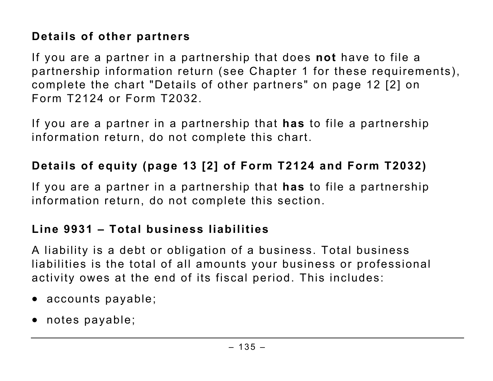## **Details of other partners**

If you are a partner in a partnership that does **not** have to file a partnership information return (see Chapter 1 for these requirements), complete the chart "Details of other partners" on page 12 [2] on Form T2124 or Form T2032.

If you are a partner in a partnership that **has** to file a partnership information return, do not complete this chart.

#### **Details of equity (page 13 [2] of Form T2124 and Form T2032)**

If you are a partner in a partnership that **has** to file a partnership information return, do not complete this section.

#### **Line 9931 – Total business liabilities**

A liability is a debt or obligation of a business. Total business liabilities is the total of all amounts your business or professional activity owes at the end of its fiscal period. This includes:

- accounts payable;
- notes payable;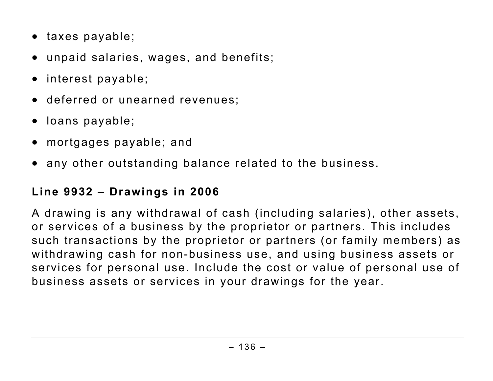- taxes payable;
- unpaid salaries, wages, and benefits;
- interest payable;
- deferred or unearned revenues;
- loans payable;
- mortgages payable; and
- any other outstanding balance related to the business.

## **Line 9932 – Drawings in 2006**

A drawing is any withdrawal of cash (including salaries), other assets, or services of a business by the proprietor or partners. This includes such transactions by the proprietor or partners (or family members) as withdrawing cash for non-business use, and using business assets or services for personal use. Include the cost or value of personal use of business assets or services in your drawings for the year.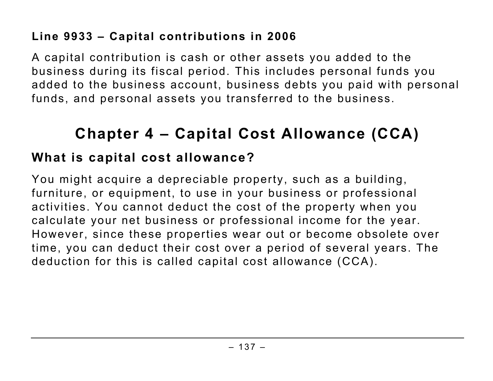## **Line 9933 – Capital contributions in 2006**

A capital contribution is cash or other assets you added to the business during its fiscal period. This includes personal funds you added to the business account, business debts you paid with personal funds, and personal assets you transferred to the business.

# **Chapter 4 – Capital Cost Allowance (CCA)**

## **What is capital cost allowance?**

You might acquire a depreciable property, such as a building, furniture, or equipment, to use in your business or professional activities. You cannot deduct the cost of the property when you calculate your net business or professional income for the year. However, since these properties wear out or become obsolete over time, you can deduct their cost over a period of several years. The deduction for this is called capital cost allowance (CCA).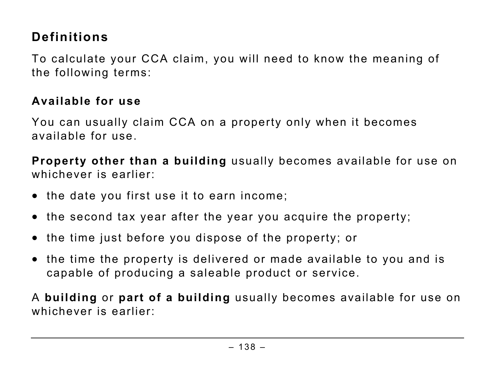## **Definitions**

To calculate your CCA claim, you will need to know the meaning of the following terms:

### **Available for use**

You can usually claim CCA on a property only when it becomes available for use.

**Property other than a building** usually becomes available for use on whichever is earlier:

- the date you first use it to earn income;
- the second tax year after the year you acquire the property;
- the time just before you dispose of the property; or
- the time the property is delivered or made available to you and is capable of producing a saleable product or service.

A **building** or **part of a building** usually becomes available for use on whichever is earlier: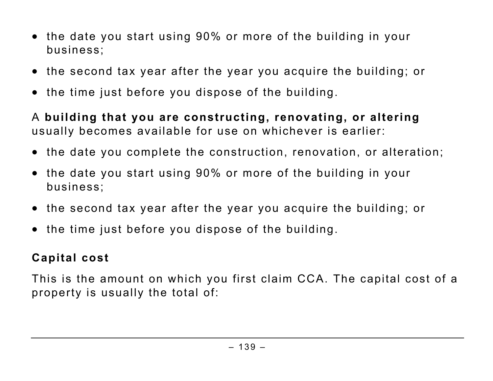- the date you start using 90% or more of the building in your business;
- the second tax year after the year you acquire the building; or
- the time just before you dispose of the building.

A **building that you are constructing, renovating, or altering** usually becomes available for use on whichever is earlier:

- the date you complete the construction, renovation, or alteration;
- the date you start using 90% or more of the building in your business;
- the second tax year after the year you acquire the building; or
- the time just before you dispose of the building.

## **Capital cost**

This is the amount on which you first claim CCA. The capital cost of a property is usually the total of: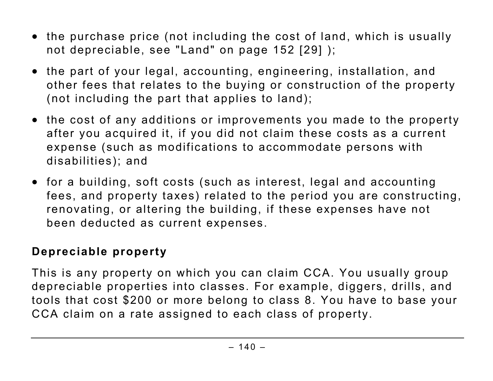- the purchase price (not including the cost of land, which is usually not depreciable, see "Land" on page 152 [29] );
- the part of your legal, accounting, engineering, installation, and other fees that relates to the buying or construction of the property (not including the part that applies to land);
- the cost of any additions or improvements you made to the property after you acquired it, if you did not claim these costs as a current expense (such as modifications to accommodate persons with disabilities); and
- for a building, soft costs (such as interest, legal and accounting fees, and property taxes) related to the period you are constructing, renovating, or altering the building, if these expenses have not been deducted as current expenses.

#### **Depreciable property**

This is any property on which you can claim CCA. You usually group depreciable properties into classes. For example, diggers, drills, and tools that cost \$200 or more belong to class 8. You have to base your CCA claim on a rate assigned to each class of property.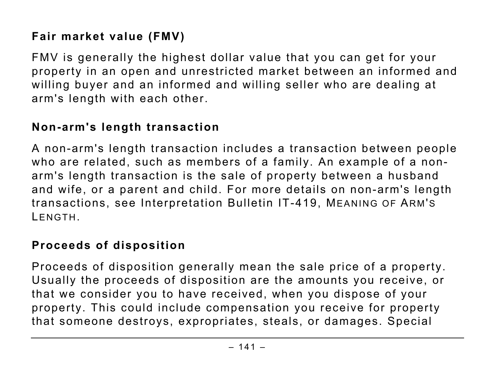## **Fair market value (FMV)**

FMV is generally the highest dollar value that you can get for your property in an open and unrestricted market between an informed and willing buyer and an informed and willing seller who are dealing at arm's length with each other.

### **Non-arm's length transaction**

A non-arm's length transaction includes a transaction between people who are related, such as members of a family. An example of a nonarm's length transaction is the sale of property between a husband and wife, or a parent and child. For more details on non-arm's length transactions, see Interpretation Bulletin IT-419, MEANING OF ARM'S LENGTH.

### **Proceeds of disposition**

Proceeds of disposition generally mean the sale price of a property. Usually the proceeds of disposition are the amounts you receive, or that we consider you to have received, when you dispose of your property. This could include compensation you receive for property that someone destroys, expropriates, steals, or damages. Special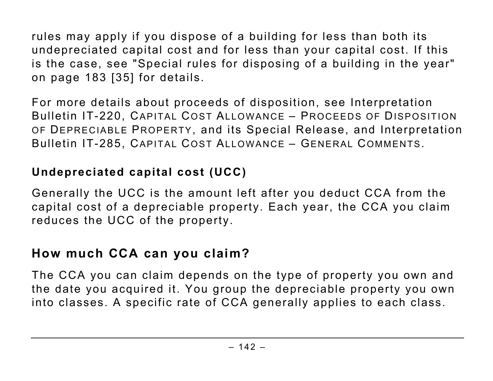rules may apply if you dispose of a building for less than both its undepreciated capital cost and for less than your capital cost. If this is the case, see "Special rules for disposing of a building in the year" on page 183 [35] for details.

For more details about proceeds of disposition, see Interpretation Bulletin IT-220, CAPITAL COST ALLOWANCE – PROCEEDS OF DISPOSITION OF DEPRECIABLE PROPERTY, and its Special Release, and Interpretation Bulletin IT-285, CAPITAL COST ALLOWANCE – GENERAL COMMENTS.

#### **Undepreciated capital cost (UCC)**

Generally the UCC is the amount left after you deduct CCA from the capital cost of a depreciable property. Each year, the CCA you claim reduces the UCC of the property.

## **How much CCA can you claim?**

The CCA you can claim depends on the type of property you own and the date you acquired it. You group the depreciable property you own into classes. A specific rate of CCA generally applies to each class.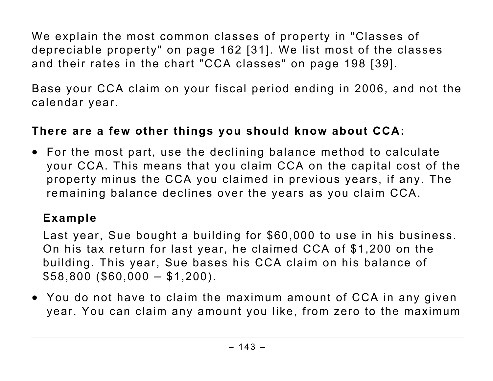We explain the most common classes of property in "Classes of depreciable property" on page 162 [31]. We list most of the classes and their rates in the chart "CCA classes" on page 198 [39].

Base your CCA claim on your fiscal period ending in 2006, and not the calendar year.

### **There are a few other things you should know about CCA:**

• For the most part, use the declining balance method to calculate your CCA. This means that you claim CCA on the capital cost of the property minus the CCA you claimed in previous years, if any. The remaining balance declines over the years as you claim CCA.

# **Example**

Last year, Sue bought a building for \$60,000 to use in his business. On his tax return for last year, he claimed CCA of \$1,200 on the building. This year, Sue bases his CCA claim on his balance of  $$58,800 ($60,000 - $1,200).$ 

• You do not have to claim the maximum amount of CCA in any given year. You can claim any amount you like, from zero to the maximum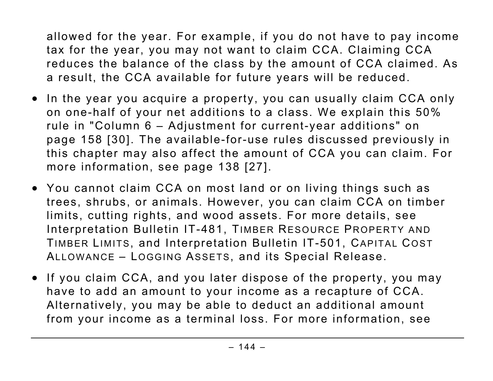allowed for the year. For example, if you do not have to pay income tax for the year, you may not want to claim CCA. Claiming CCA reduces the balance of the class by the amount of CCA claimed. As a result, the CCA available for future years will be reduced.

- In the year you acquire a property, you can usually claim CCA only on one-half of your net additions to a class. We explain this 50% rule in "Column 6 – Adjustment for current-year additions" on page 158 [30]. The available-for-use rules discussed previously in this chapter may also affect the amount of CCA you can claim. For more information, see page 138 [27].
- You cannot claim CCA on most land or on living things such as trees, shrubs, or animals. However, you can claim CCA on timber limits, cutting rights, and wood assets. For more details, see Interpretation Bulletin IT-481, TIMBER RESOURCE PROPERTY AND TIMBER LIMITS, and Interpretation Bulletin IT-501, CAPITAL COST ALLOWANCE – LOGGING ASSETS, and its Special Release.
- If you claim CCA, and you later dispose of the property, you may have to add an amount to your income as a recapture of CCA. Alternatively, you may be able to deduct an additional amount from your income as a terminal loss. For more information, see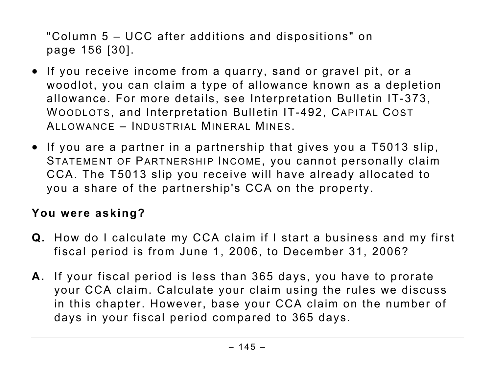"Column 5 – UCC after additions and dispositions" on page 156 [30].

- If you receive income from a quarry, sand or gravel pit, or a woodlot, you can claim a type of allowance known as a depletion allowance. For more details, see Interpretation Bulletin IT-373, WOODLOTS, and Interpretation Bulletin IT-492, CAPITAL COST ALLOWANCE – INDUSTRIAL MINERAL MINES.
- If you are a partner in a partnership that gives you a T5013 slip, STATEMENT OF PARTNERSHIP INCOME, you cannot personally claim CCA. The T5013 slip you receive will have already allocated to you a share of the partnership's CCA on the property.

# **You were asking?**

- **Q.** How do I calculate my CCA claim if I start a business and my first fiscal period is from June 1, 2006, to December 31, 2006?
- **A.** If your fiscal period is less than 365 days, you have to prorate your CCA claim. Calculate your claim using the rules we discuss in this chapter. However, base your CCA claim on the number of days in your fiscal period compared to 365 days.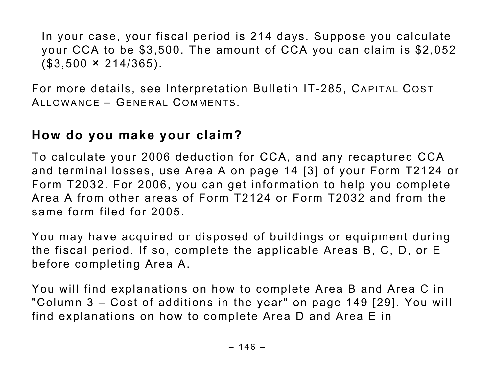In your case, your fiscal period is 214 days. Suppose you calculate your CCA to be \$3,500. The amount of CCA you can claim is \$2,052  $($3,500 \times 214/365).$ 

For more details, see Interpretation Bulletin IT-285, CAPITAL COST ALLOWANCE – GENERAL COMMENTS.

# **How do you make your claim?**

To calculate your 2006 deduction for CCA, and any recaptured CCA and terminal losses, use Area A on page 14 [3] of your Form T2124 or Form T2032. For 2006, you can get information to help you complete Area A from other areas of Form T2124 or Form T2032 and from the same form filed for 2005.

You may have acquired or disposed of buildings or equipment during the fiscal period. If so, complete the applicable Areas B, C, D, or E before completing Area A.

You will find explanations on how to complete Area B and Area C in "Column 3 – Cost of additions in the year" on page 149 [29]. You will find explanations on how to complete Area D and Area E in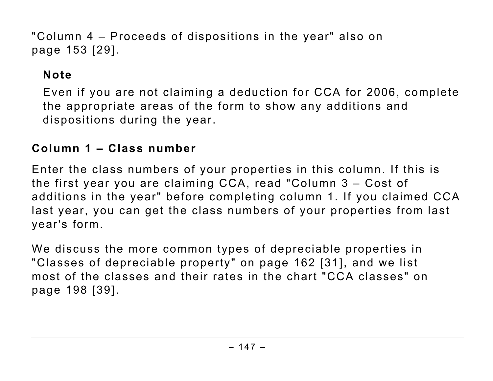"Column 4 – Proceeds of dispositions in the year" also on page 153 [29].

# **Note**

Even if you are not claiming a deduction for CCA for 2006, complete the appropriate areas of the form to show any additions and dispositions during the year.

#### **Column 1 – Class number**

Enter the class numbers of your properties in this column. If this is the first year you are claiming CCA, read "Column 3 – Cost of additions in the year" before completing column 1. If you claimed CCA last year, you can get the class numbers of your properties from last year's form.

We discuss the more common types of depreciable properties in "Classes of depreciable property" on page 162 [31], and we list most of the classes and their rates in the chart "CCA classes" on page 198 [39].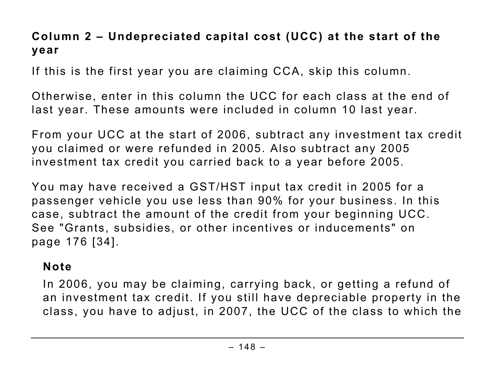# **Column 2 – Undepreciated capital cost (UCC) at the start of the year**

If this is the first year you are claiming CCA, skip this column.

Otherwise, enter in this column the UCC for each class at the end of last year. These amounts were included in column 10 last year.

From your UCC at the start of 2006, subtract any investment tax credit you claimed or were refunded in 2005. Also subtract any 2005 investment tax credit you carried back to a year before 2005.

You may have received a GST/HST input tax credit in 2005 for a passenger vehicle you use less than 90% for your business. In this case, subtract the amount of the credit from your beginning UCC. See "Grants, subsidies, or other incentives or inducements" on page 176 [34].

#### **Note**

In 2006, you may be claiming, carrying back, or getting a refund of an investment tax credit. If you still have depreciable property in the class, you have to adjust, in 2007, the UCC of the class to which the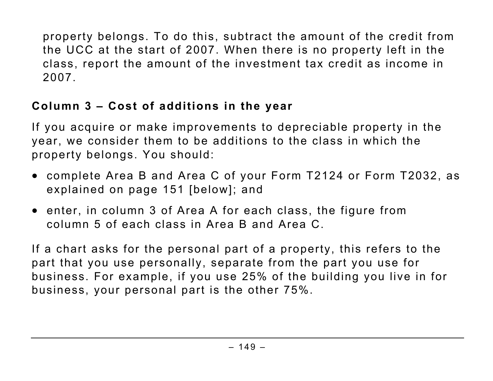property belongs. To do this, subtract the amount of the credit from the UCC at the start of 2007. When there is no property left in the class, report the amount of the investment tax credit as income in 2007.

# **Column 3 – Cost of additions in the year**

If you acquire or make improvements to depreciable property in the year, we consider them to be additions to the class in which the property belongs. You should:

- complete Area B and Area C of your Form T2124 or Form T2032, as explained on page 151 [below]; and
- enter, in column 3 of Area A for each class, the figure from column 5 of each class in Area B and Area C.

If a chart asks for the personal part of a property, this refers to the part that you use personally, separate from the part you use for business. For example, if you use 25% of the building you live in for business, your personal part is the other 75%.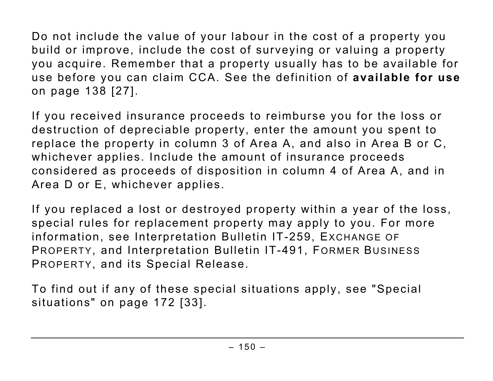Do not include the value of your labour in the cost of a property you build or improve, include the cost of surveying or valuing a property you acquire. Remember that a property usually has to be available for use before you can claim CCA. See the definition of **available for use** on page 138 [27].

If you received insurance proceeds to reimburse you for the loss or destruction of depreciable property, enter the amount you spent to replace the property in column 3 of Area A, and also in Area B or C, whichever applies. Include the amount of insurance proceeds considered as proceeds of disposition in column 4 of Area A, and in Area D or E, whichever applies.

If you replaced a lost or destroyed property within a year of the loss, special rules for replacement property may apply to you. For more information, see Interpretation Bulletin IT-259, EXCHANGE OF PROPERTY, and Interpretation Bulletin IT-491, FORMER BUSINESS PROPERTY, and its Special Release.

To find out if any of these special situations apply, see "Special situations" on page 172 [33].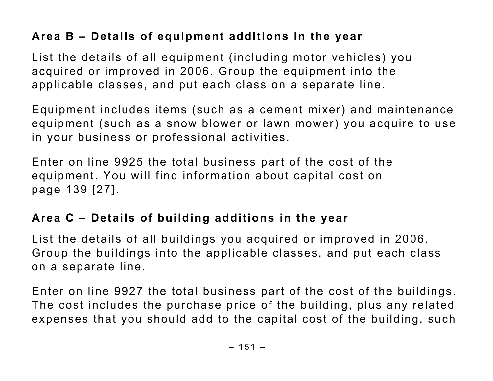# **Area B – Details of equipment additions in the year**

List the details of all equipment (including motor vehicles) you acquired or improved in 2006. Group the equipment into the applicable classes, and put each class on a separate line.

Equipment includes items (such as a cement mixer) and maintenance equipment (such as a snow blower or lawn mower) you acquire to use in your business or professional activities.

Enter on line 9925 the total business part of the cost of the equipment. You will find information about capital cost on page 139 [27].

# **Area C – Details of building additions in the year**

List the details of all buildings you acquired or improved in 2006. Group the buildings into the applicable classes, and put each class on a separate line.

Enter on line 9927 the total business part of the cost of the buildings. The cost includes the purchase price of the building, plus any related expenses that you should add to the capital cost of the building, such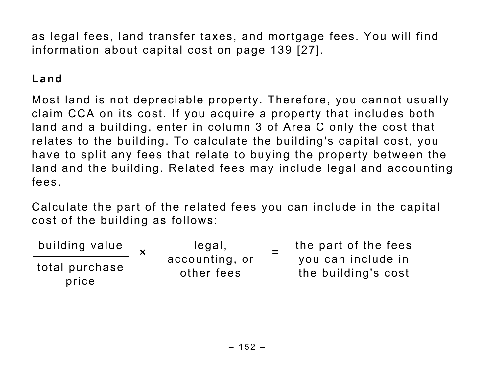as legal fees, land transfer taxes, and mortgage fees. You will find information about capital cost on page 139 [27].

# **Land**

Most land is not depreciable property. Therefore, you cannot usually claim CCA on its cost. If you acquire a property that includes both land and a building, enter in column 3 of Area C only the cost that relates to the building. To calculate the building's capital cost, you have to split any fees that relate to buying the property between the land and the building. Related fees may include legal and accounting fees.

Calculate the part of the related fees you can include in the capital cost of the building as follows:

| building value          |  | legal,<br>accounting, or<br>other fees | the part of the fees                      |  |
|-------------------------|--|----------------------------------------|-------------------------------------------|--|
| total purchase<br>price |  |                                        | you can include in<br>the building's cost |  |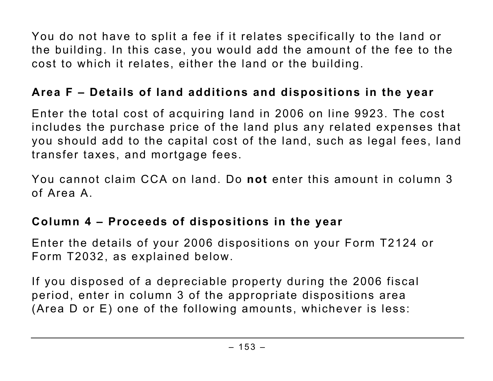You do not have to split a fee if it relates specifically to the land or the building. In this case, you would add the amount of the fee to the cost to which it relates, either the land or the building.

### **Area F – Details of land additions and dispositions in the year**

Enter the total cost of acquiring land in 2006 on line 9923. The cost includes the purchase price of the land plus any related expenses that you should add to the capital cost of the land, such as legal fees, land transfer taxes, and mortgage fees.

You cannot claim CCA on land. Do **not** enter this amount in column 3 of Area A.

#### **Column 4 – Proceeds of dispositions in the year**

Enter the details of your 2006 dispositions on your Form T2124 or Form T2032, as explained below.

If you disposed of a depreciable property during the 2006 fiscal period, enter in column 3 of the appropriate dispositions area (Area D or E) one of the following amounts, whichever is less: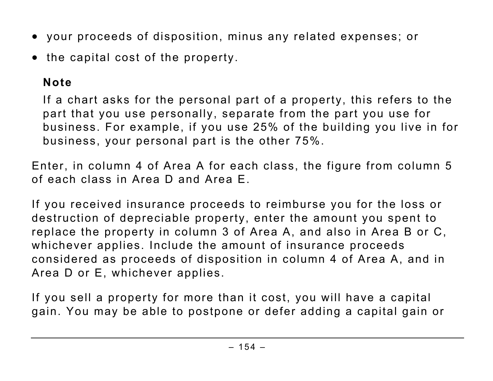- your proceeds of disposition, minus any related expenses; or
- the capital cost of the property.

# **Note**

If a chart asks for the personal part of a property, this refers to the part that you use personally, separate from the part you use for business. For example, if you use 25% of the building you live in for business, your personal part is the other 75%.

Enter, in column 4 of Area A for each class, the figure from column 5 of each class in Area D and Area E.

If you received insurance proceeds to reimburse you for the loss or destruction of depreciable property, enter the amount you spent to replace the property in column 3 of Area A, and also in Area B or C, whichever applies. Include the amount of insurance proceeds considered as proceeds of disposition in column 4 of Area A, and in Area D or E, whichever applies.

If you sell a property for more than it cost, you will have a capital gain. You may be able to postpone or defer adding a capital gain or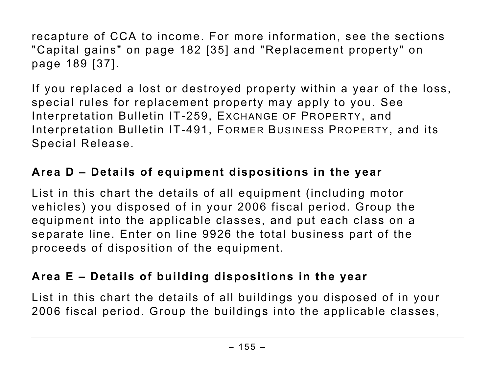recapture of CCA to income. For more information, see the sections "Capital gains" on page 182 [35] and "Replacement property" on page 189 [37].

If you replaced a lost or destroyed property within a year of the loss, special rules for replacement property may apply to you. See Interpretation Bulletin IT-259, EXCHANGE OF PROPERTY, and Interpretation Bulletin IT-491, FORMER BUSINESS PROPERTY, and its Special Release.

### **Area D – Details of equipment dispositions in the year**

List in this chart the details of all equipment (including motor vehicles) you disposed of in your 2006 fiscal period. Group the equipment into the applicable classes, and put each class on a separate line. Enter on line 9926 the total business part of the proceeds of disposition of the equipment.

# **Area E – Details of building dispositions in the year**

List in this chart the details of all buildings you disposed of in your 2006 fiscal period. Group the buildings into the applicable classes,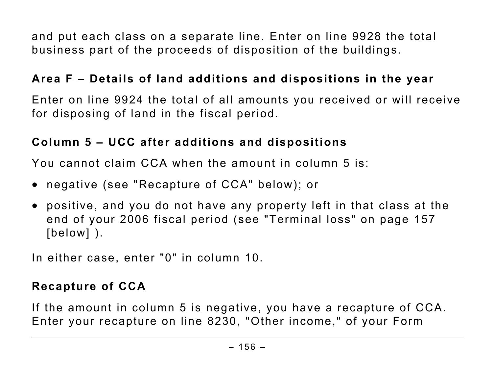and put each class on a separate line. Enter on line 9928 the total business part of the proceeds of disposition of the buildings.

### **Area F – Details of land additions and dispositions in the year**

Enter on line 9924 the total of all amounts you received or will receive for disposing of land in the fiscal period.

### **Column 5 – UCC after additions and dispositions**

You cannot claim CCA when the amount in column 5 is:

- negative (see "Recapture of CCA" below); or
- positive, and you do not have any property left in that class at the end of your 2006 fiscal period (see "Terminal loss" on page 157 [below] ).

In either case, enter "0" in column 10.

# **Recapture of CCA**

If the amount in column 5 is negative, you have a recapture of CCA. Enter your recapture on line 8230, "Other income," of your Form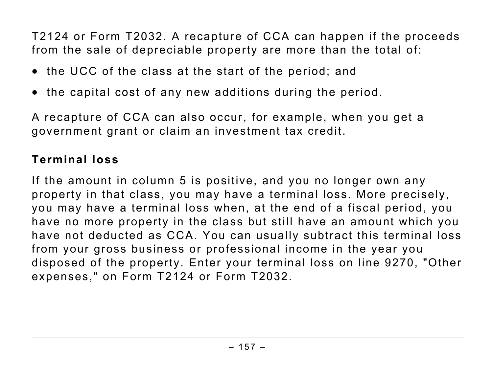T2124 or Form T2032. A recapture of CCA can happen if the proceeds from the sale of depreciable property are more than the total of:

- the UCC of the class at the start of the period; and
- the capital cost of any new additions during the period.

A recapture of CCA can also occur, for example, when you get a government grant or claim an investment tax credit.

# **Terminal loss**

If the amount in column 5 is positive, and you no longer own any property in that class, you may have a terminal loss. More precisely, you may have a terminal loss when, at the end of a fiscal period, you have no more property in the class but still have an amount which you have not deducted as CCA. You can usually subtract this terminal loss from your gross business or professional income in the year you disposed of the property. Enter your terminal loss on line 9270, "Other expenses," on Form T2124 or Form T2032.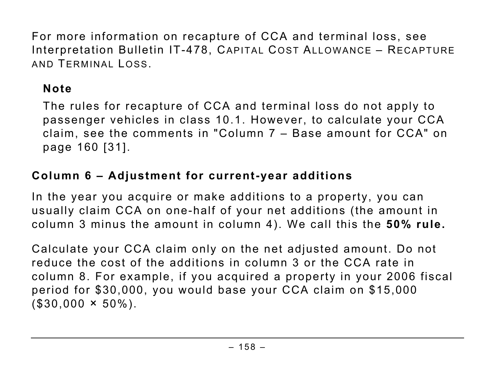For more information on recapture of CCA and terminal loss, see Interpretation Bulletin IT-478, CAPITAL COST ALLOWANCE – RECAPTURE AND TERMINAL LOSS.

### **Note**

The rules for recapture of CCA and terminal loss do not apply to passenger vehicles in class 10.1. However, to calculate your CCA claim, see the comments in "Column 7 – Base amount for CCA" on page 160 [31].

# **Column 6 – Adjustment for current-year additions**

In the year you acquire or make additions to a property, you can usually claim CCA on one-half of your net additions (the amount in column 3 minus the amount in column 4). We call this the **50% rule.**

Calculate your CCA claim only on the net adjusted amount. Do not reduce the cost of the additions in column 3 or the CCA rate in column 8. For example, if you acquired a property in your 2006 fiscal period for \$30,000, you would base your CCA claim on \$15,000  $($ \$30,000  $\times$  50%).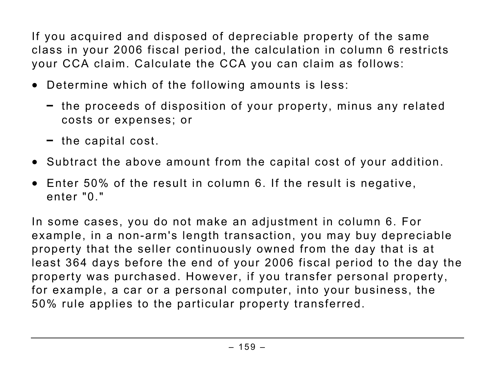If you acquired and disposed of depreciable property of the same class in your 2006 fiscal period, the calculation in column 6 restricts your CCA claim. Calculate the CCA you can claim as follows:

- Determine which of the following amounts is less:
	- the proceeds of disposition of your property, minus any related costs or expenses; or
	- the capital cost.
- Subtract the above amount from the capital cost of your addition.
- Enter 50% of the result in column 6. If the result is negative, enter "0."

In some cases, you do not make an adjustment in column 6. For example, in a non-arm's length transaction, you may buy depreciable property that the seller continuously owned from the day that is at least 364 days before the end of your 2006 fiscal period to the day the property was purchased. However, if you transfer personal property, for example, a car or a personal computer, into your business, the 50% rule applies to the particular property transferred.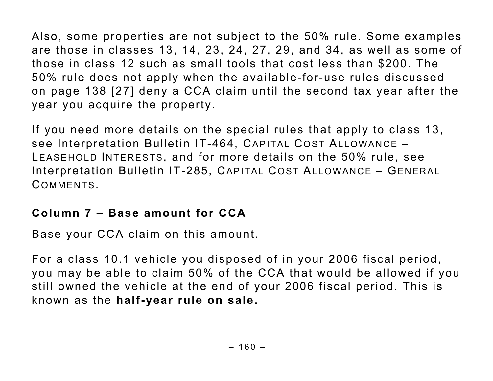Also, some properties are not subject to the 50% rule. Some examples are those in classes 13, 14, 23, 24, 27, 29, and 34, as well as some of those in class 12 such as small tools that cost less than \$200. The 50% rule does not apply when the available-for-use rules discussed on page 138 [27] deny a CCA claim until the second tax year after the year you acquire the property.

If you need more details on the special rules that apply to class 13, see Interpretation Bulletin IT-464, CAPITAL COST ALLOWANCE – LEASEHOLD INTERESTS, and for more details on the 50% rule, see Interpretation Bulletin IT-285, CAPITAL COST ALLOWANCE – GENERAL COMMENTS.

### **Column 7 – Base amount for CCA**

Base your CCA claim on this amount.

For a class 10.1 vehicle you disposed of in your 2006 fiscal period, you may be able to claim 50% of the CCA that would be allowed if you still owned the vehicle at the end of your 2006 fiscal period. This is known as the **half-year rule on sale.**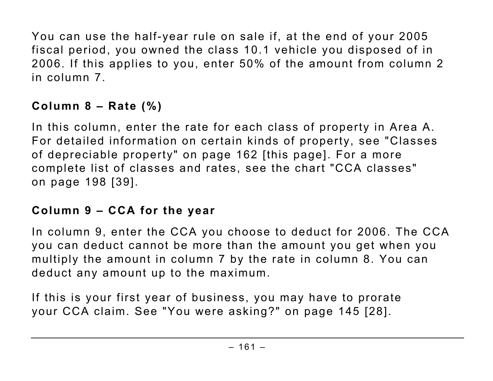You can use the half-year rule on sale if, at the end of your 2005 fiscal period, you owned the class 10.1 vehicle you disposed of in 2006. If this applies to you, enter 50% of the amount from column 2 in column 7.

# **Column 8 – Rate (%)**

In this column, enter the rate for each class of property in Area A. For detailed information on certain kinds of property, see "Classes of depreciable property" on page 162 [this page]. For a more complete list of classes and rates, see the chart "CCA classes" on page 198 [39].

# **Column 9 – CCA for the year**

In column 9, enter the CCA you choose to deduct for 2006. The CCA you can deduct cannot be more than the amount you get when you multiply the amount in column 7 by the rate in column 8. You can deduct any amount up to the maximum.

If this is your first year of business, you may have to prorate your CCA claim. See "You were asking?" on page 145 [28].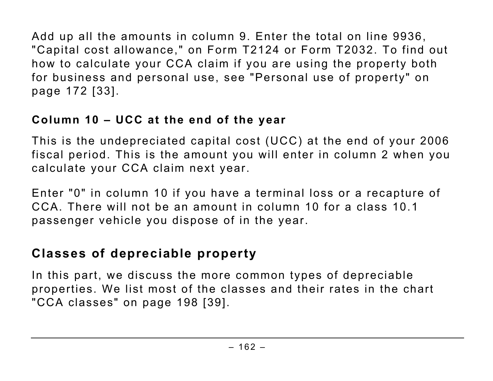Add up all the amounts in column 9. Enter the total on line 9936, "Capital cost allowance," on Form T2124 or Form T2032. To find out how to calculate your CCA claim if you are using the property both for business and personal use, see "Personal use of property" on page 172 [33].

# **Column 10 – UCC at the end of the year**

This is the undepreciated capital cost (UCC) at the end of your 2006 fiscal period. This is the amount you will enter in column 2 when you calculate your CCA claim next year.

Enter "0" in column 10 if you have a terminal loss or a recapture of CCA. There will not be an amount in column 10 for a class 10.1 passenger vehicle you dispose of in the year.

# **Classes of depreciable property**

In this part, we discuss the more common types of depreciable properties. We list most of the classes and their rates in the chart "CCA classes" on page 198 [39].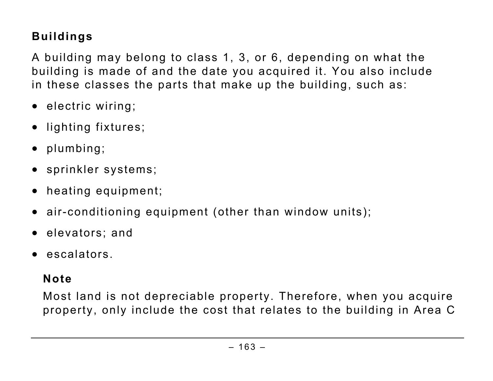# **Buildings**

A building may belong to class 1, 3, or 6, depending on what the building is made of and the date you acquired it. You also include in these classes the parts that make up the building, such as:

- electric wiring;
- lighting fixtures;
- plumbing;
- sprinkler systems;
- heating equipment;
- air-conditioning equipment (other than window units);
- elevators; and
- escalators.

### **Note**

Most land is not depreciable property. Therefore, when you acquire property, only include the cost that relates to the building in Area C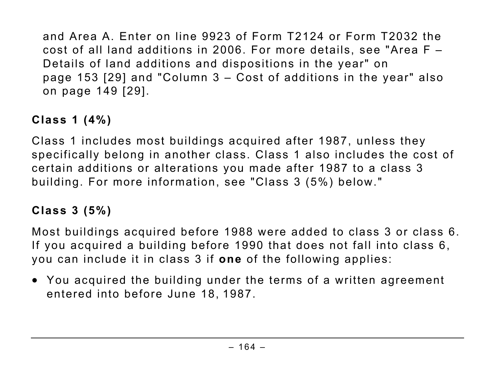and Area A. Enter on line 9923 of Form T2124 or Form T2032 the cost of all land additions in 2006. For more details, see "Area F – Details of land additions and dispositions in the year" on page 153 [29] and "Column 3 – Cost of additions in the year" also on page 149 [29].

# **Class 1 (4%)**

Class 1 includes most buildings acquired after 1987, unless they specifically belong in another class. Class 1 also includes the cost of certain additions or alterations you made after 1987 to a class 3 building. For more information, see "Class 3 (5%) below."

# **Class 3 (5%)**

Most buildings acquired before 1988 were added to class 3 or class 6. If you acquired a building before 1990 that does not fall into class 6, you can include it in class 3 if **one** of the following applies:

• You acquired the building under the terms of a written agreement entered into before June 18, 1987.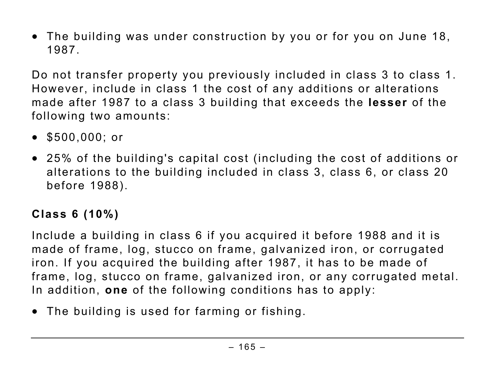• The building was under construction by you or for you on June 18, 1987.

Do not transfer property you previously included in class 3 to class 1. However, include in class 1 the cost of any additions or alterations made after 1987 to a class 3 building that exceeds the **lesser** of the following two amounts:

- \$500,000; or
- 25% of the building's capital cost (including the cost of additions or alterations to the building included in class 3, class 6, or class 20 before 1988).

# **Class 6 (10%)**

Include a building in class 6 if you acquired it before 1988 and it is made of frame, log, stucco on frame, galvanized iron, or corrugated iron. If you acquired the building after 1987, it has to be made of frame, log, stucco on frame, galvanized iron, or any corrugated metal. In addition, **one** of the following conditions has to apply:

• The building is used for farming or fishing.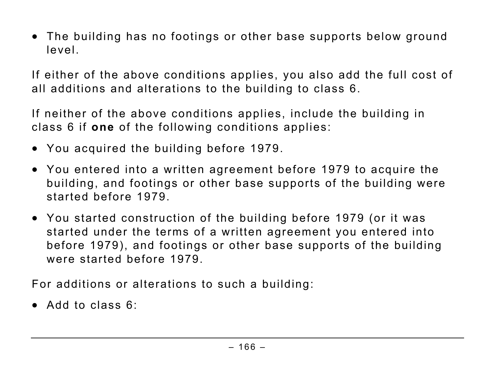• The building has no footings or other base supports below ground level.

If either of the above conditions applies, you also add the full cost of all additions and alterations to the building to class 6.

If neither of the above conditions applies, include the building in class 6 if **one** of the following conditions applies:

- You acquired the building before 1979.
- You entered into a written agreement before 1979 to acquire the building, and footings or other base supports of the building were started before 1979.
- You started construction of the building before 1979 (or it was started under the terms of a written agreement you entered into before 1979), and footings or other base supports of the building were started before 1979.

For additions or alterations to such a building:

• Add to class 6: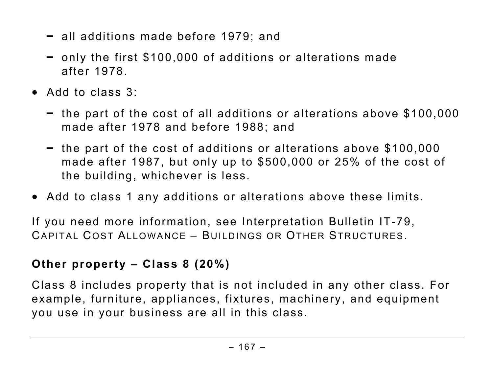- all additions made before 1979; and
- only the first \$100,000 of additions or alterations made after 1978.
- Add to class 3:
	- the part of the cost of all additions or alterations above \$100,000 made after 1978 and before 1988; and
	- the part of the cost of additions or alterations above \$100,000 made after 1987, but only up to \$500,000 or 25% of the cost of the building, whichever is less.
- Add to class 1 any additions or alterations above these limits.

If you need more information, see Interpretation Bulletin IT-79, CAPITAL COST ALLOWANCE – BUILDINGS OR OTHER STRUCTURES.

# **Other property – Class 8 (20%)**

Class 8 includes property that is not included in any other class. For example, furniture, appliances, fixtures, machinery, and equipment you use in your business are all in this class.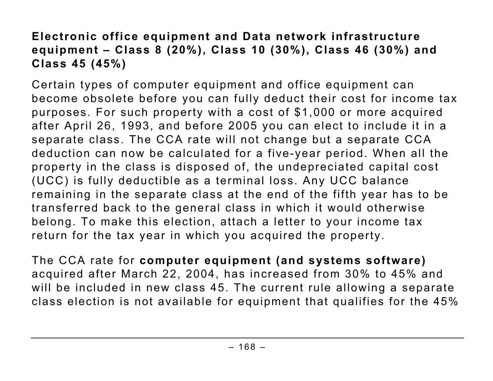# **Electronic office equipment and Data network infrastructure equipment – Class 8 (20%), Class 10 (30%), Class 46 (30%) and Class 45 (45%)**

Certain types of computer equipment and office equipment can become obsolete before you can fully deduct their cost for income tax purposes. For such property with a cost of \$1,000 or more acquired after April 26, 1993, and before 2005 you can elect to include it in a separate class. The CCA rate will not change but a separate CCA deduction can now be calculated for a five-year period. When all the property in the class is disposed of, the undepreciated capital cost (UCC) is fully deductible as a terminal loss. Any UCC balance remaining in the separate class at the end of the fifth year has to be transferred back to the general class in which it would otherwise belong. To make this election, attach a letter to your income tax return for the tax year in which you acquired the property.

The CCA rate for **computer equipment (and systems software)** acquired after March 22, 2004, has increased from 30% to 45% and will be included in new class 45. The current rule allowing a separate class election is not available for equipment that qualifies for the 45%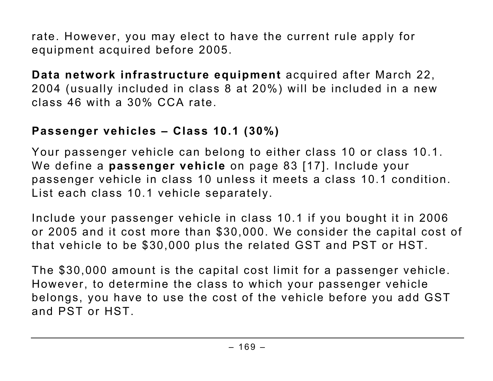rate. However, you may elect to have the current rule apply for equipment acquired before 2005.

**Data network infrastructure equipment** acquired after March 22, 2004 (usually included in class 8 at 20%) will be included in a new class 46 with a 30% CCA rate.

### **Passenger vehicles – Class 10.1 (30%)**

Your passenger vehicle can belong to either class 10 or class 10.1. We define a **passenger vehicle** on page 83 [17]. Include your passenger vehicle in class 10 unless it meets a class 10.1 condition. List each class 10.1 vehicle separately.

Include your passenger vehicle in class 10.1 if you bought it in 2006 or 2005 and it cost more than \$30,000. We consider the capital cost of that vehicle to be \$30,000 plus the related GST and PST or HST.

The \$30,000 amount is the capital cost limit for a passenger vehicle. However, to determine the class to which your passenger vehicle belongs, you have to use the cost of the vehicle before you add GST and PST or HST.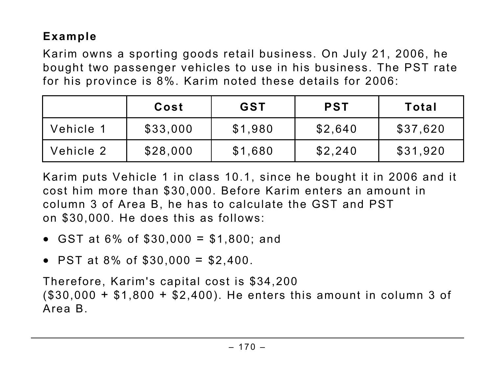# **Example**

Karim owns a sporting goods retail business. On July 21, 2006, he bought two passenger vehicles to use in his business. The PST rate for his province is 8%. Karim noted these details for 2006:

|           | Cost     | <b>GST</b> | <b>PST</b> | Total    |
|-----------|----------|------------|------------|----------|
| Vehicle 1 | \$33,000 | \$1,980    | \$2,640    | \$37,620 |
| Vehicle 2 | \$28,000 | \$1,680    | \$2,240    | \$31,920 |

Karim puts Vehicle 1 in class 10.1, since he bought it in 2006 and it cost him more than \$30,000. Before Karim enters an amount in column 3 of Area B, he has to calculate the GST and PST on \$30,000. He does this as follows:

- GST at  $6\%$  of  $$30,000 = $1,800$ ; and
- PST at 8% of  $$30,000 = $2,400$ .

Therefore, Karim's capital cost is \$34,200 (\$30,000 + \$1,800 + \$2,400). He enters this amount in column 3 of Area B.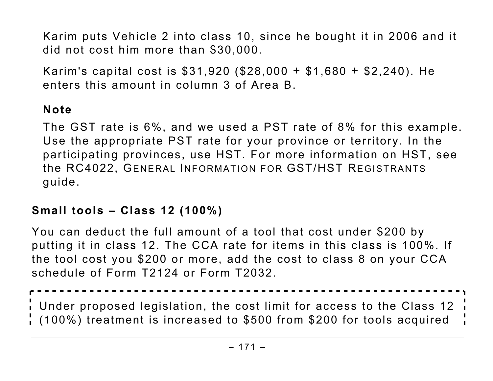Karim puts Vehicle 2 into class 10, since he bought it in 2006 and it did not cost him more than \$30,000.

Karim's capital cost is \$31,920 (\$28,000 + \$1,680 + \$2,240). He enters this amount in column 3 of Area B.

# **Note**

The GST rate is 6%, and we used a PST rate of 8% for this example. Use the appropriate PST rate for your province or territory. In the participating provinces, use HST. For more information on HST, see the RC4022, GENERAL INFORMATION FOR GST/HST REGISTRANTS guide.

### **Small tools – Class 12 (100%)**

You can deduct the full amount of a tool that cost under \$200 by putting it in class 12. The CCA rate for items in this class is 100%. If the tool cost you \$200 or more, add the cost to class 8 on your CCA schedule of Form T2124 or Form T2032.

Under proposed legislation, the cost limit for access to the Class 12 (100%) treatment is increased to \$500 from \$200 for tools acquired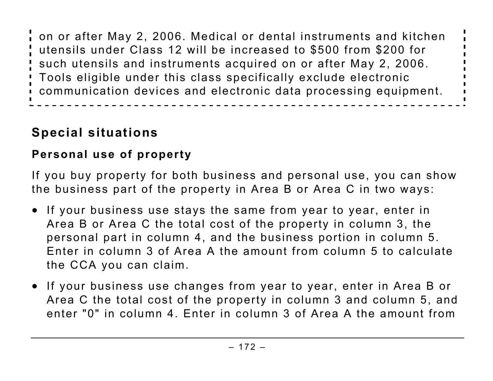on or after May 2, 2006. Medical or dental instruments and kitchen utensils under Class 12 will be increased to \$500 from \$200 for such utensils and instruments acquired on or after May 2, 2006. Tools eligible under this class specifically exclude electronic communication devices and electronic data processing equipment.

# **Special situations**

# **Personal use of property**

If you buy property for both business and personal use, you can show the business part of the property in Area B or Area C in two ways:

- If your business use stays the same from year to year, enter in Area B or Area C the total cost of the property in column 3, the personal part in column 4, and the business portion in column 5. Enter in column 3 of Area A the amount from column 5 to calculate the CCA you can claim.
- If your business use changes from year to year, enter in Area B or Area C the total cost of the property in column 3 and column 5, and enter "0" in column 4. Enter in column 3 of Area A the amount from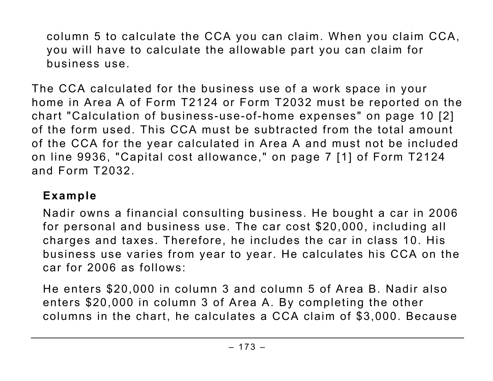column 5 to calculate the CCA you can claim. When you claim CCA, you will have to calculate the allowable part you can claim for business use.

The CCA calculated for the business use of a work space in your home in Area A of Form T2124 or Form T2032 must be reported on the chart "Calculation of business-use-of-home expenses" on page 10 [2] of the form used. This CCA must be subtracted from the total amount of the CCA for the year calculated in Area A and must not be included on line 9936, "Capital cost allowance," on page 7 [1] of Form T2124 and Form T2032.

# **Example**

Nadir owns a financial consulting business. He bought a car in 2006 for personal and business use. The car cost \$20,000, including all charges and taxes. Therefore, he includes the car in class 10. His business use varies from year to year. He calculates his CCA on the car for 2006 as follows:

He enters \$20,000 in column 3 and column 5 of Area B. Nadir also enters \$20,000 in column 3 of Area A. By completing the other columns in the chart, he calculates a CCA claim of \$3,000. Because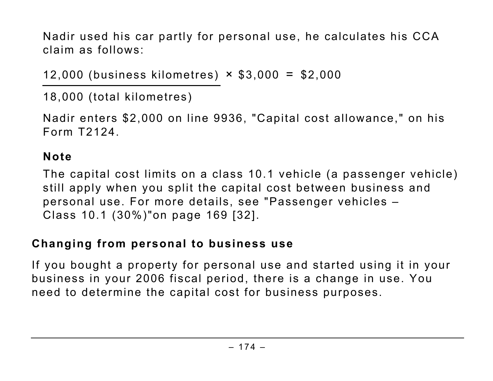Nadir used his car partly for personal use, he calculates his CCA claim as follows:

12,000 (business kilometres) × \$3,000 = \$2,000

18,000 (total kilometres)

Nadir enters \$2,000 on line 9936, "Capital cost allowance," on his Form T2124.

### **Note**

The capital cost limits on a class 10.1 vehicle (a passenger vehicle) still apply when you split the capital cost between business and personal use. For more details, see "Passenger vehicles – Class 10.1 (30%)"on page 169 [32].

### **Changing from personal to business use**

If you bought a property for personal use and started using it in your business in your 2006 fiscal period, there is a change in use. You need to determine the capital cost for business purposes.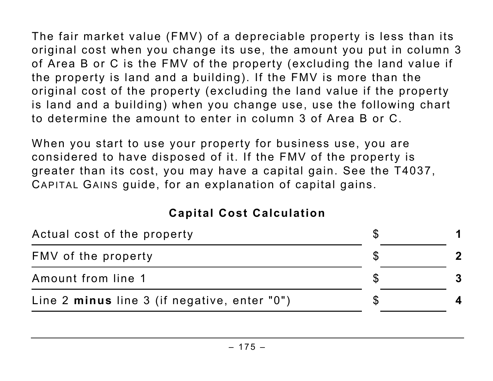The fair market value (FMV) of a depreciable property is less than its original cost when you change its use, the amount you put in column 3 of Area B or C is the FMV of the property (excluding the land value if the property is land and a building). If the FMV is more than the original cost of the property (excluding the land value if the property is land and a building) when you change use, use the following chart to determine the amount to enter in column 3 of Area B or C.

When you start to use your property for business use, you are considered to have disposed of it. If the FMV of the property is greater than its cost, you may have a capital gain. See the T4037, CAPITAL GAINS guide, for an explanation of capital gains.

### **Capital Cost Calculation**

| Actual cost of the property                  |  |
|----------------------------------------------|--|
| FMV of the property                          |  |
| Amount from line 1                           |  |
| Line 2 minus line 3 (if negative, enter "0") |  |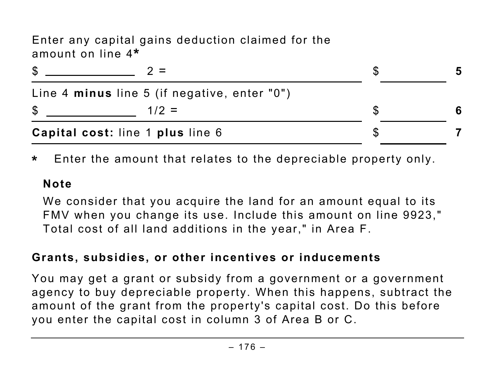Enter any capital gains deduction claimed for the amount on line 4**\***

| S  |                                              | 5 |
|----|----------------------------------------------|---|
|    | Line 4 minus line 5 (if negative, enter "0") |   |
| \$ | $1/2 =$                                      |   |
|    | Capital cost: line 1 plus line 6             |   |

**\*** Enter the amount that relates to the depreciable property only.

#### **Note**

We consider that you acquire the land for an amount equal to its FMV when you change its use. Include this amount on line 9923," Total cost of all land additions in the year," in Area F.

### **Grants, subsidies, or other incentives or inducements**

You may get a grant or subsidy from a government or a government agency to buy depreciable property. When this happens, subtract the amount of the grant from the property's capital cost. Do this before you enter the capital cost in column 3 of Area B or C.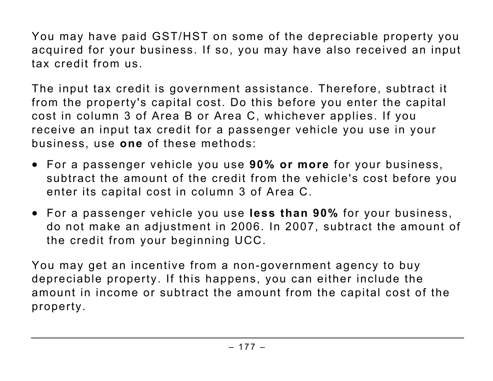You may have paid GST/HST on some of the depreciable property you acquired for your business. If so, you may have also received an input tax credit from us.

The input tax credit is government assistance. Therefore, subtract it from the property's capital cost. Do this before you enter the capital cost in column 3 of Area B or Area C, whichever applies. If you receive an input tax credit for a passenger vehicle you use in your business, use **one** of these methods:

- For a passenger vehicle you use **90% or more** for your business, subtract the amount of the credit from the vehicle's cost before you enter its capital cost in column 3 of Area C.
- For a passenger vehicle you use **less than 90%** for your business, do not make an adjustment in 2006. In 2007, subtract the amount of the credit from your beginning UCC.

You may get an incentive from a non-government agency to buy depreciable property. If this happens, you can either include the amount in income or subtract the amount from the capital cost of the property.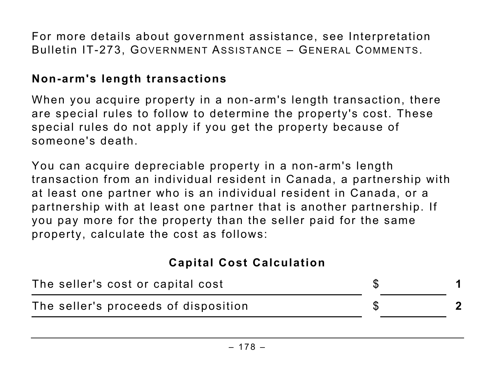For more details about government assistance, see Interpretation Bulletin IT-273, GOVERNMENT ASSISTANCE – GENERAL COMMENTS.

#### **Non-arm's length transactions**

When you acquire property in a non-arm's length transaction, there are special rules to follow to determine the property's cost. These special rules do not apply if you get the property because of someone's death.

You can acquire depreciable property in a non-arm's length transaction from an individual resident in Canada, a partnership with at least one partner who is an individual resident in Canada, or a partnership with at least one partner that is another partnership. If you pay more for the property than the seller paid for the same property, calculate the cost as follows:

#### **Capital Cost Calculation**

| The seller's cost or capital cost    |  |
|--------------------------------------|--|
| The seller's proceeds of disposition |  |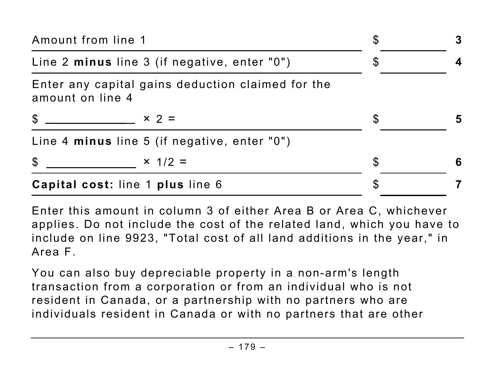| Amount from line 1                                                    | \$ | $\bf{3}$ |
|-----------------------------------------------------------------------|----|----------|
| Line 2 minus line 3 (if negative, enter "0")                          | \$ |          |
| Enter any capital gains deduction claimed for the<br>amount on line 4 |    |          |
| $\frac{1}{2}$ $\times$ 2 =                                            | S  | 5        |
| Line 4 minus line 5 (if negative, enter "0")                          |    |          |
| $\mathcal{S}$<br>$\times$ 1/2 =                                       | S  | 6        |
| Capital cost: line 1 plus line 6                                      |    |          |

Enter this amount in column 3 of either Area B or Area C, whichever applies. Do not include the cost of the related land, which you have to include on line 9923, "Total cost of all land additions in the year," in Area F.

You can also buy depreciable property in a non-arm's length transaction from a corporation or from an individual who is not resident in Canada, or a partnership with no partners who are individuals resident in Canada or with no partners that are other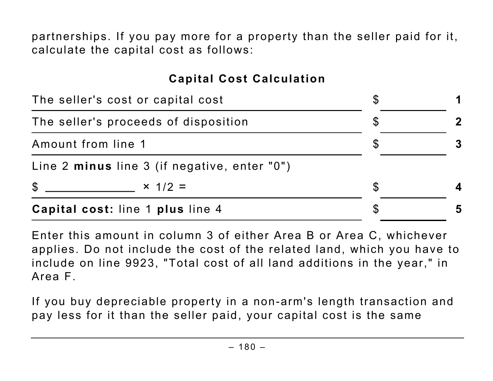partnerships. If you pay more for a property than the seller paid for it, calculate the capital cost as follows:

#### **Capital Cost Calculation**

|                                   | Capital cost: line 1 plus line 4             |  | 5 |  |
|-----------------------------------|----------------------------------------------|--|---|--|
| $\mathfrak{F}$                    | $x = 1/2 = 1$                                |  |   |  |
|                                   | Line 2 minus line 3 (if negative, enter "0") |  |   |  |
| Amount from line 1                |                                              |  |   |  |
|                                   | The seller's proceeds of disposition         |  |   |  |
| The seller's cost or capital cost |                                              |  |   |  |

Enter this amount in column 3 of either Area B or Area C, whichever applies. Do not include the cost of the related land, which you have to include on line 9923, "Total cost of all land additions in the year," in Area F.

If you buy depreciable property in a non-arm's length transaction and pay less for it than the seller paid, your capital cost is the same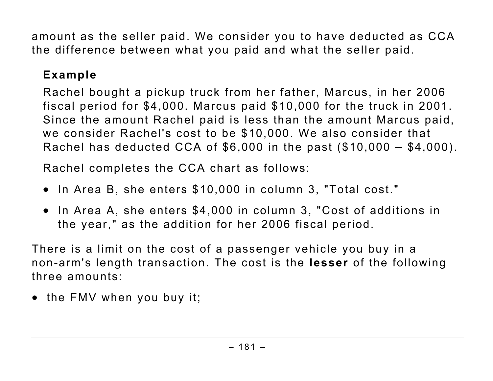amount as the seller paid. We consider you to have deducted as CCA the difference between what you paid and what the seller paid.

# **Example**

Rachel bought a pickup truck from her father, Marcus, in her 2006 fiscal period for \$4,000. Marcus paid \$10,000 for the truck in 2001. Since the amount Rachel paid is less than the amount Marcus paid, we consider Rachel's cost to be \$10,000. We also consider that Rachel has deducted CCA of \$6,000 in the past (\$10,000 – \$4,000).

Rachel completes the CCA chart as follows:

- In Area B, she enters \$10,000 in column 3, "Total cost."
- In Area A, she enters \$4,000 in column 3, "Cost of additions in the year," as the addition for her 2006 fiscal period.

There is a limit on the cost of a passenger vehicle you buy in a non-arm's length transaction. The cost is the **lesser** of the following three amounts:

• the FMV when you buy it;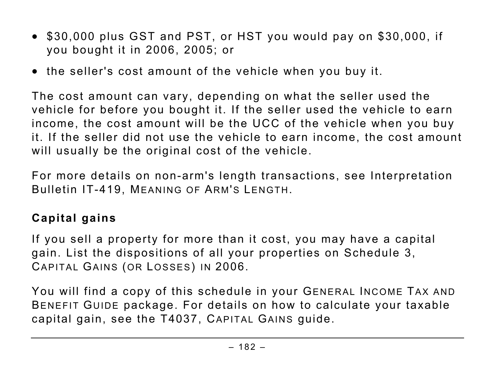- \$30,000 plus GST and PST, or HST you would pay on \$30,000, if you bought it in 2006, 2005; or
- the seller's cost amount of the vehicle when you buy it.

The cost amount can vary, depending on what the seller used the vehicle for before you bought it. If the seller used the vehicle to earn income, the cost amount will be the UCC of the vehicle when you buy it. If the seller did not use the vehicle to earn income, the cost amount will usually be the original cost of the vehicle.

For more details on non-arm's length transactions, see Interpretation Bulletin IT-419, MEANING OF ARM'S LENGTH.

#### **Capital gains**

If you sell a property for more than it cost, you may have a capital gain. List the dispositions of all your properties on Schedule 3, CAPITAL GAINS (OR LOSSES) IN 2006.

You will find a copy of this schedule in your GENERAL INCOME TAX AND BENEFIT GUIDE package. For details on how to calculate your taxable capital gain, see the T4037, CAPITAL GAINS guide.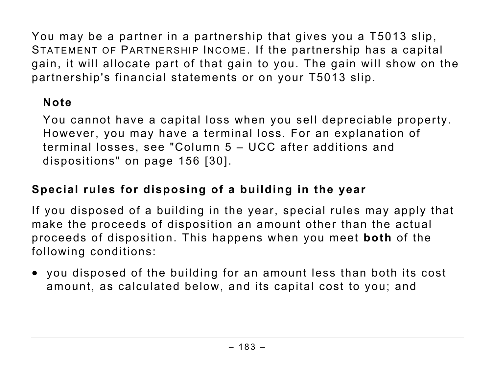You may be a partner in a partnership that gives you a T5013 slip, STATEMENT OF PARTNERSHIP INCOME. If the partnership has a capital gain, it will allocate part of that gain to you. The gain will show on the partnership's financial statements or on your T5013 slip.

## **Note**

You cannot have a capital loss when you sell depreciable property. However, you may have a terminal loss. For an explanation of terminal losses, see "Column 5 – UCC after additions and dispositions" on page 156 [30].

# **Special rules for disposing of a building in the year**

If you disposed of a building in the year, special rules may apply that make the proceeds of disposition an amount other than the actual proceeds of disposition. This happens when you meet **both** of the following conditions:

• you disposed of the building for an amount less than both its cost amount, as calculated below, and its capital cost to you; and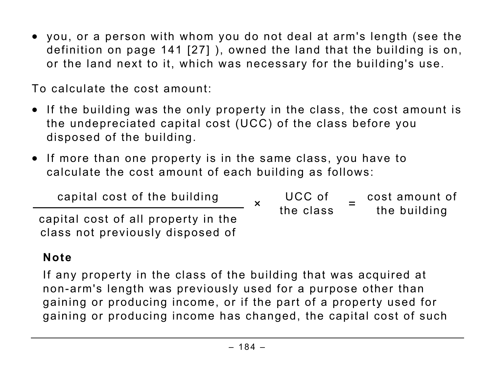• you, or a person with whom you do not deal at arm's length (see the definition on page 141 [27] ), owned the land that the building is on, or the land next to it, which was necessary for the building's use.

To calculate the cost amount:

- If the building was the only property in the class, the cost amount is the undepreciated capital cost (UCC) of the class before you disposed of the building.
- If more than one property is in the same class, you have to calculate the cost amount of each building as follows:

capital cost of the building capital cost of all property in the class not previously disposed of ×UCC of the class =cost amount of the building

# **Note**

If any property in the class of the building that was acquired at non-arm's length was previously used for a purpose other than gaining or producing income, or if the part of a property used for gaining or producing income has changed, the capital cost of such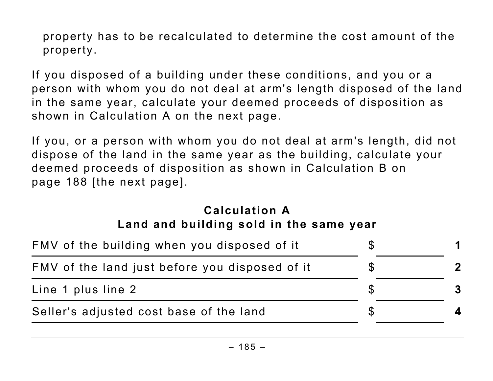property has to be recalculated to determine the cost amount of the property.

If you disposed of a building under these conditions, and you or a person with whom you do not deal at arm's length disposed of the land in the same year, calculate your deemed proceeds of disposition as shown in Calculation A on the next page.

If you, or a person with whom you do not deal at arm's length, did not dispose of the land in the same year as the building, calculate your deemed proceeds of disposition as shown in Calculation B on page 188 [the next page].

#### **Calculation A Land and building sold in the same year**

| FMV of the building when you disposed of it    |  |
|------------------------------------------------|--|
| FMV of the land just before you disposed of it |  |
| Line 1 plus line 2                             |  |
| Seller's adjusted cost base of the land        |  |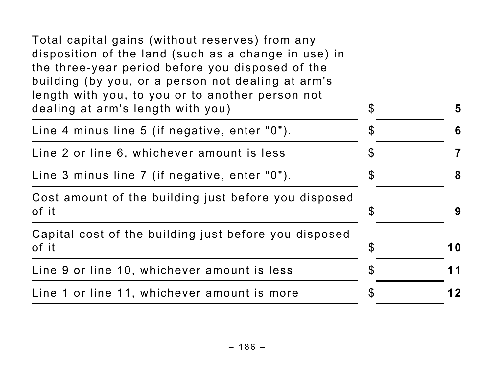| Total capital gains (without reserves) from any<br>disposition of the land (such as a change in use) in<br>the three-year period before you disposed of the<br>building (by you, or a person not dealing at arm's<br>length with you, to you or to another person not<br>dealing at arm's length with you) | $\boldsymbol{\mathsf{S}}$ | 5  |
|------------------------------------------------------------------------------------------------------------------------------------------------------------------------------------------------------------------------------------------------------------------------------------------------------------|---------------------------|----|
| Line 4 minus line 5 (if negative, enter "0").                                                                                                                                                                                                                                                              | $\mathfrak{F}$            | 6  |
| Line 2 or line 6, whichever amount is less                                                                                                                                                                                                                                                                 | \$                        | 7  |
| Line 3 minus line 7 (if negative, enter "0").                                                                                                                                                                                                                                                              | S                         | 8  |
| Cost amount of the building just before you disposed<br>of it                                                                                                                                                                                                                                              | $\boldsymbol{\mathsf{S}}$ | 9  |
| Capital cost of the building just before you disposed<br>of it                                                                                                                                                                                                                                             | \$                        | 10 |
| Line 9 or line 10, whichever amount is less                                                                                                                                                                                                                                                                | S                         | 11 |
| Line 1 or line 11, whichever amount is more                                                                                                                                                                                                                                                                | S                         | 12 |
|                                                                                                                                                                                                                                                                                                            |                           |    |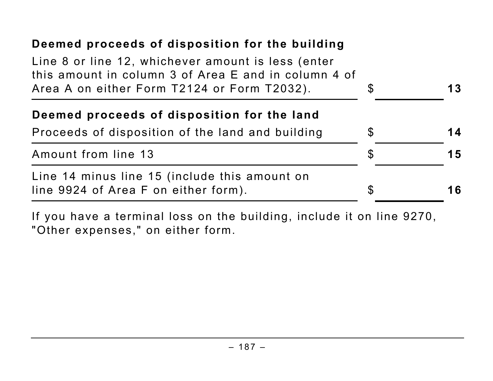| Deemed proceeds of disposition for the building                                                                                                           |                |    |
|-----------------------------------------------------------------------------------------------------------------------------------------------------------|----------------|----|
| Line 8 or line 12, whichever amount is less (enter<br>this amount in column 3 of Area E and in column 4 of<br>Area A on either Form T2124 or Form T2032). | $\mathfrak{L}$ | 13 |
| Deemed proceeds of disposition for the land                                                                                                               |                |    |
| Proceeds of disposition of the land and building                                                                                                          | $\mathcal{E}$  | 14 |
| Amount from line 13                                                                                                                                       | $\mathcal{E}$  | 15 |
| Line 14 minus line 15 (include this amount on<br>line 9924 of Area F on either form).                                                                     | \$             | 16 |

If you have a terminal loss on the building, include it on line 9270, "Other expenses," on either form.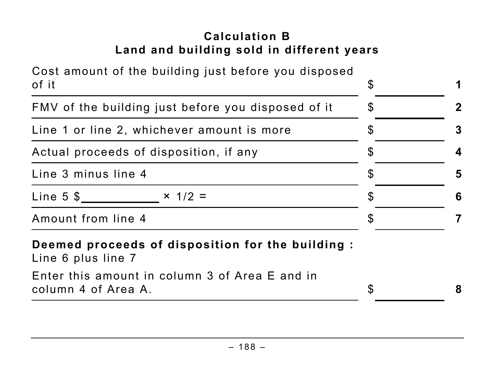# **Calculation B Land and building sold in different years**

| Cost amount of the building just before you disposed<br>of it           | $\boldsymbol{\mathcal{S}}$ | 1                |
|-------------------------------------------------------------------------|----------------------------|------------------|
| FMV of the building just before you disposed of it                      | $\boldsymbol{\mathcal{S}}$ | $\mathbf{2}$     |
| Line 1 or line 2, whichever amount is more                              | S                          | 3                |
| Actual proceeds of disposition, if any                                  | \$                         | $\boldsymbol{4}$ |
| Line 3 minus line 4                                                     | S                          | 5                |
| Line 5 \$<br>$\times$ 1/2 =                                             | S                          | 6                |
| Amount from line 4                                                      | S                          |                  |
| Deemed proceeds of disposition for the building :<br>Line 6 plus line 7 |                            |                  |
| Enter this amount in column 3 of Area E and in<br>column 4 of Area A.   | $\boldsymbol{\mathcal{S}}$ | 8                |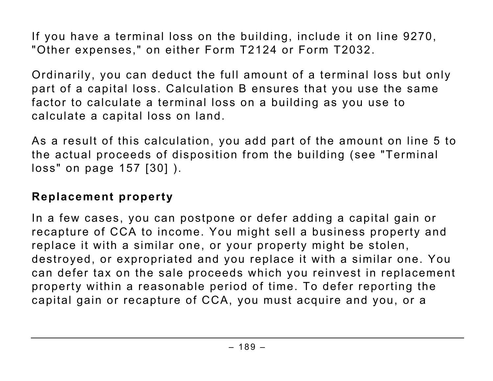If you have a terminal loss on the building, include it on line 9270, "Other expenses," on either Form T2124 or Form T2032.

Ordinarily, you can deduct the full amount of a terminal loss but only part of a capital loss. Calculation B ensures that you use the same factor to calculate a terminal loss on a building as you use to calculate a capital loss on land.

As a result of this calculation, you add part of the amount on line 5 to the actual proceeds of disposition from the building (see "Terminal loss" on page 157 [30] ).

#### **Replacement property**

In a few cases, you can postpone or defer adding a capital gain or recapture of CCA to income. You might sell a business property and replace it with a similar one, or your property might be stolen, destroyed, or expropriated and you replace it with a similar one. You can defer tax on the sale proceeds which you reinvest in replacement property within a reasonable period of time. To defer reporting the capital gain or recapture of CCA, you must acquire and you, or a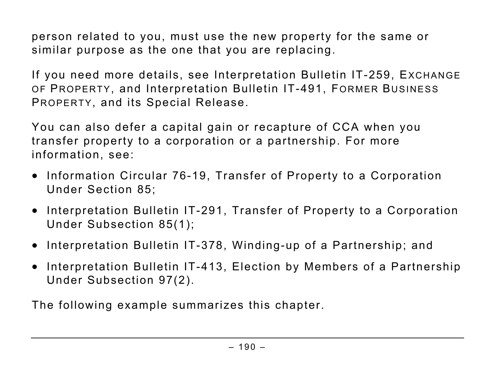person related to you, must use the new property for the same or similar purpose as the one that you are replacing.

If you need more details, see Interpretation Bulletin IT-259, EXCHANGE OF PROPERTY, and Interpretation Bulletin IT-491, FORMER BUSINESS PROPERTY, and its Special Release.

You can also defer a capital gain or recapture of CCA when you transfer property to a corporation or a partnership. For more information, see:

- Information Circular 76-19, Transfer of Property to a Corporation Under Section 85;
- Interpretation Bulletin IT-291, Transfer of Property to a Corporation Under Subsection 85(1);
- Interpretation Bulletin IT-378, Winding-up of a Partnership; and
- Interpretation Bulletin IT-413, Election by Members of a Partnership Under Subsection 97(2).

The following example summarizes this chapter.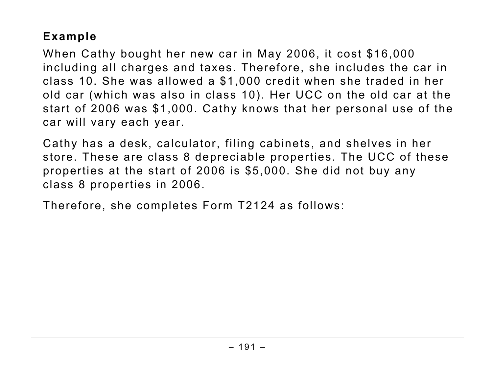## **Example**

When Cathy bought her new car in May 2006, it cost \$16,000 including all charges and taxes. Therefore, she includes the car in class 10. She was allowed a \$1,000 credit when she traded in her old car (which was also in class 10). Her UCC on the old car at the start of 2006 was \$1,000. Cathy knows that her personal use of the car will vary each year.

Cathy has a desk, calculator, filing cabinets, and shelves in her store. These are class 8 depreciable properties. The UCC of these properties at the start of 2006 is \$5,000. She did not buy any class 8 properties in 2006.

Therefore, she completes Form T2124 as follows: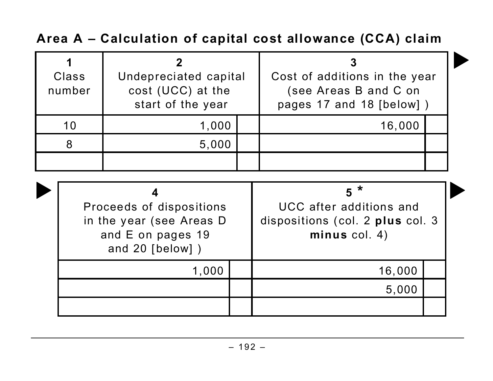**Area A – Calculation of capital cost allowance (CCA) claim**

| Class<br>number | Undepreciated capital<br>cost (UCC) at the<br>start of the year | Cost of additions in the year<br>(see Areas B and C on<br>pages 17 and 18 [below]) |  |  |
|-----------------|-----------------------------------------------------------------|------------------------------------------------------------------------------------|--|--|
| 10              | 1,000                                                           | 16,000                                                                             |  |  |
|                 | 5,000                                                           |                                                                                    |  |  |
|                 |                                                                 |                                                                                    |  |  |

| Proceeds of dispositions<br>in the year (see Areas D<br>and E on pages 19<br>and $20$ [below] $)$ |  |        | dispositions (col. 2 plus col. 3 |
|---------------------------------------------------------------------------------------------------|--|--------|----------------------------------|
| 1,000                                                                                             |  | 16,000 |                                  |
|                                                                                                   |  | 5,000  |                                  |
|                                                                                                   |  |        |                                  |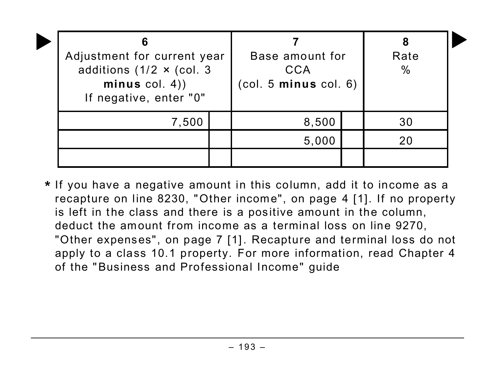| 6<br>Adjustment for current year<br>additions (1/2 $\times$ (col. 3<br>minus $col. 4)$<br>If negative, enter "0" |  | Base amount for<br>CCA<br>(col. 5 minus col. 6) | Rate<br>$\%$ |  |
|------------------------------------------------------------------------------------------------------------------|--|-------------------------------------------------|--------------|--|
| 7,500                                                                                                            |  | 8,500                                           | 30           |  |
|                                                                                                                  |  | 5,000                                           | 20           |  |
|                                                                                                                  |  |                                                 |              |  |

**\*** If you have a negative amount in this column, add it to income as a recapture on line 8230, "Other income", on page 4 [1]. If no property is left in the class and there is a positive amount in the column, deduct the amount from income as a terminal loss on line 9270, "Other expenses", on page 7 [1]. Recapture and terminal loss do not apply to a class 10.1 property. For more information, read Chapter 4 of the "Business and Professional Income" guide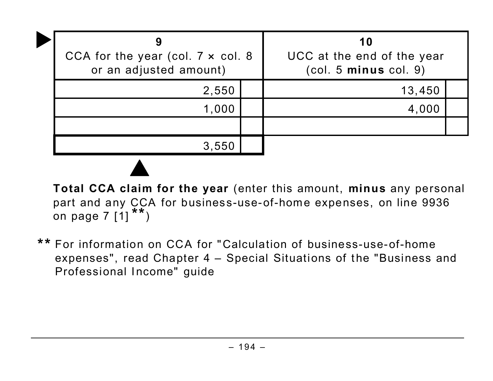| CCA for the year (col. $7 \times$ col. 8<br>or an adjusted amount) | 10<br>UCC at the end of the year<br>(col. 5 minus col. 9) |  |
|--------------------------------------------------------------------|-----------------------------------------------------------|--|
| 2,550                                                              | 13,450                                                    |  |
| 1,000                                                              | 4.000                                                     |  |
|                                                                    |                                                           |  |
| 3,550                                                              |                                                           |  |

**Total CCA claim for the year** (enter this amount, **minus** any personal part and any CCA for business-use-of-home expenses, on line 9936 on page 7  $[1]$ <sup>\*\*</sup>)

**\*\*** For information on CCA for "Calculation of business-use-of-home expenses", read Chapter 4 – Special Situations of the "Business and Professional Income" guide

 $\blacktriangle$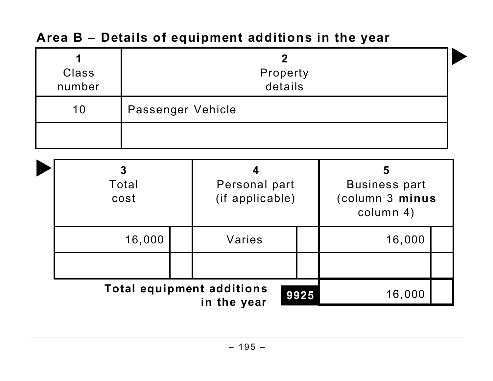|  | <b>Class</b><br>number           | $\boldsymbol{2}$<br>Property<br>details |                                       |  |                                                           |  |  |
|--|----------------------------------|-----------------------------------------|---------------------------------------|--|-----------------------------------------------------------|--|--|
|  | 10                               |                                         | Passenger Vehicle                     |  |                                                           |  |  |
|  |                                  |                                         |                                       |  |                                                           |  |  |
|  |                                  | 3<br>Total<br>cost                      | 4<br>Personal part<br>(if applicable) |  | 5<br><b>Business part</b><br>(column 3 minus<br>column 4) |  |  |
|  | 16,000                           |                                         | Varies                                |  | 16,000                                                    |  |  |
|  |                                  |                                         |                                       |  |                                                           |  |  |
|  | <b>Total equipment additions</b> | 16,000                                  |                                       |  |                                                           |  |  |

# **Area B – Details of equipment additions in the year**

**in the year**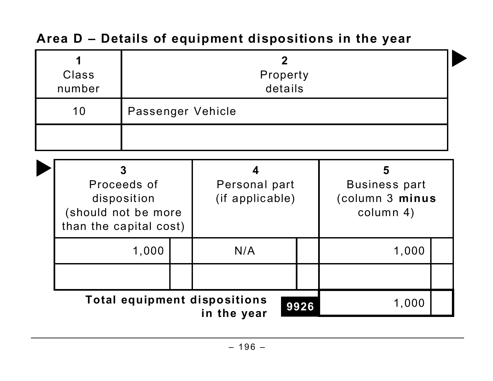| Class<br>number                                                                  | $\mathbf 2$<br>Property<br>details |                                       |                                                    |                                                           |       |  |
|----------------------------------------------------------------------------------|------------------------------------|---------------------------------------|----------------------------------------------------|-----------------------------------------------------------|-------|--|
| 10                                                                               | Passenger Vehicle                  |                                       |                                                    |                                                           |       |  |
|                                                                                  |                                    |                                       |                                                    |                                                           |       |  |
| 3<br>Proceeds of<br>disposition<br>(should not be more<br>than the capital cost) |                                    | 4<br>Personal part<br>(if applicable) |                                                    | 5<br><b>Business part</b><br>(column 3 minus<br>column 4) |       |  |
|                                                                                  | 1,000                              |                                       | N/A                                                |                                                           | 1,000 |  |
|                                                                                  |                                    |                                       |                                                    |                                                           |       |  |
|                                                                                  |                                    |                                       | <b>Total equipment dispositions</b><br>in the year | 9926                                                      | 1,000 |  |

# **Area D – Details of equipment dispositions in the year**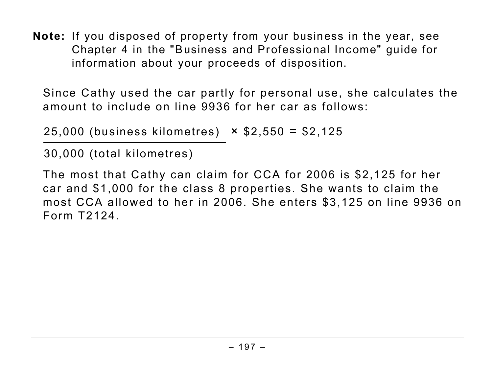**Note:** If you disposed of property from your business in the year, see Chapter 4 in the "Business and Professional Income" guide for information about your proceeds of disposition.

Since Cathy used the car partly for personal use, she calculates the amount to include on line 9936 for her car as follows:

25,000 (business kilometres) × \$2,550 = \$2,125

30,000 (total kilometres)

The most that Cathy can claim for CCA for 2006 is \$2,125 for her car and \$1,000 for the class 8 properties. She wants to claim the most CCA allowed to her in 2006. She enters \$3,125 on line 9936 on Form T2124.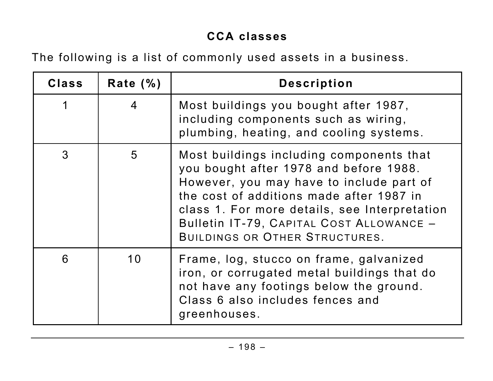## **CCA classes**

The following is a list of commonly used assets in a business.

| <b>Class</b> | Rate $(\% )$   | <b>Description</b>                                                                                                                                                                                                                                                                                               |
|--------------|----------------|------------------------------------------------------------------------------------------------------------------------------------------------------------------------------------------------------------------------------------------------------------------------------------------------------------------|
| 1            | $\overline{4}$ | Most buildings you bought after 1987,<br>including components such as wiring,<br>plumbing, heating, and cooling systems.                                                                                                                                                                                         |
| 3            | 5              | Most buildings including components that<br>you bought after 1978 and before 1988.<br>However, you may have to include part of<br>the cost of additions made after 1987 in<br>class 1. For more details, see Interpretation<br>Bulletin IT-79, CAPITAL COST ALLOWANCE -<br><b>BUILDINGS OR OTHER STRUCTURES.</b> |
| 6            | 10             | Frame, log, stucco on frame, galvanized<br>iron, or corrugated metal buildings that do<br>not have any footings below the ground.<br>Class 6 also includes fences and<br>greenhouses.                                                                                                                            |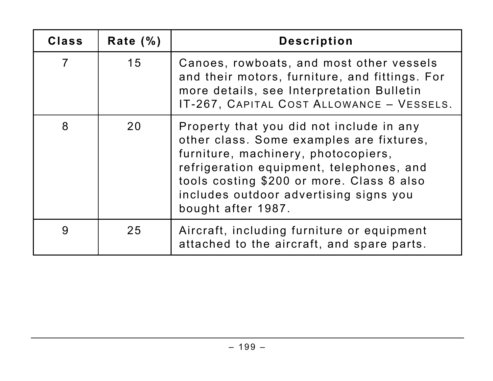| <b>Class</b>   | Rate $(\% )$ | <b>Description</b>                                                                                                                                                                                                                                                                   |
|----------------|--------------|--------------------------------------------------------------------------------------------------------------------------------------------------------------------------------------------------------------------------------------------------------------------------------------|
| $\overline{7}$ | 15           | Canoes, rowboats, and most other vessels<br>and their motors, furniture, and fittings. For<br>more details, see Interpretation Bulletin<br>IT-267, CAPITAL COST ALLOWANCE - VESSELS.                                                                                                 |
| 8              | 20           | Property that you did not include in any<br>other class. Some examples are fixtures,<br>furniture, machinery, photocopiers,<br>refrigeration equipment, telephones, and<br>tools costing \$200 or more. Class 8 also<br>includes outdoor advertising signs you<br>bought after 1987. |
| 9              | 25           | Aircraft, including furniture or equipment<br>attached to the aircraft, and spare parts.                                                                                                                                                                                             |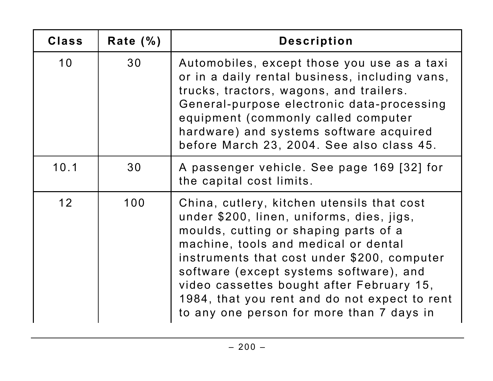| <b>Class</b>    | Rate $(\% )$ | <b>Description</b>                                                                                                                                                                                                                                                                                                                                                                                            |
|-----------------|--------------|---------------------------------------------------------------------------------------------------------------------------------------------------------------------------------------------------------------------------------------------------------------------------------------------------------------------------------------------------------------------------------------------------------------|
| 10              | 30           | Automobiles, except those you use as a taxi<br>or in a daily rental business, including vans,<br>trucks, tractors, wagons, and trailers.<br>General-purpose electronic data-processing<br>equipment (commonly called computer<br>hardware) and systems software acquired<br>before March 23, 2004. See also class 45.                                                                                         |
| 10.1            | 30           | A passenger vehicle. See page 169 [32] for<br>the capital cost limits.                                                                                                                                                                                                                                                                                                                                        |
| 12 <sup>2</sup> | 100          | China, cutlery, kitchen utensils that cost<br>under \$200, linen, uniforms, dies, jigs,<br>moulds, cutting or shaping parts of a<br>machine, tools and medical or dental<br>instruments that cost under \$200, computer<br>software (except systems software), and<br>video cassettes bought after February 15,<br>1984, that you rent and do not expect to rent<br>to any one person for more than 7 days in |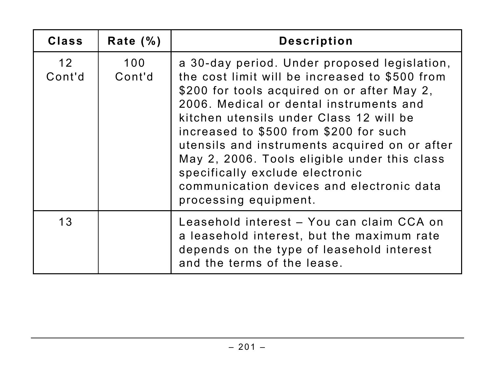| <b>Class</b>              | Rate $(\% )$  | <b>Description</b>                                                                                                                                                                                                                                                                                                                                                                                                                                                                      |
|---------------------------|---------------|-----------------------------------------------------------------------------------------------------------------------------------------------------------------------------------------------------------------------------------------------------------------------------------------------------------------------------------------------------------------------------------------------------------------------------------------------------------------------------------------|
| 12 <sup>°</sup><br>Cont'd | 100<br>Cont'd | a 30-day period. Under proposed legislation,<br>the cost limit will be increased to \$500 from<br>\$200 for tools acquired on or after May 2,<br>2006. Medical or dental instruments and<br>kitchen utensils under Class 12 will be<br>increased to \$500 from \$200 for such<br>utensils and instruments acquired on or after<br>May 2, 2006. Tools eligible under this class<br>specifically exclude electronic<br>communication devices and electronic data<br>processing equipment. |
| 13                        |               | Leasehold interest - You can claim CCA on<br>a leasehold interest, but the maximum rate<br>depends on the type of leasehold interest<br>and the terms of the lease.                                                                                                                                                                                                                                                                                                                     |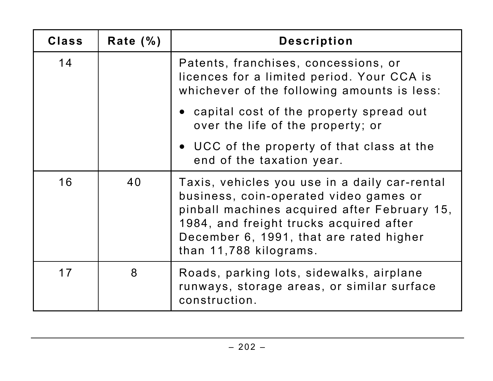| <b>Class</b> | Rate $(\% )$ | <b>Description</b>                                                                                                                                                                                                                                      |
|--------------|--------------|---------------------------------------------------------------------------------------------------------------------------------------------------------------------------------------------------------------------------------------------------------|
| 14           |              | Patents, franchises, concessions, or<br>licences for a limited period. Your CCA is<br>whichever of the following amounts is less:                                                                                                                       |
|              |              | • capital cost of the property spread out<br>over the life of the property; or                                                                                                                                                                          |
|              |              | • UCC of the property of that class at the<br>end of the taxation year.                                                                                                                                                                                 |
| 16           | 40           | Taxis, vehicles you use in a daily car-rental<br>business, coin-operated video games or<br>pinball machines acquired after February 15,<br>1984, and freight trucks acquired after<br>December 6, 1991, that are rated higher<br>than 11,788 kilograms. |
| 17           | 8            | Roads, parking lots, sidewalks, airplane<br>runways, storage areas, or similar surface<br>construction.                                                                                                                                                 |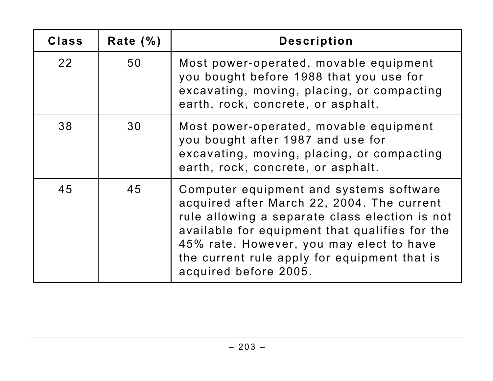| <b>Class</b> | Rate $(\% )$ | <b>Description</b>                                                                                                                                                                                                                                                                                             |
|--------------|--------------|----------------------------------------------------------------------------------------------------------------------------------------------------------------------------------------------------------------------------------------------------------------------------------------------------------------|
| 22           | 50           | Most power-operated, movable equipment<br>you bought before 1988 that you use for<br>excavating, moving, placing, or compacting<br>earth, rock, concrete, or asphalt.                                                                                                                                          |
| 38           | 30           | Most power-operated, movable equipment<br>you bought after 1987 and use for<br>excavating, moving, placing, or compacting<br>earth, rock, concrete, or asphalt.                                                                                                                                                |
| 45           | 45           | Computer equipment and systems software<br>acquired after March 22, 2004. The current<br>rule allowing a separate class election is not<br>available for equipment that qualifies for the<br>45% rate. However, you may elect to have<br>the current rule apply for equipment that is<br>acquired before 2005. |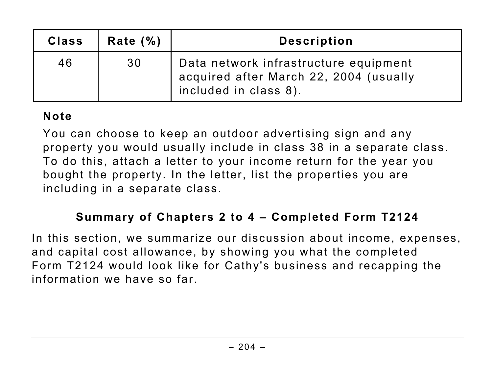| <b>Class</b> | Rate $(\% )$ | <b>Description</b>                                                                                       |
|--------------|--------------|----------------------------------------------------------------------------------------------------------|
| 46           | 30           | Data network infrastructure equipment<br>acquired after March 22, 2004 (usually<br>included in class 8). |

#### **Note**

You can choose to keep an outdoor advertising sign and any property you would usually include in class 38 in a separate class. To do this, attach a letter to your income return for the year you bought the property. In the letter, list the properties you are including in a separate class.

#### **Summary of Chapters 2 to 4 – Completed Form T2124**

In this section, we summarize our discussion about income, expenses, and capital cost allowance, by showing you what the completed Form T2124 would look like for Cathy's business and recapping the information we have so far.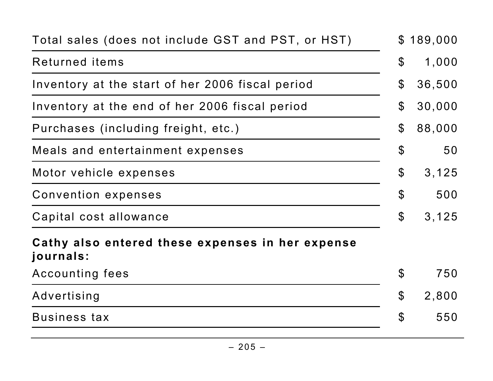| Total sales (does not include GST and PST, or HST)            | $\mathbb{S}$               | 189,000 |
|---------------------------------------------------------------|----------------------------|---------|
| Returned items                                                | $\boldsymbol{\mathcal{S}}$ | 1,000   |
| Inventory at the start of her 2006 fiscal period              | $\mathbf 3$                | 36,500  |
| Inventory at the end of her 2006 fiscal period                | $\mathbf 3$                | 30,000  |
| Purchases (including freight, etc.)                           | $\boldsymbol{\mathcal{L}}$ | 88,000  |
| Meals and entertainment expenses                              | $\boldsymbol{\theta}$      | 50      |
| Motor vehicle expenses                                        | $\boldsymbol{\mathcal{S}}$ | 3,125   |
| Convention expenses                                           | \$                         | 500     |
| Capital cost allowance                                        | $\boldsymbol{\mathsf{S}}$  | 3,125   |
| Cathy also entered these expenses in her expense<br>journals: |                            |         |
| Accounting fees                                               | $\boldsymbol{\mathcal{S}}$ | 750     |
| Advertising                                                   | $\boldsymbol{\mathcal{L}}$ | 2,800   |
| Business tax                                                  | \$                         | 550     |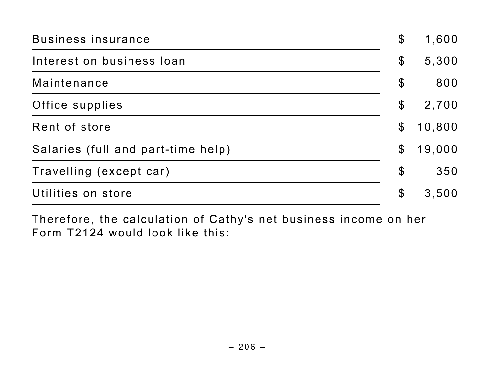| Business insurance                 | $\boldsymbol{\mathsf{\$}}$ | 1,600  |
|------------------------------------|----------------------------|--------|
| Interest on business loan          | $\boldsymbol{\mathcal{S}}$ | 5,300  |
| Maintenance                        | $\boldsymbol{\mathcal{S}}$ | 800    |
| Office supplies                    | $\mathcal{C}$              | 2,700  |
| Rent of store                      | $\mathcal{C}$              | 10,800 |
| Salaries (full and part-time help) | $\boldsymbol{\mathcal{S}}$ | 19,000 |
| Travelling (except car)            | $\boldsymbol{\mathcal{S}}$ | 350    |
| Utilities on store                 | $\boldsymbol{\mathsf{\$}}$ | 3,500  |

Therefore, the calculation of Cathy's net business income on her Form T2124 would look like this: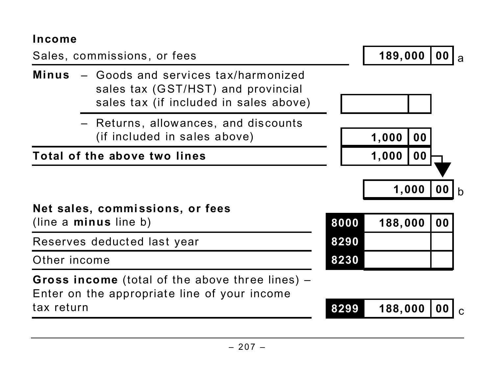#### **Income**

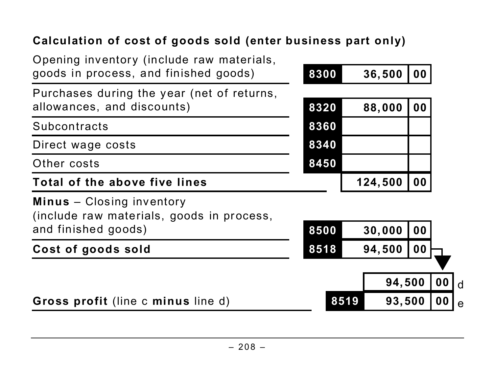# **Calculation of cost of goods sold (enter business part only)**

| Gross profit (line c minus line d)                                                                   | 8519 | 93,500  |    | $\bf{00}$      |
|------------------------------------------------------------------------------------------------------|------|---------|----|----------------|
|                                                                                                      |      | 94,500  |    | 0 <sub>0</sub> |
| Cost of goods sold                                                                                   | 8518 | 94,500  | 00 |                |
| <b>Minus</b> - Closing inventory<br>(include raw materials, goods in process,<br>and finished goods) | 8500 | 30,000  | 00 |                |
| Total of the above five lines                                                                        |      | 124,500 | 00 |                |
| Other costs                                                                                          | 8450 |         |    |                |
| Direct wage costs                                                                                    | 8340 |         |    |                |
| Subcontracts                                                                                         | 8360 |         |    |                |
| Purchases during the year (net of returns,<br>allowances, and discounts)                             | 8320 | 88,000  | 00 |                |
| Opening inventory (include raw materials,<br>goods in process, and finished goods)                   | 8300 | 36,500  | 00 |                |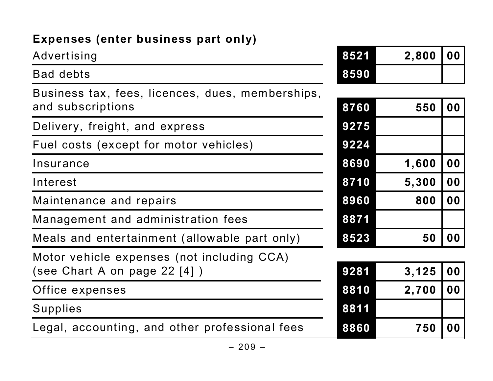# **Expenses (enter business part only)**

Advertising **8521 2,800 00**

Bad debts

| $\sim$ (c we convert part c |      |       |            |
|-----------------------------|------|-------|------------|
| ng                          | 8521 | 2,800 | $\vert$ 00 |
| S                           | 8590 |       |            |

| Business tax, fees, licences, dues, memberships, |      |       |                |
|--------------------------------------------------|------|-------|----------------|
| and subscriptions                                | 8760 | 550   | 0 <sub>0</sub> |
| Delivery, freight, and express                   | 9275 |       |                |
| Fuel costs (except for motor vehicles)           | 9224 |       |                |
| Insurance                                        | 8690 | 1,600 | 0 <sub>0</sub> |
| Interest                                         | 8710 | 5,300 | 0 <sub>0</sub> |
| Maintenance and repairs                          | 8960 | 800   | 0 <sub>0</sub> |
| Management and administration fees               | 8871 |       |                |
| Meals and entertainment (allowable part only)    | 8523 | 50    | 0 <sub>0</sub> |
| Motor vehicle expenses (not including CCA)       |      |       |                |
| (see Chart A on page 22 [4])                     | 9281 | 3,125 | 00             |
| Office expenses                                  | 8810 | 2,700 | 0 <sub>0</sub> |
| Supplies                                         | 8811 |       |                |
| Legal, accounting, and other professional fees   | 8860 | 750   | 0 <sub>0</sub> |

| 8760 | 550   | 00 |
|------|-------|----|
| 9275 |       |    |
| 9224 |       |    |
| 8690 | 1,600 | 00 |
| 8710 | 5,300 | 00 |
| 8960 | 800   | 00 |
| 8871 |       |    |
| 8523 | 50    | 00 |
|      |       |    |

| 9281 | $3,125$ 00 |                  |
|------|------------|------------------|
| 8810 | 2,700   00 |                  |
| 8811 |            |                  |
| 8860 | 750        | $\overline{100}$ |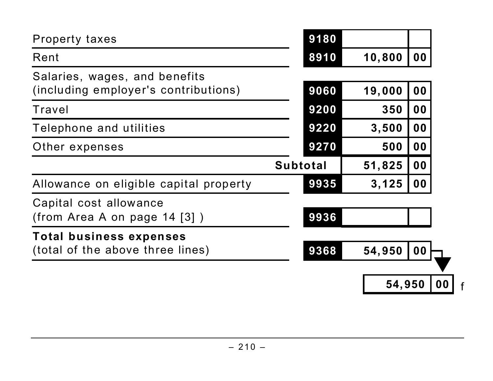| <b>Property taxes</b>                                                 | 9180            |        |                |                |
|-----------------------------------------------------------------------|-----------------|--------|----------------|----------------|
| Rent                                                                  | 8910            | 10,800 | 0 <sub>0</sub> |                |
| Salaries, wages, and benefits<br>(including employer's contributions) | 9060            | 19,000 | 00             |                |
| Travel                                                                | 9200            | 350    | 0 <sub>0</sub> |                |
| Telephone and utilities                                               | 9220            | 3,500  | 00             |                |
| Other expenses                                                        | 9270            | 500    | 0 <sub>0</sub> |                |
|                                                                       | <b>Subtotal</b> | 51,825 | 00             |                |
| Allowance on eligible capital property                                | 9935            | 3,125  | 00             |                |
| Capital cost allowance<br>(from Area A on page $14$ [3])              | 9936            |        |                |                |
| <b>Total business expenses</b><br>(total of the above three lines)    | 9368            | 54,950 | 00             |                |
|                                                                       |                 | 54,950 |                | 0 <sub>0</sub> |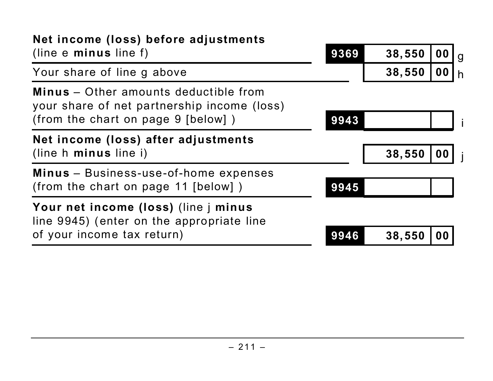| Net income (loss) before adjustments                                                                                              |      |        |           |   |
|-----------------------------------------------------------------------------------------------------------------------------------|------|--------|-----------|---|
| (line $e$ minus line $f$ )                                                                                                        | 9369 | 38,550 | 00        | g |
| Your share of line g above                                                                                                        |      | 38,550 | $\bf{00}$ |   |
| <b>Minus</b> – Other amounts deductible from<br>your share of net partnership income (loss)<br>(from the chart on page 9 [below]) | 9943 |        |           |   |
| Net income (loss) after adjustments<br>(line h minus line i)                                                                      |      | 38,550 | 00        |   |
| Minus - Business-use-of-home expenses<br>(from the chart on page 11 [below])                                                      | 9945 |        |           |   |
| Your net income (loss) (line j minus<br>line 9945) (enter on the appropriate line                                                 |      |        |           |   |
| of your income tax return)                                                                                                        | 9946 | 38,550 |           |   |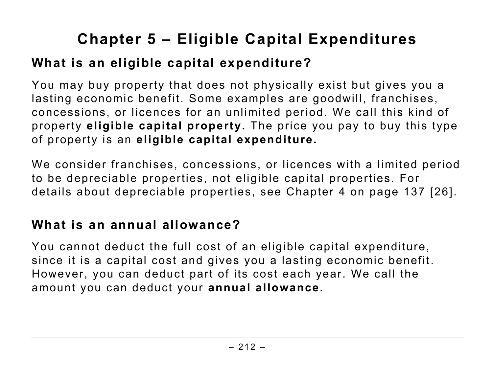# **Chapter 5 – Eligible Capital Expenditures**

# **What is an eligible capital expenditure?**

You may buy property that does not physically exist but gives you a lasting economic benefit. Some examples are goodwill, franchises, concessions, or licences for an unlimited period. We call this kind of property **eligible capital property.** The price you pay to buy this type of property is an **eligible capital expenditure.**

We consider franchises, concessions, or licences with a limited period to be depreciable properties, not eligible capital properties. For details about depreciable properties, see Chapter 4 on page 137 [26].

## **What is an annual allowance?**

You cannot deduct the full cost of an eligible capital expenditure, since it is a capital cost and gives you a lasting economic benefit. However, you can deduct part of its cost each year. We call the amount you can deduct your **annual allowance.**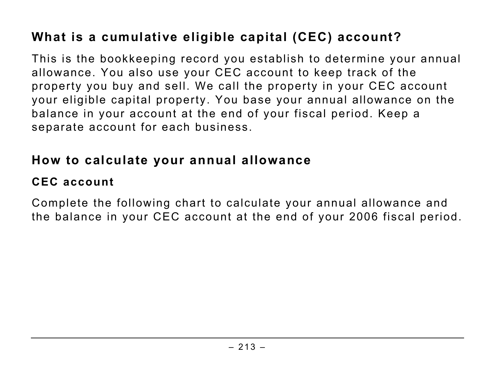# **What is a cumulative eligible capital (CEC) account?**

This is the bookkeeping record you establish to determine your annual allowance. You also use your CEC account to keep track of the property you buy and sell. We call the property in your CEC account your eligible capital property. You base your annual allowance on the balance in your account at the end of your fiscal period. Keep a separate account for each business.

# **How to calculate your annual allowance**

# **CEC account**

Complete the following chart to calculate your annual allowance and the balance in your CEC account at the end of your 2006 fiscal period.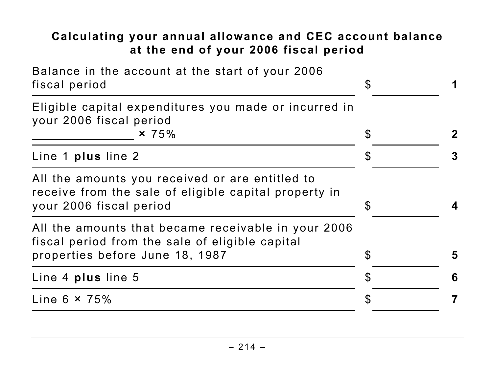#### **Calculating your annual allowance and CEC account balance at the end of your 2006 fiscal period**

| Balance in the account at the start of your 2006<br>fiscal period                                                                         |                |   |
|-------------------------------------------------------------------------------------------------------------------------------------------|----------------|---|
| Eligible capital expenditures you made or incurred in<br>your 2006 fiscal period<br>$\times 75\%$                                         | $\mathfrak{F}$ |   |
| Line 1 plus line 2                                                                                                                        | $\mathbb S$    | 3 |
| All the amounts you received or are entitled to<br>receive from the sale of eligible capital property in<br>your 2006 fiscal period       | \$             |   |
| All the amounts that became receivable in your 2006<br>fiscal period from the sale of eligible capital<br>properties before June 18, 1987 | $\mathbb S$    | 5 |
| Line 4 plus line 5                                                                                                                        | S              | 6 |
| Line $6 \times 75\%$                                                                                                                      |                |   |
|                                                                                                                                           |                |   |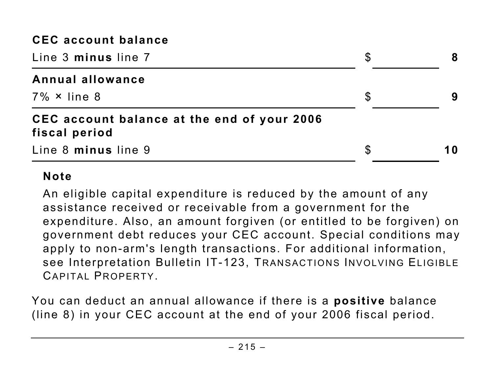#### **CEC account balance**

| Line 3 minus line 7                                          |    |     |
|--------------------------------------------------------------|----|-----|
| <b>Annual allowance</b>                                      |    |     |
| $7\% \times$ line 8                                          | S  |     |
| CEC account balance at the end of your 2006<br>fiscal period |    |     |
| Line 8 minus line 9                                          | \$ | 1 O |

#### **Note**

An eligible capital expenditure is reduced by the amount of any assistance received or receivable from a government for the expenditure. Also, an amount forgiven (or entitled to be forgiven) on government debt reduces your CEC account. Special conditions may apply to non-arm's length transactions. For additional information, see Interpretation Bulletin IT-123, TRANSACTIONS INVOLVING ELIGIBLE CAPITAL PROPERTY.

You can deduct an annual allowance if there is a **positive** balance (line 8) in your CEC account at the end of your 2006 fiscal period.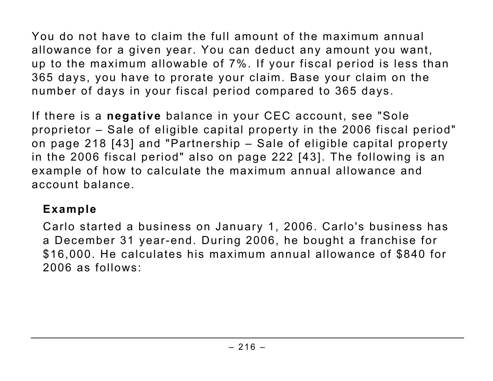You do not have to claim the full amount of the maximum annual allowance for a given year. You can deduct any amount you want, up to the maximum allowable of 7%. If your fiscal period is less than 365 days, you have to prorate your claim. Base your claim on the number of days in your fiscal period compared to 365 days.

If there is a **negative** balance in your CEC account, see "Sole proprietor - Sale of eligible capital property in the 2006 fiscal period" on page 218 [43] and "Partnership – Sale of eligible capital property in the 2006 fiscal period" also on page 222 [43]. The following is an example of how to calculate the maximum annual allowance and account balance.

#### **Example**

Carlo started a business on January 1, 2006. Carlo's business has a December 31 year-end. During 2006, he bought a franchise for \$16,000. He calculates his maximum annual allowance of \$840 for 2006 as follows: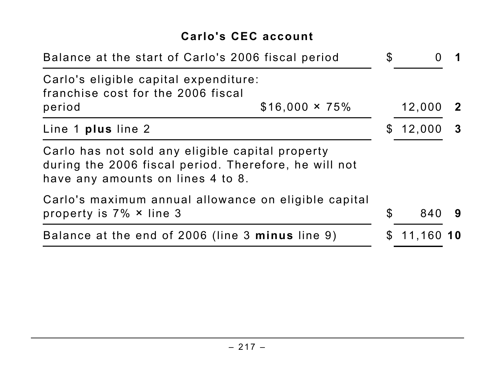#### **Carlo's CEC account**

| Balance at the start of Carlo's 2006 fiscal period                                                                                             |                       |                |              |                         |
|------------------------------------------------------------------------------------------------------------------------------------------------|-----------------------|----------------|--------------|-------------------------|
| Carlo's eligible capital expenditure:<br>franchise cost for the 2006 fiscal                                                                    |                       |                |              |                         |
| period                                                                                                                                         | $$16,000 \times 75\%$ |                | 12,000       | $\mathbf{2}$            |
| Line 1 plus line 2                                                                                                                             |                       |                | \$12,000     | $\overline{\mathbf{3}}$ |
| Carlo has not sold any eligible capital property<br>during the 2006 fiscal period. Therefore, he will not<br>have any amounts on lines 4 to 8. |                       |                |              |                         |
| Carlo's maximum annual allowance on eligible capital<br>property is $7\% \times$ line 3                                                        |                       | $\mathfrak{L}$ | 840          | 9                       |
| Balance at the end of 2006 (line 3 minus line 9)                                                                                               |                       |                | $$11,160$ 10 |                         |
|                                                                                                                                                |                       |                |              |                         |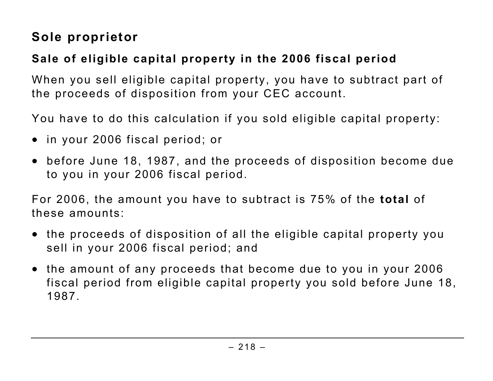### **Sole proprietor**

#### **Sale of eligible capital property in the 2006 fiscal period**

When you sell eligible capital property, you have to subtract part of the proceeds of disposition from your CEC account.

You have to do this calculation if you sold eligible capital property:

- in your 2006 fiscal period; or
- before June 18, 1987, and the proceeds of disposition become due to you in your 2006 fiscal period.

For 2006, the amount you have to subtract is 75% of the **total** of these amounts:

- the proceeds of disposition of all the eligible capital property you sell in your 2006 fiscal period; and
- the amount of any proceeds that become due to you in your 2006 fiscal period from eligible capital property you sold before June 18, 1987.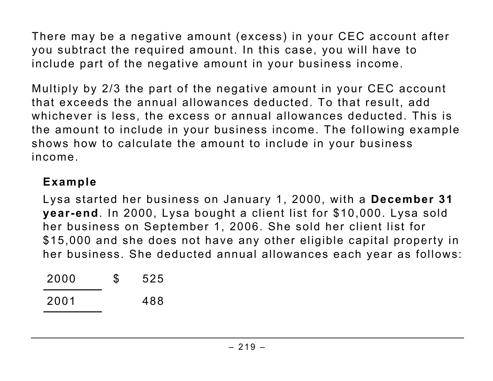There may be a negative amount (excess) in your CEC account after you subtract the required amount. In this case, you will have to include part of the negative amount in your business income.

Multiply by 2/3 the part of the negative amount in your CEC account that exceeds the annual allowances deducted. To that result, add whichever is less, the excess or annual allowances deducted. This is the amount to include in your business income. The following example shows how to calculate the amount to include in your business income.

#### **Example**

Lysa started her business on January 1, 2000, with a **December 31 year-end**. In 2000, Lysa bought a client list for \$10,000. Lysa sold her business on September 1, 2006. She sold her client list for \$15,000 and she does not have any other eligible capital property in her business. She deducted annual allowances each year as follows:

| 2000 | \$<br>525 |
|------|-----------|
| 2001 | 488       |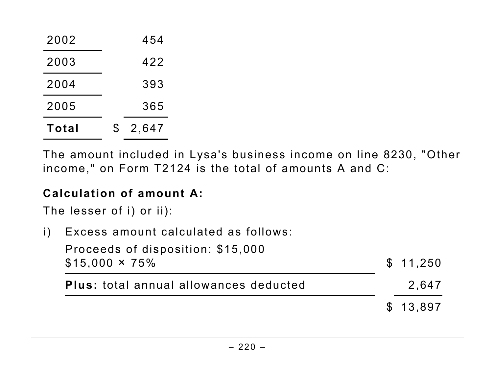| Total | 2,647<br>S |
|-------|------------|
| 2005  | 365        |
| 2004  | 393        |
| 2003  | 422        |
| 2002  | 454        |

The amount included in Lysa's business income on line 8230, "Other income," on Form T2124 is the total of amounts A and C:

#### **Calculation of amount A:**

The lesser of i) or ii):

i) Excess amount calculated as follows:

| Proceeds of disposition: \$15,000             |          |
|-----------------------------------------------|----------|
| $$15,000 \times 75\%$                         | \$11,250 |
| <b>Plus:</b> total annual allowances deducted | 2.647    |
|                                               | \$13.897 |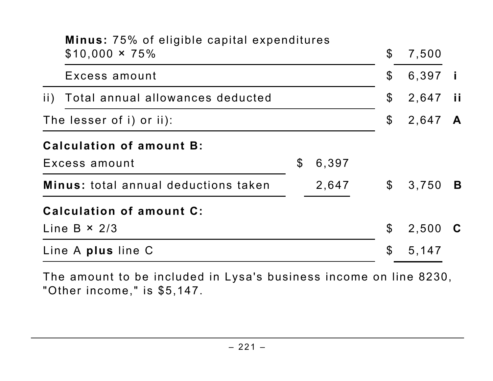|                                                     | <b>Minus: 75% of eligible capital expenditures</b><br>$$10,000 \times 75\%$ |                |                           | $\mathfrak{F}$             | 7,500   |   |
|-----------------------------------------------------|-----------------------------------------------------------------------------|----------------|---------------------------|----------------------------|---------|---|
|                                                     | Excess amount                                                               |                |                           | $\boldsymbol{\mathsf{S}}$  | 6,397   |   |
| Total annual allowances deducted<br>$\overline{11}$ |                                                                             |                | $\boldsymbol{\mathsf{S}}$ | 2,647                      | - ii    |   |
| The lesser of i) or ii):                            |                                                                             |                |                           | $\boldsymbol{\mathcal{S}}$ | 2,647 A |   |
|                                                     | <b>Calculation of amount B:</b>                                             |                |                           |                            |         |   |
|                                                     | Excess amount                                                               | $\mathfrak{F}$ | 6,397                     |                            |         |   |
|                                                     | <b>Minus:</b> total annual deductions taken                                 |                | 2,647                     |                            | \$3,750 | B |
|                                                     | Calculation of amount C:                                                    |                |                           |                            |         |   |
|                                                     | Line B $\times$ 2/3                                                         |                |                           | $\boldsymbol{\mathsf{S}}$  | 2,500   |   |
|                                                     | Line A plus line C                                                          |                |                           | $\boldsymbol{\mathsf{S}}$  | 5,147   |   |

The amount to be included in Lysa's business income on line 8230, "Other income," is \$5,147.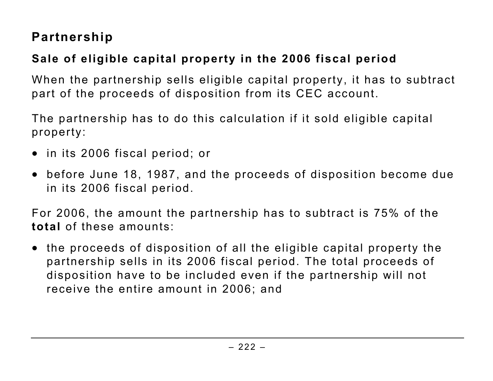#### **Partnership**

#### **Sale of eligible capital property in the 2006 fiscal period**

When the partnership sells eligible capital property, it has to subtract part of the proceeds of disposition from its CEC account.

The partnership has to do this calculation if it sold eligible capital property:

- in its 2006 fiscal period; or
- before June 18, 1987, and the proceeds of disposition become due in its 2006 fiscal period.

For 2006, the amount the partnership has to subtract is 75% of the **total** of these amounts:

• the proceeds of disposition of all the eligible capital property the partnership sells in its 2006 fiscal period. The total proceeds of disposition have to be included even if the partnership will not receive the entire amount in 2006; and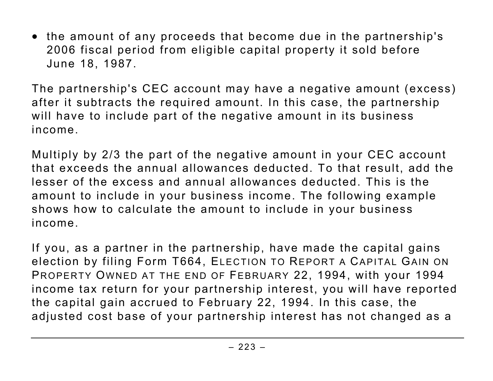• the amount of any proceeds that become due in the partnership's 2006 fiscal period from eligible capital property it sold before June 18, 1987.

The partnership's CEC account may have a negative amount (excess) after it subtracts the required amount. In this case, the partnership will have to include part of the negative amount in its business income.

Multiply by 2/3 the part of the negative amount in your CEC account that exceeds the annual allowances deducted. To that result, add the lesser of the excess and annual allowances deducted. This is the amount to include in your business income. The following example shows how to calculate the amount to include in your business income.

If you, as a partner in the partnership, have made the capital gains election by filing Form T664, ELECTION TO REPORT A CAPITAL GAIN ON PROPERTY OWNED AT THE END OF FEBRUARY 22, 1994, with your 1994 income tax return for your partnership interest, you will have reported the capital gain accrued to February 22, 1994. In this case, the adjusted cost base of your partnership interest has not changed as a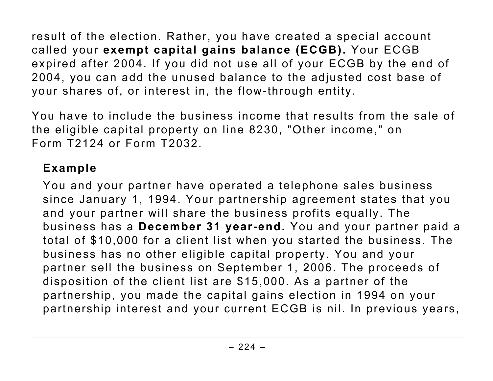result of the election. Rather, you have created a special account called your **exempt capital gains balance (ECGB).** Your ECGB expired after 2004. If you did not use all of your ECGB by the end of 2004, you can add the unused balance to the adjusted cost base of your shares of, or interest in, the flow-through entity.

You have to include the business income that results from the sale of the eligible capital property on line 8230, "Other income," on Form T2124 or Form T2032.

#### **Example**

You and your partner have operated a telephone sales business since January 1, 1994. Your partnership agreement states that you and your partner will share the business profits equally. The business has a **December 31 year-end.** You and your partner paid a total of \$10,000 for a client list when you started the business. The business has no other eligible capital property. You and your partner sell the business on September 1, 2006. The proceeds of disposition of the client list are \$15,000. As a partner of the partnership, you made the capital gains election in 1994 on your partnership interest and your current ECGB is nil. In previous years,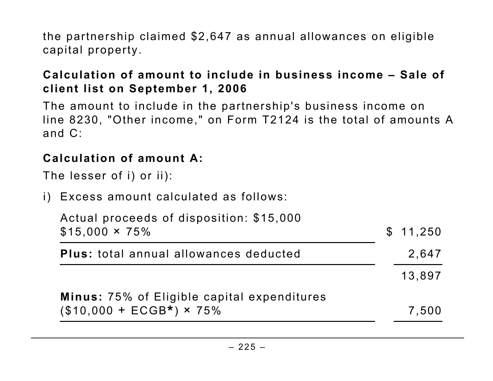the partnership claimed \$2,647 as annual allowances on eligible capital property.

#### **Calculation of amount to include in business income – Sale of client list on September 1, 2006**

The amount to include in the partnership's business income on line 8230, "Other income," on Form T2124 is the total of amounts A and C:

#### **Calculation of amount A:**

The lesser of i) or ii):

i) Excess amount calculated as follows:

| Actual proceeds of disposition: \$15,000<br>$$15,000 \times 75\%$ | \$11,250 |
|-------------------------------------------------------------------|----------|
| <b>Plus:</b> total annual allowances deducted                     | 2.647    |
|                                                                   | 13,897   |
| Minus: 75% of Eligible capital expenditures                       |          |
| $($10,000 + ECGB*) \times 75\%$                                   | 7,500    |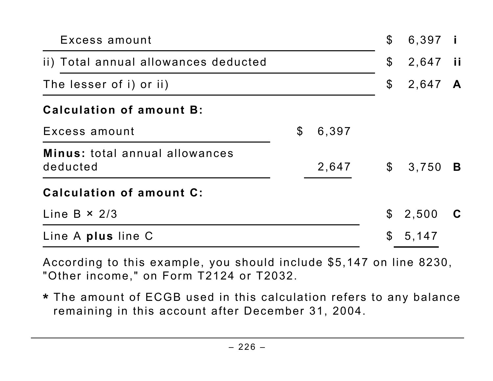| Excess amount                              |                |       | $\boldsymbol{\mathcal{S}}$ | 6,397 i    |   |
|--------------------------------------------|----------------|-------|----------------------------|------------|---|
| ii) Total annual allowances deducted       |                |       | $\boldsymbol{\mathcal{S}}$ | 2,647 ii   |   |
| The lesser of i) or ii)                    |                |       | $\boldsymbol{\mathcal{S}}$ | 2,647 A    |   |
| <b>Calculation of amount B:</b>            |                |       |                            |            |   |
| Excess amount                              | $\mathfrak{F}$ | 6,397 |                            |            |   |
| Minus: total annual allowances<br>deducted |                | 2,647 |                            | $$3,750$ B |   |
| Calculation of amount C:                   |                |       |                            |            |   |
| Line B $\times$ 2/3                        |                |       | $\mathbb S$                | 2,500      | C |
| Line A plus line C                         |                |       | $\mathfrak{F}$             | 5,147      |   |
|                                            |                |       |                            |            |   |

According to this example, you should include \$5,147 on line 8230, "Other income," on Form T2124 or T2032.

**\*** The amount of ECGB used in this calculation refers to any balance remaining in this account after December 31, 2004.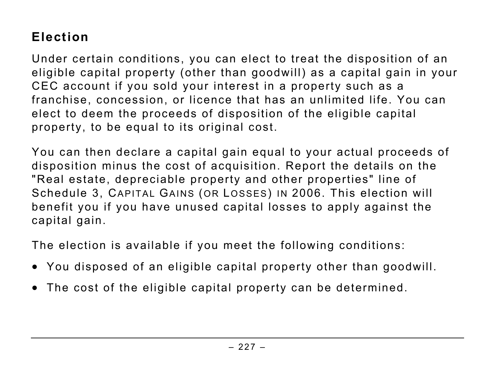### **Election**

Under certain conditions, you can elect to treat the disposition of an eligible capital property (other than goodwill) as a capital gain in your CEC account if you sold your interest in a property such as a franchise, concession, or licence that has an unlimited life. You can elect to deem the proceeds of disposition of the eligible capital property, to be equal to its original cost.

You can then declare a capital gain equal to your actual proceeds of disposition minus the cost of acquisition. Report the details on the "Real estate, depreciable property and other properties" line of Schedule 3, CAPITAL GAINS (OR LOSSES) IN 2006. This election will benefit you if you have unused capital losses to apply against the capital gain.

The election is available if you meet the following conditions:

- You disposed of an eligible capital property other than goodwill.
- The cost of the eligible capital property can be determined.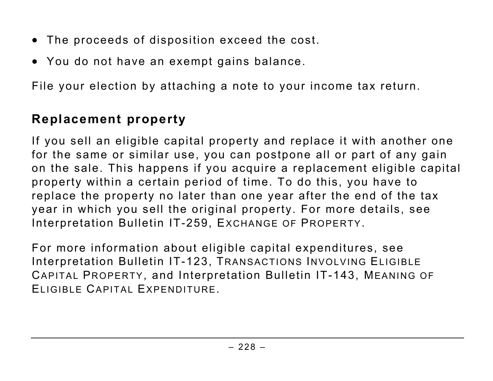- The proceeds of disposition exceed the cost.
- You do not have an exempt gains balance.

File your election by attaching a note to your income tax return.

#### **Replacement property**

If you sell an eligible capital property and replace it with another one for the same or similar use, you can postpone all or part of any gain on the sale. This happens if you acquire a replacement eligible capital property within a certain period of time. To do this, you have to replace the property no later than one year after the end of the tax year in which you sell the original property. For more details, see Interpretation Bulletin IT-259, EXCHANGE OF PROPERTY.

For more information about eligible capital expenditures, see Interpretation Bulletin IT-123, TRANSACTIONS INVOLVING ELIGIBLE CAPITAL PROPERTY, and Interpretation Bulletin IT-143, MEANING OF ELIGIBLE CAPITAL EXPENDITURE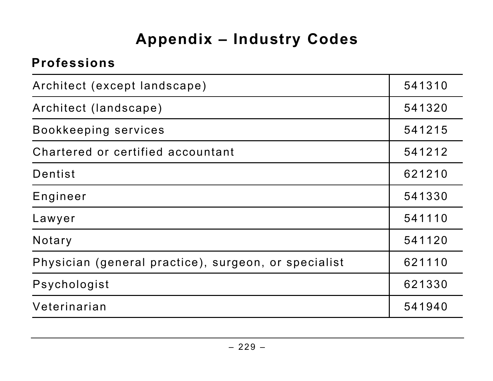## **Appendix – Industry Codes**

#### **Professions**

| Architect (except landscape)                         | 541310 |
|------------------------------------------------------|--------|
| Architect (landscape)                                | 541320 |
| Bookkeeping services                                 | 541215 |
| Chartered or certified accountant                    | 541212 |
| Dentist                                              | 621210 |
| Engineer                                             | 541330 |
| Lawyer                                               | 541110 |
| Notary                                               | 541120 |
| Physician (general practice), surgeon, or specialist | 621110 |
| Psychologist                                         | 621330 |
| Veterinarian                                         | 541940 |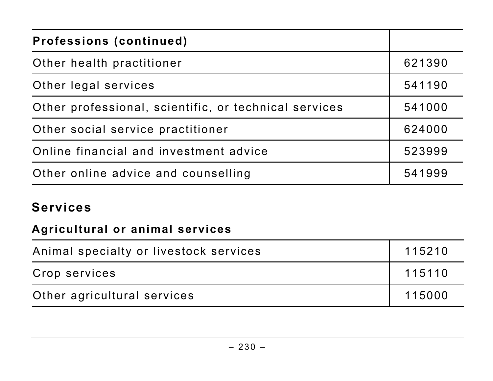| <b>Professions (continued)</b>                        |        |
|-------------------------------------------------------|--------|
| Other health practitioner                             | 621390 |
| Other legal services                                  | 541190 |
| Other professional, scientific, or technical services | 541000 |
| Other social service practitioner                     | 624000 |
| Online financial and investment advice                | 523999 |
| Other online advice and counselling                   | 541999 |

#### **Services**

#### **Agricultural or animal services**

| Animal specialty or livestock services | 115210 |
|----------------------------------------|--------|
| Crop services                          | 115110 |
| Other agricultural services            | 115000 |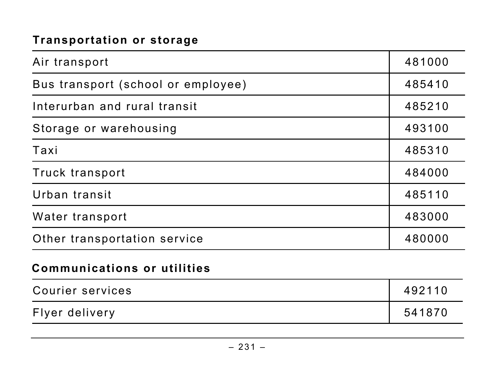#### **Transportation or storage**

| Air transport                      | 481000 |
|------------------------------------|--------|
| Bus transport (school or employee) | 485410 |
| Interurban and rural transit       | 485210 |
| Storage or warehousing             | 493100 |
| Taxi                               | 485310 |
| Truck transport                    | 484000 |
| Urban transit                      | 485110 |
| Water transport                    | 483000 |
| Other transportation service       | 480000 |
| <b>Communications or utilities</b> |        |
| Courier services                   | 492110 |
| Flyer delivery                     | 541870 |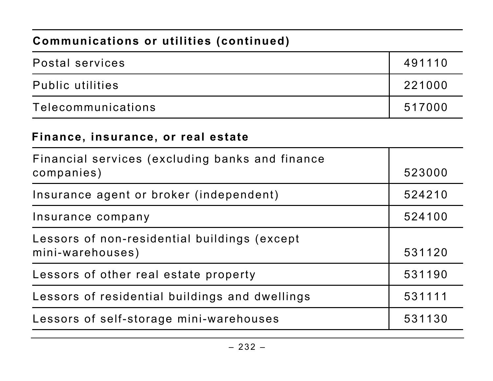#### **Communications or utilities (continued)**

| Postal services         | 491110 |
|-------------------------|--------|
| <b>Public utilities</b> | 221000 |
| Telecommunications      | 517000 |

#### **Finance, insurance, or real estate**

| Financial services (excluding banks and finance<br>companies)    | 523000 |
|------------------------------------------------------------------|--------|
| Insurance agent or broker (independent)                          | 524210 |
| Insurance company                                                | 524100 |
| Lessors of non-residential buildings (except<br>mini-warehouses) | 531120 |
| Lessors of other real estate property                            | 531190 |
| Lessors of residential buildings and dwellings                   | 531111 |
| Lessors of self-storage mini-warehouses                          | 531130 |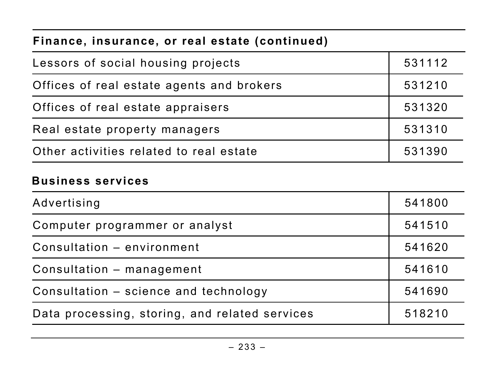#### **Finance, insurance, or real estate (continued)**

| Lessors of social housing projects        | 531112 |
|-------------------------------------------|--------|
| Offices of real estate agents and brokers | 531210 |
| Offices of real estate appraisers         | 531320 |
| Real estate property managers             | 531310 |
| Other activities related to real estate   | 531390 |

#### **Business services**

| Advertising                                    | 541800 |
|------------------------------------------------|--------|
| Computer programmer or analyst                 | 541510 |
| Consultation - environment                     | 541620 |
| Consultation – management                      | 541610 |
| Consultation - science and technology          | 541690 |
| Data processing, storing, and related services | 518210 |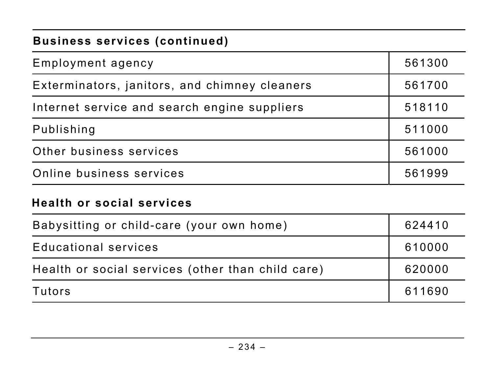#### **Business services (continued)**

| <b>Health or social services</b>              |        |
|-----------------------------------------------|--------|
| Online business services                      | 561999 |
| Other business services                       | 561000 |
| Publishing                                    | 511000 |
| Internet service and search engine suppliers  | 518110 |
| Exterminators, janitors, and chimney cleaners | 561700 |
| Employment agency                             | 561300 |

| Babysitting or child-care (your own home)         | 624410 |
|---------------------------------------------------|--------|
| <b>Educational services</b>                       | 610000 |
| Health or social services (other than child care) | 620000 |
| Tutors                                            | 611690 |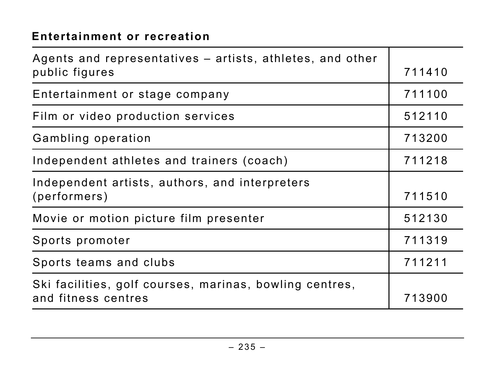#### **Entertainment or recreation**

| Agents and representatives – artists, athletes, and other |        |
|-----------------------------------------------------------|--------|
| public figures                                            | 711410 |
| Entertainment or stage company                            | 711100 |
| Film or video production services                         | 512110 |
| Gambling operation                                        | 713200 |
| Independent athletes and trainers (coach)                 | 711218 |
| Independent artists, authors, and interpreters            |        |
| (performers)                                              | 711510 |
| Movie or motion picture film presenter                    | 512130 |
| Sports promoter                                           | 711319 |
| Sports teams and clubs                                    | 711211 |
| Ski facilities, golf courses, marinas, bowling centres,   |        |
| and fitness centres                                       | 713900 |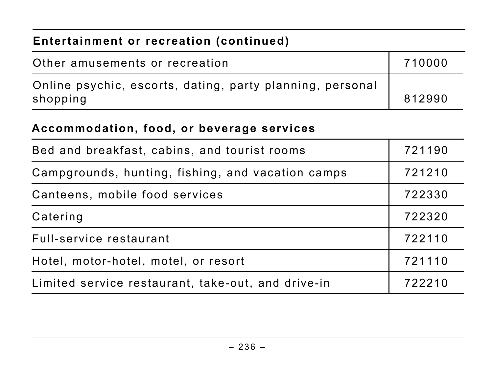| Entertainment or recreation (continued)                               |        |
|-----------------------------------------------------------------------|--------|
| Other amusements or recreation                                        | 710000 |
| Online psychic, escorts, dating, party planning, personal<br>shopping | 812990 |

#### **Accommodation, food, or beverage services**

| Bed and breakfast, cabins, and tourist rooms       | 721190 |
|----------------------------------------------------|--------|
| Campgrounds, hunting, fishing, and vacation camps  | 721210 |
| Canteens, mobile food services                     | 722330 |
| Catering                                           | 722320 |
| Full-service restaurant                            | 722110 |
| Hotel, motor-hotel, motel, or resort               | 721110 |
| Limited service restaurant, take-out, and drive-in | 722210 |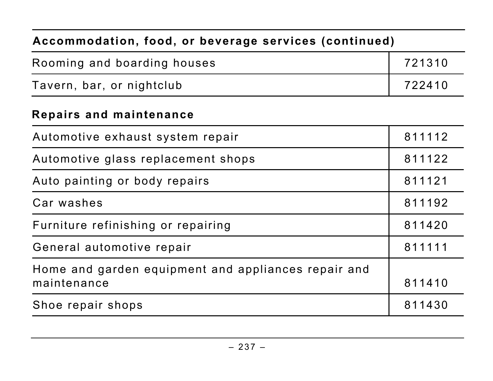# **Accommodation, food, or beverage services (continued)**  Rooming and boarding houses **1988** 121310 Tavern, bar, or nightclub 722410

#### **Repairs and maintenance**

| 811112 |
|--------|
| 811122 |
| 811121 |
| 811192 |
| 811420 |
| 811111 |
| 811410 |
| 811430 |
|        |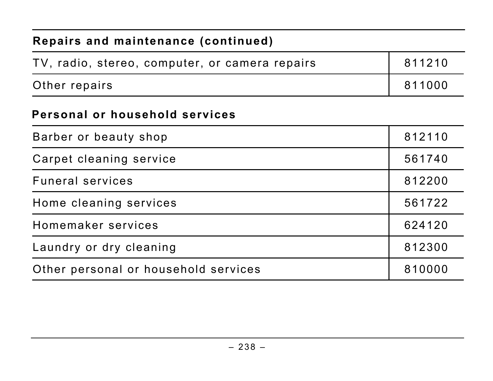# **Repairs and maintenance (continued)**  TV, radio, stereo, computer, or camera repairs | 811210 Other repairs 811000 **Personal or household services**  Barber or beauty shop and a set of the state of  $\vert$  812110 Carpet cleaning service **561740**

| <b>Funeral services</b>              | 812200 |
|--------------------------------------|--------|
| Home cleaning services               | 561722 |
| Homemaker services                   | 624120 |
| Laundry or dry cleaning              | 812300 |
| Other personal or household services | 810000 |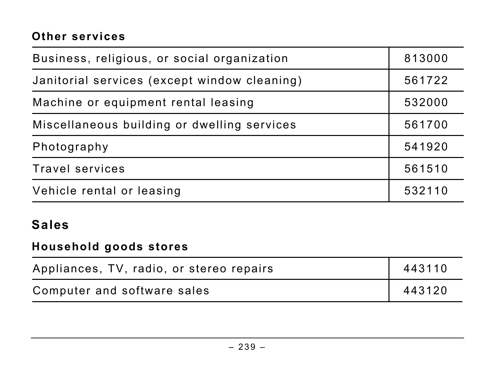#### **Other services**

| Business, religious, or social organization  | 813000 |
|----------------------------------------------|--------|
| Janitorial services (except window cleaning) | 561722 |
| Machine or equipment rental leasing          | 532000 |
| Miscellaneous building or dwelling services  | 561700 |
| Photography                                  | 541920 |
| <b>Travel services</b>                       | 561510 |
| Vehicle rental or leasing                    | 532110 |

#### **Sales**

#### **Household goods stores**

| Appliances, TV, radio, or stereo repairs | 443110 |
|------------------------------------------|--------|
| Computer and software sales              | 443120 |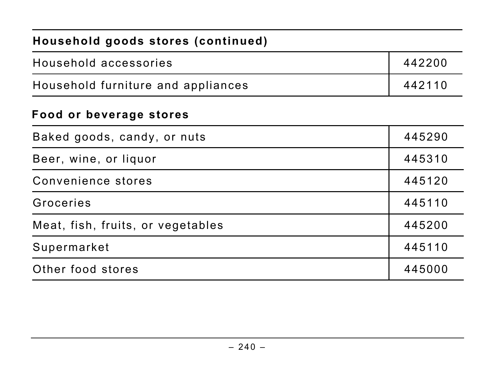| Household goods stores (continued) |        |
|------------------------------------|--------|
| Household accessories              | 442200 |
| Household furniture and appliances | 442110 |
| Food or beverage stores            |        |
| Baked goods, candy, or nuts        | 445290 |
| Beer, wine, or liquor              | 445310 |
| Convenience stores                 | 445120 |
| Groceries                          | 445110 |
| Meat, fish, fruits, or vegetables  | 445200 |
| Supermarket                        | 445110 |
| Other food stores                  | 445000 |
|                                    |        |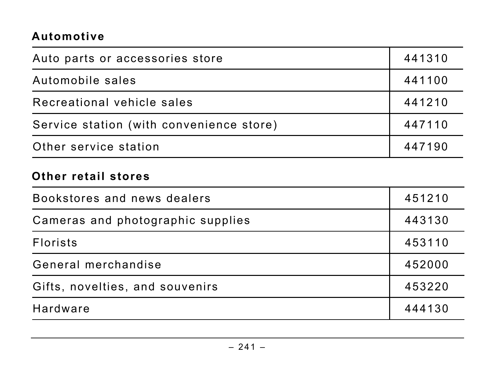#### **Automotive**

| Auto parts or accessories store          | 441310 |
|------------------------------------------|--------|
| Automobile sales                         | 441100 |
| Recreational vehicle sales               | 441210 |
| Service station (with convenience store) | 447110 |
| Other service station                    | 447190 |

#### **Other retail stores**

| Bookstores and news dealers       | 451210 |
|-----------------------------------|--------|
| Cameras and photographic supplies | 443130 |
| <b>Florists</b>                   | 453110 |
| General merchandise               | 452000 |
| Gifts, novelties, and souvenirs   | 453220 |
| <b>Hardware</b>                   | 444130 |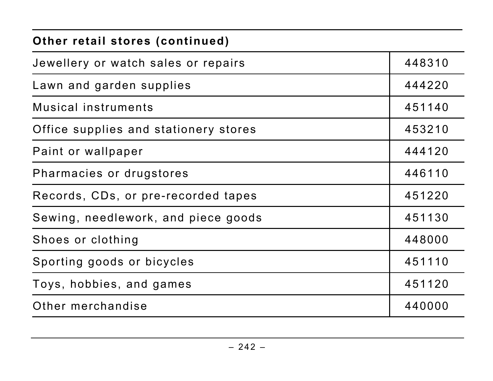# **Other retail stores (continued)**

| Jewellery or watch sales or repairs   | 448310 |
|---------------------------------------|--------|
| Lawn and garden supplies              | 444220 |
| Musical instruments                   | 451140 |
| Office supplies and stationery stores | 453210 |
| Paint or wallpaper                    | 444120 |
| Pharmacies or drugstores              | 446110 |
| Records, CDs, or pre-recorded tapes   | 451220 |
| Sewing, needlework, and piece goods   | 451130 |
| Shoes or clothing                     | 448000 |
| Sporting goods or bicycles            | 451110 |
| Toys, hobbies, and games              | 451120 |
| Other merchandise                     | 440000 |

 $\mathbf{I}$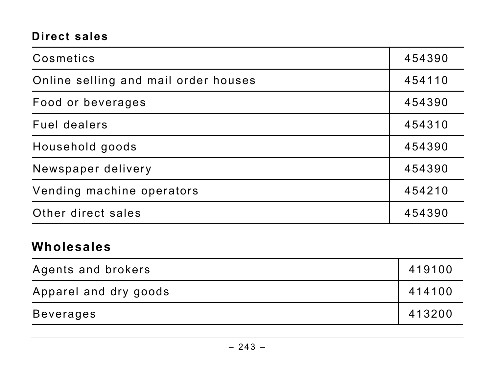#### **Direct sales**

| Cosmetics                            | 454390 |
|--------------------------------------|--------|
| Online selling and mail order houses | 454110 |
| Food or beverages                    | 454390 |
| Fuel dealers                         | 454310 |
| Household goods                      | 454390 |
| Newspaper delivery                   | 454390 |
| Vending machine operators            | 454210 |
| Other direct sales                   | 454390 |

#### **Wholesales**

| Agents and brokers    | 419100 |
|-----------------------|--------|
| Apparel and dry goods | 414100 |
| Beverages             | 413200 |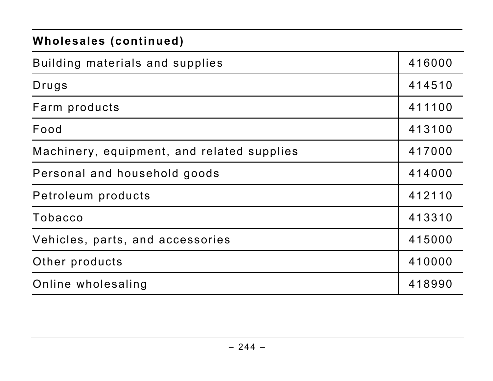#### **Wholesales (continued)**

| Building materials and supplies            | 416000 |
|--------------------------------------------|--------|
| Drugs                                      | 414510 |
| Farm products                              | 411100 |
| Food                                       | 413100 |
| Machinery, equipment, and related supplies | 417000 |
| Personal and household goods               | 414000 |
| Petroleum products                         | 412110 |
| Tobacco                                    | 413310 |
| Vehicles, parts, and accessories           | 415000 |
| Other products                             | 410000 |
| Online wholesaling                         | 418990 |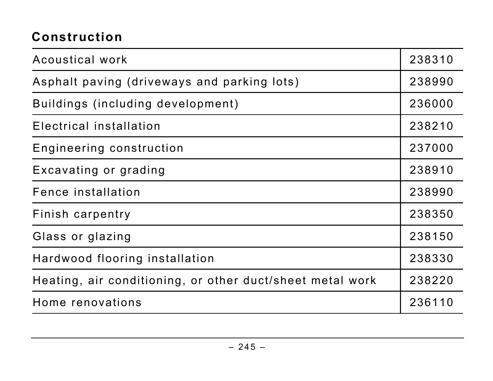#### **Construction**

| Acoustical work                                           | 238310 |
|-----------------------------------------------------------|--------|
| Asphalt paving (driveways and parking lots)               | 238990 |
| Buildings (including development)                         | 236000 |
| Electrical installation                                   | 238210 |
| Engineering construction                                  | 237000 |
| Excavating or grading                                     | 238910 |
| Fence installation                                        | 238990 |
| Finish carpentry                                          | 238350 |
| Glass or glazing                                          | 238150 |
| Hardwood flooring installation                            | 238330 |
| Heating, air conditioning, or other duct/sheet metal work | 238220 |
| Home renovations                                          | 236110 |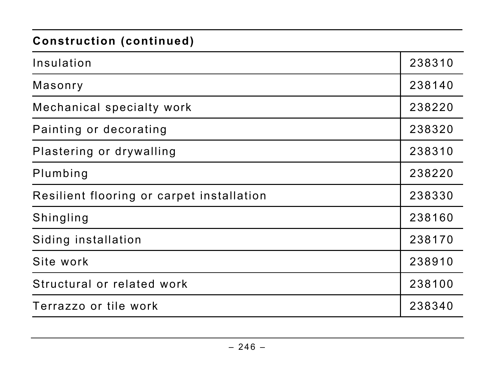#### **Construction (continued)**

| Insulation                                | 238310 |
|-------------------------------------------|--------|
| Masonry                                   | 238140 |
| Mechanical specialty work                 | 238220 |
| Painting or decorating                    | 238320 |
| Plastering or drywalling                  | 238310 |
| Plumbing                                  | 238220 |
| Resilient flooring or carpet installation | 238330 |
| Shingling                                 | 238160 |
| Siding installation                       | 238170 |
| Site work                                 | 238910 |
| Structural or related work                | 238100 |
| Terrazzo or tile work                     | 238340 |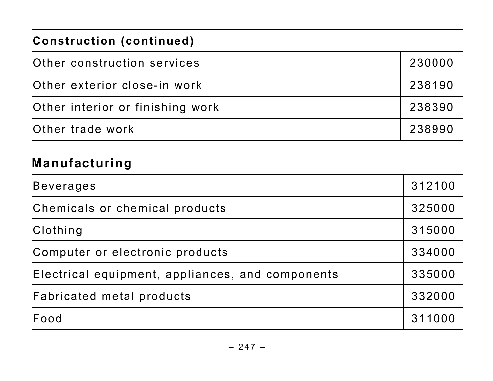#### **Construction (continued)**

| Other construction services      | 230000 |
|----------------------------------|--------|
| Other exterior close-in work     | 238190 |
| Other interior or finishing work | 238390 |
| Other trade work                 | 238990 |

#### **Manufacturing**

| <b>Beverages</b>                                 | 312100 |
|--------------------------------------------------|--------|
| Chemicals or chemical products                   | 325000 |
| Clothing                                         | 315000 |
| Computer or electronic products                  | 334000 |
| Electrical equipment, appliances, and components | 335000 |
| Fabricated metal products                        | 332000 |
| Food                                             | 311000 |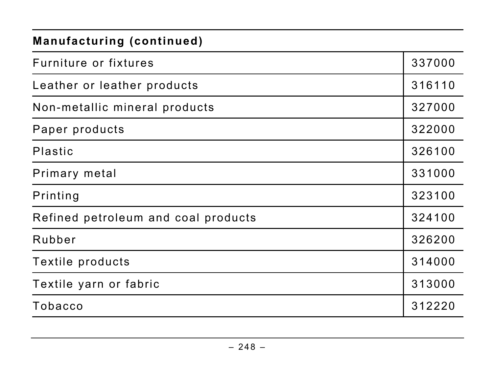#### **Manufacturing (continued)**

| Furniture or fixtures               | 337000 |
|-------------------------------------|--------|
| Leather or leather products         | 316110 |
| Non-metallic mineral products       | 327000 |
| Paper products                      | 322000 |
| <b>Plastic</b>                      | 326100 |
| Primary metal                       | 331000 |
| Printing                            | 323100 |
| Refined petroleum and coal products | 324100 |
| Rubber                              | 326200 |
| Textile products                    | 314000 |
| Textile yarn or fabric              | 313000 |
| Tobacco                             | 312220 |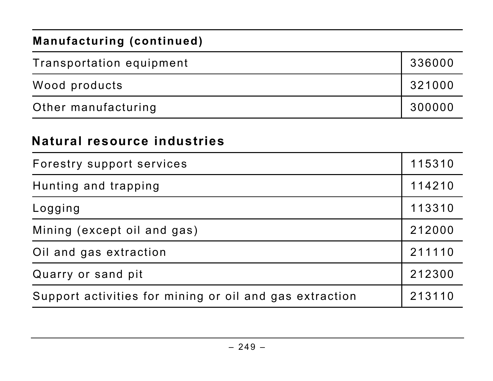#### **Manufacturing (continued)**

| Transportation equipment | 336000 |
|--------------------------|--------|
| Wood products            | 321000 |
| Other manufacturing      | 300000 |

#### **Natural resource industries**

| Forestry support services                               | 115310 |
|---------------------------------------------------------|--------|
| Hunting and trapping                                    | 114210 |
| Logging                                                 | 113310 |
| Mining (except oil and gas)                             | 212000 |
| Oil and gas extraction                                  | 211110 |
| Quarry or sand pit                                      | 212300 |
| Support activities for mining or oil and gas extraction | 213110 |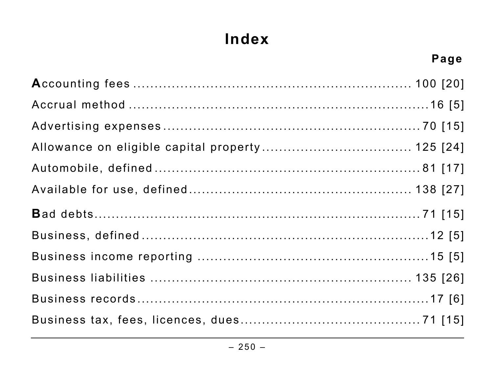## **Index**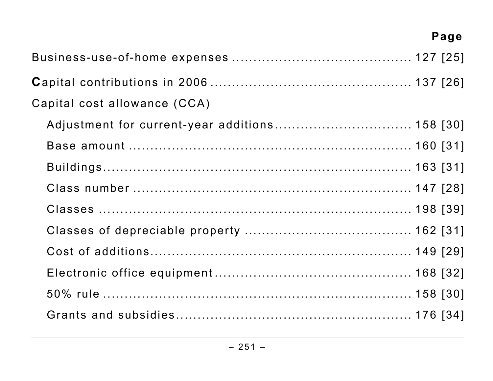| Capital cost allowance (CCA)                   |  |
|------------------------------------------------|--|
| Adjustment for current-year additions 158 [30] |  |
|                                                |  |
|                                                |  |
|                                                |  |
|                                                |  |
|                                                |  |
|                                                |  |
|                                                |  |
|                                                |  |
|                                                |  |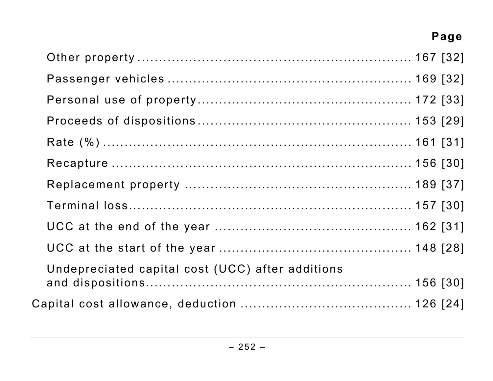| Undepreciated capital cost (UCC) after additions |  |
|--------------------------------------------------|--|
|                                                  |  |
|                                                  |  |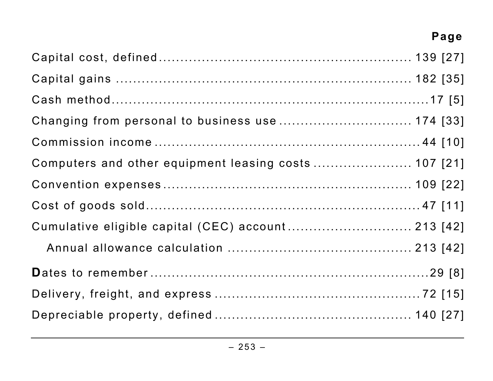| Computers and other equipment leasing costs  107 [21] |  |
|-------------------------------------------------------|--|
|                                                       |  |
|                                                       |  |
| Cumulative eligible capital (CEC) account 213 [42]    |  |
|                                                       |  |
|                                                       |  |
|                                                       |  |
|                                                       |  |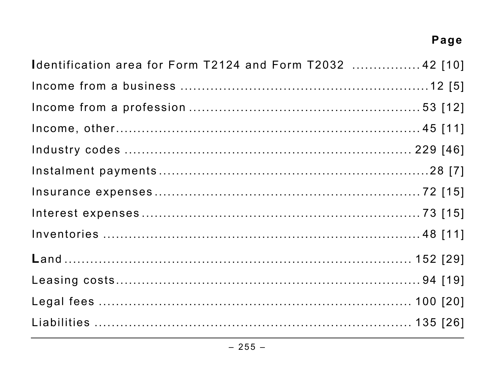| Identification area for Form T2124 and Form T2032  42 [10] |  |
|------------------------------------------------------------|--|
|                                                            |  |
|                                                            |  |
|                                                            |  |
|                                                            |  |
|                                                            |  |
|                                                            |  |
|                                                            |  |
|                                                            |  |
|                                                            |  |
|                                                            |  |
|                                                            |  |
|                                                            |  |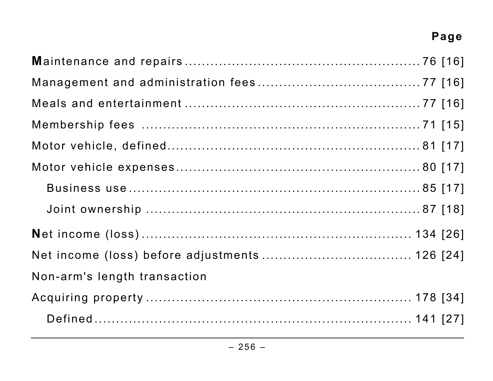| Non-arm's length transaction |  |
|------------------------------|--|
|                              |  |
|                              |  |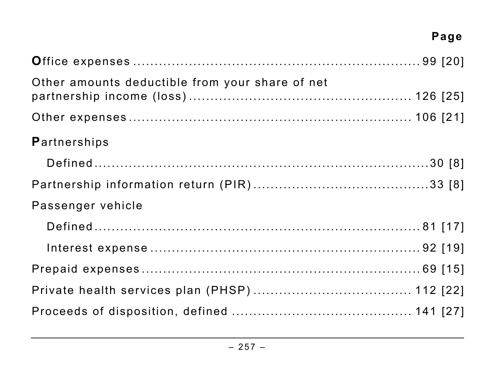| Other amounts deductible from your share of net |  |
|-------------------------------------------------|--|
|                                                 |  |
| <b>Partnerships</b>                             |  |
|                                                 |  |
|                                                 |  |
| Passenger vehicle                               |  |
|                                                 |  |
|                                                 |  |
|                                                 |  |
|                                                 |  |
|                                                 |  |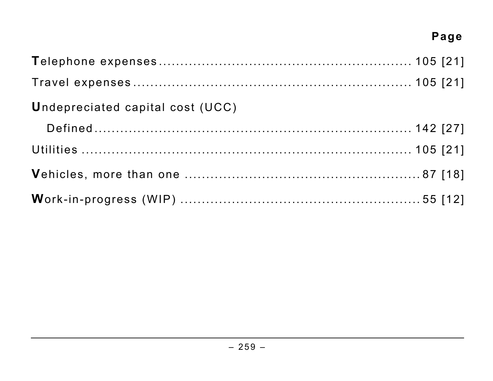| <b>Undepreciated capital cost (UCC)</b> |  |
|-----------------------------------------|--|
|                                         |  |
|                                         |  |
|                                         |  |
|                                         |  |